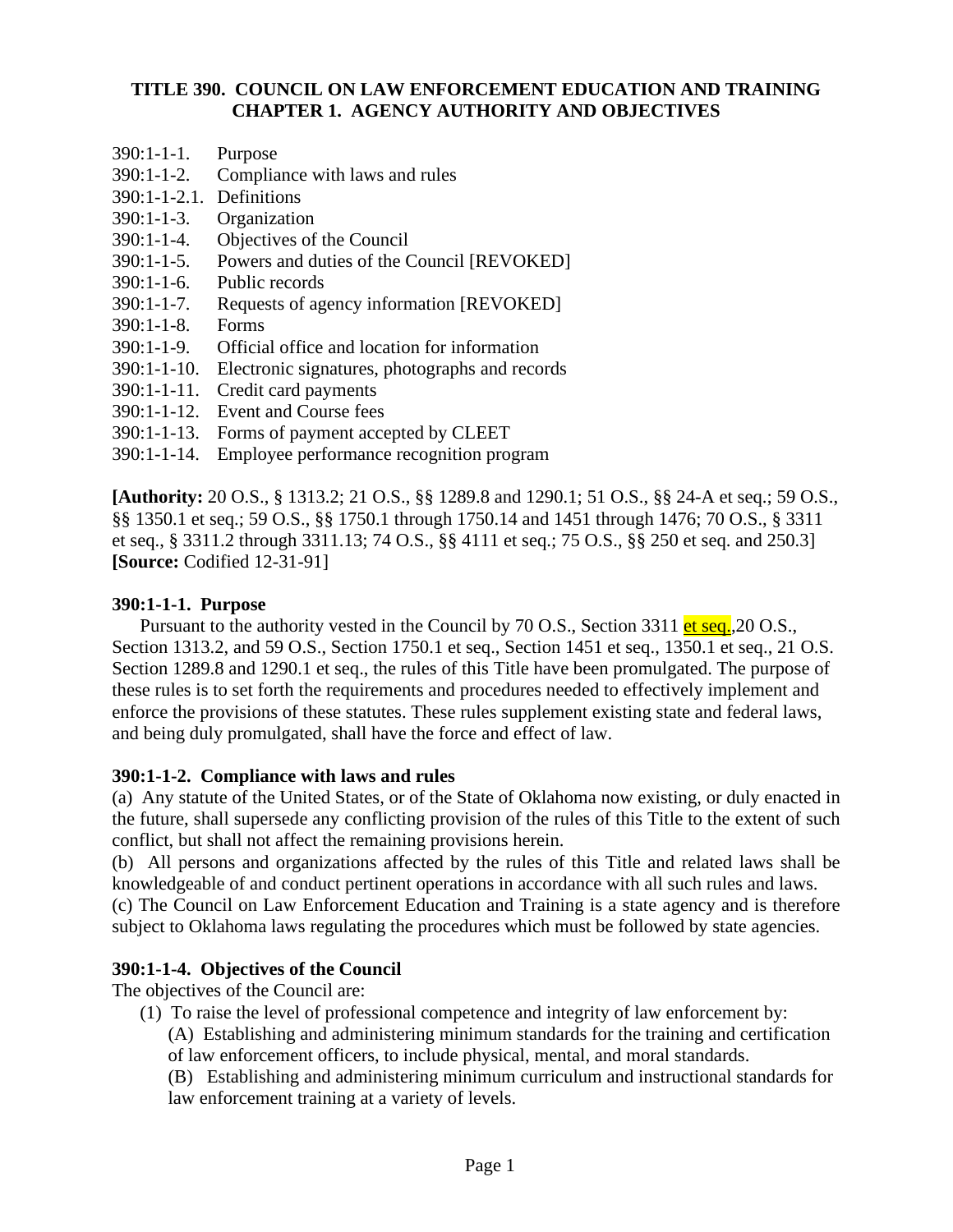## **TITLE 390. COUNCIL ON LAW ENFORCEMENT EDUCATION AND TRAINING CHAPTER 1. AGENCY AUTHORITY AND OBJECTIVES**

- 390:1-1-1. Purpose
- 390:1-1-2. Compliance with laws and rules
- 390:1-1-2.1. Definitions
- 390:1-1-3. Organization
- 390:1-1-4. Objectives of the Council
- 390:1-1-5. Powers and duties of the Council [REVOKED]
- 390:1-1-6. Public records
- 390:1-1-7. Requests of agency information [REVOKED]
- 390:1-1-8. Forms
- 390:1-1-9. Official office and location for information
- 390:1-1-10. Electronic signatures, photographs and records
- 390:1-1-11. Credit card payments
- 390:1-1-12. Event and Course fees
- 390:1-1-13. Forms of payment accepted by CLEET
- 390:1-1-14. Employee performance recognition program

**[Authority:** 20 O.S., § 1313.2; 21 O.S., §§ 1289.8 and 1290.1; 51 O.S., §§ 24-A et seq.; 59 O.S., §§ 1350.1 et seq.; 59 O.S., §§ 1750.1 through 1750.14 and 1451 through 1476; 70 O.S., § 3311 et seq., § 3311.2 through 3311.13; 74 O.S., §§ 4111 et seq.; 75 O.S., §§ 250 et seq. and 250.3] **[Source:** Codified 12-31-91]

### **390:1-1-1. Purpose**

Pursuant to the authority vested in the Council by 70 O.S., Section 3311 et seq., 20 O.S., Section 1313.2, and 59 O.S., Section 1750.1 et seq., Section 1451 et seq., 1350.1 et seq., 21 O.S. Section 1289.8 and 1290.1 et seq., the rules of this Title have been promulgated. The purpose of these rules is to set forth the requirements and procedures needed to effectively implement and enforce the provisions of these statutes. These rules supplement existing state and federal laws, and being duly promulgated, shall have the force and effect of law.

### **390:1-1-2. Compliance with laws and rules**

(a) Any statute of the United States, or of the State of Oklahoma now existing, or duly enacted in the future, shall supersede any conflicting provision of the rules of this Title to the extent of such conflict, but shall not affect the remaining provisions herein.

(b) All persons and organizations affected by the rules of this Title and related laws shall be knowledgeable of and conduct pertinent operations in accordance with all such rules and laws. (c) The Council on Law Enforcement Education and Training is a state agency and is therefore subject to Oklahoma laws regulating the procedures which must be followed by state agencies.

### **390:1-1-4. Objectives of the Council**

The objectives of the Council are:

- (1) To raise the level of professional competence and integrity of law enforcement by:
	- (A) Establishing and administering minimum standards for the training and certification of law enforcement officers, to include physical, mental, and moral standards.
	- (B) Establishing and administering minimum curriculum and instructional standards for law enforcement training at a variety of levels.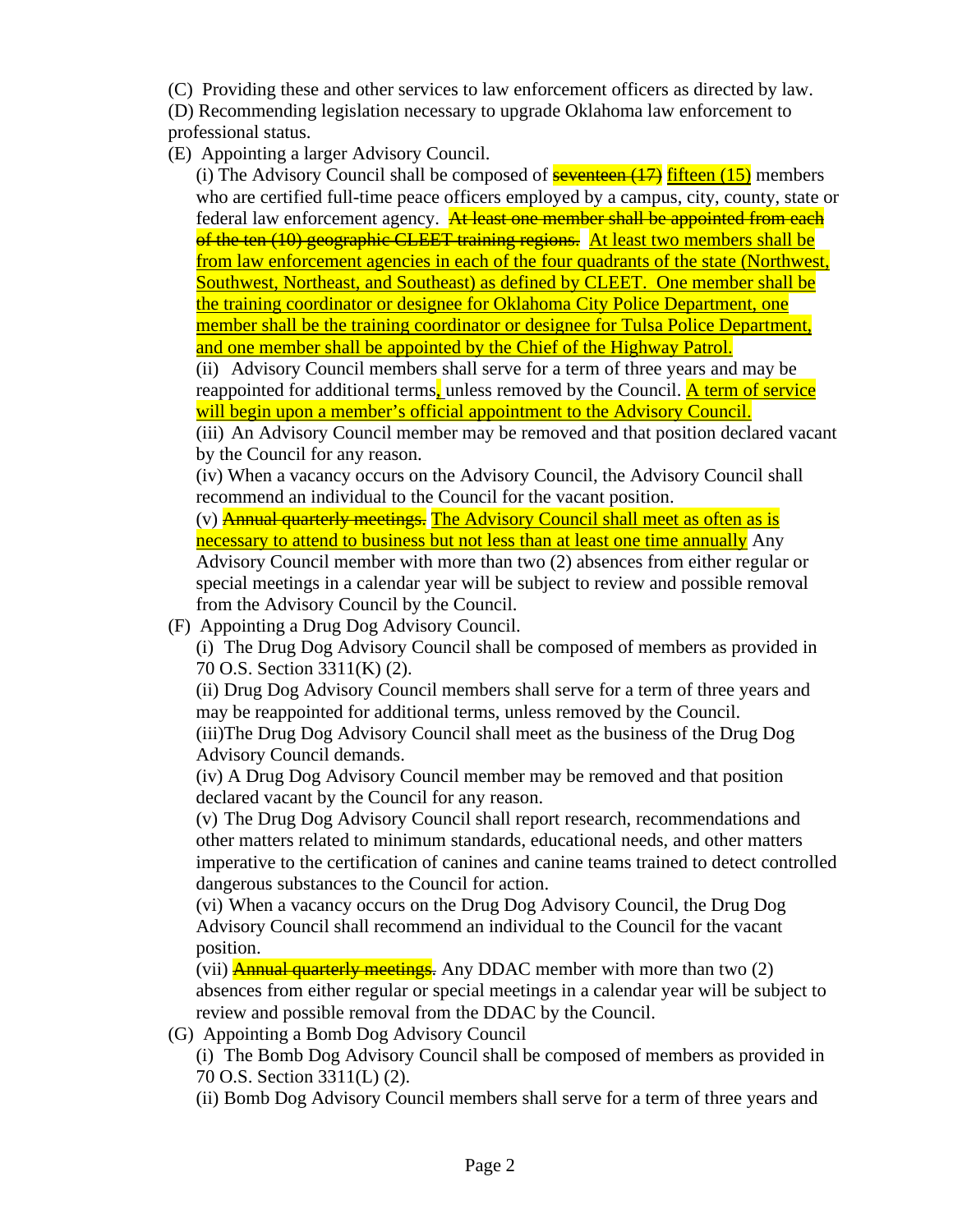(C) Providing these and other services to law enforcement officers as directed by law.

(D) Recommending legislation necessary to upgrade Oklahoma law enforcement to professional status.

(E) Appointing a larger Advisory Council.

(i) The Advisory Council shall be composed of  $\frac{\text{seventeen}(17)}{\text{fifteen}(15)}$  members who are certified full-time peace officers employed by a campus, city, county, state or federal law enforcement agency. At least one member shall be appointed from each of the ten (10) geographic CLEET training regions. At least two members shall be from law enforcement agencies in each of the four quadrants of the state (Northwest, Southwest, Northeast, and Southeast) as defined by CLEET. One member shall be the training coordinator or designee for Oklahoma City Police Department, one member shall be the training coordinator or designee for Tulsa Police Department, and one member shall be appointed by the Chief of the Highway Patrol.

(ii) Advisory Council members shall serve for a term of three years and may be reappointed for additional terms, unless removed by the Council. A term of service will begin upon a member's official appointment to the Advisory Council.

(iii) An Advisory Council member may be removed and that position declared vacant by the Council for any reason.

(iv) When a vacancy occurs on the Advisory Council, the Advisory Council shall recommend an individual to the Council for the vacant position.

(v) **Annual quarterly meetings.** The Advisory Council shall meet as often as is necessary to attend to business but not less than at least one time annually Any Advisory Council member with more than two (2) absences from either regular or special meetings in a calendar year will be subject to review and possible removal from the Advisory Council by the Council.

(F) Appointing a Drug Dog Advisory Council.

(i) The Drug Dog Advisory Council shall be composed of members as provided in 70 O.S. Section 3311(K) (2).

(ii) Drug Dog Advisory Council members shall serve for a term of three years and may be reappointed for additional terms, unless removed by the Council.

(iii)The Drug Dog Advisory Council shall meet as the business of the Drug Dog Advisory Council demands.

(iv) A Drug Dog Advisory Council member may be removed and that position declared vacant by the Council for any reason.

(v) The Drug Dog Advisory Council shall report research, recommendations and other matters related to minimum standards, educational needs, and other matters imperative to the certification of canines and canine teams trained to detect controlled dangerous substances to the Council for action.

(vi) When a vacancy occurs on the Drug Dog Advisory Council, the Drug Dog Advisory Council shall recommend an individual to the Council for the vacant position.

(vii) **Annual quarterly meetings**. Any DDAC member with more than two (2) absences from either regular or special meetings in a calendar year will be subject to review and possible removal from the DDAC by the Council.

(G) Appointing a Bomb Dog Advisory Council

(i) The Bomb Dog Advisory Council shall be composed of members as provided in 70 O.S. Section 3311(L) (2).

(ii) Bomb Dog Advisory Council members shall serve for a term of three years and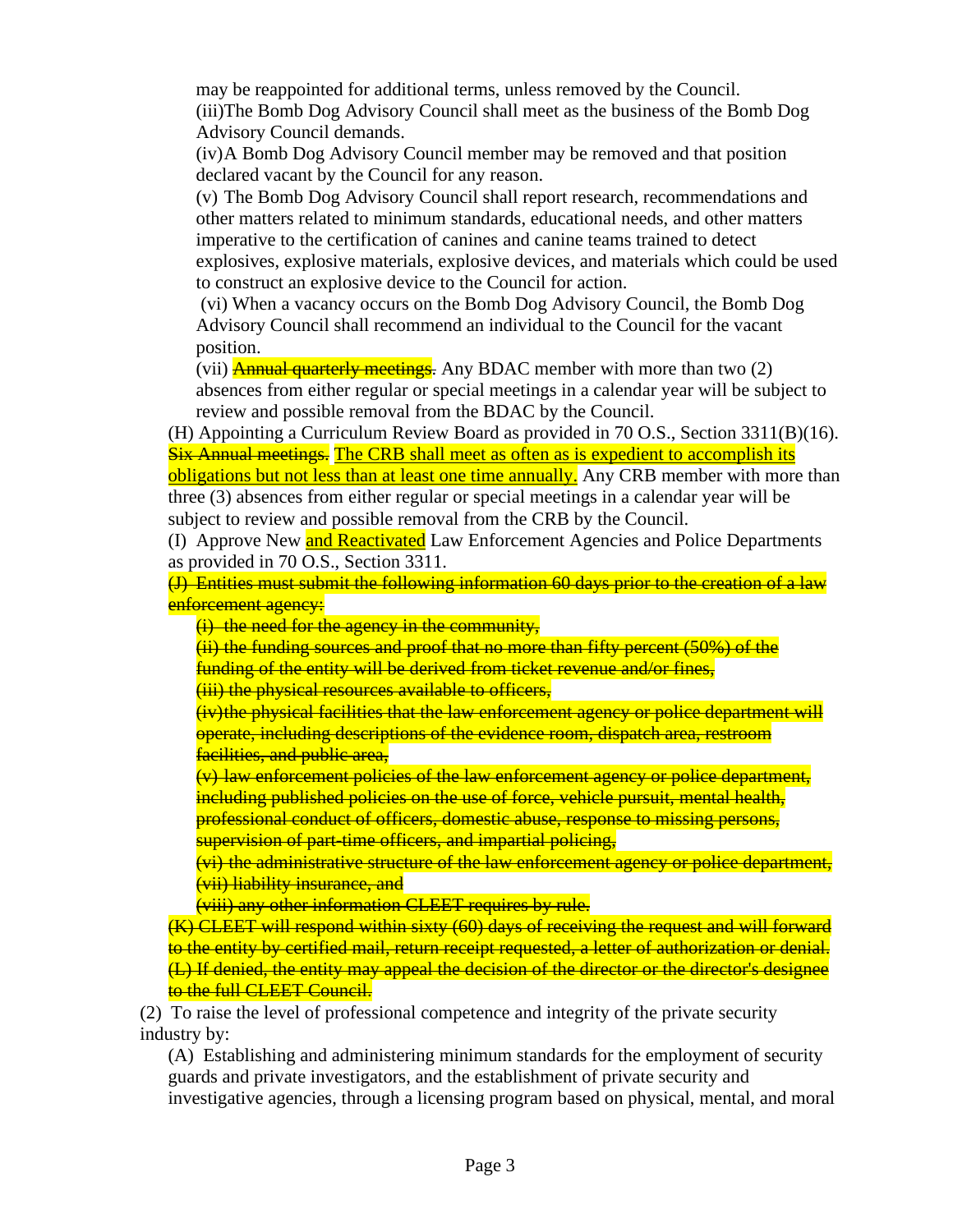may be reappointed for additional terms, unless removed by the Council. (iii)The Bomb Dog Advisory Council shall meet as the business of the Bomb Dog Advisory Council demands.

(iv) A Bomb Dog Advisory Council member may be removed and that position declared vacant by the Council for any reason.

(v) The Bomb Dog Advisory Council shall report research, recommendations and other matters related to minimum standards, educational needs, and other matters imperative to the certification of canines and canine teams trained to detect explosives, explosive materials, explosive devices, and materials which could be used to construct an explosive device to the Council for action.

 (vi) When a vacancy occurs on the Bomb Dog Advisory Council, the Bomb Dog Advisory Council shall recommend an individual to the Council for the vacant position.

(vii) **Annual quarterly meetings**. Any BDAC member with more than two (2) absences from either regular or special meetings in a calendar year will be subject to review and possible removal from the BDAC by the Council.

(H) Appointing a Curriculum Review Board as provided in 70 O.S., Section 3311(B)(16). Six Annual meetings. The CRB shall meet as often as is expedient to accomplish its

obligations but not less than at least one time annually. Any CRB member with more than three (3) absences from either regular or special meetings in a calendar year will be subject to review and possible removal from the CRB by the Council.

(I) Approve New and Reactivated Law Enforcement Agencies and Police Departments as provided in 70 O.S., Section 3311.

(J) Entities must submit the following information 60 days prior to the creation of a law enforcement agency:

 $(i)$  the need for the agency in the community,

(ii) the funding sources and proof that no more than fifty percent (50%) of the

funding of the entity will be derived from ticket revenue and/or fines,

(iii) the physical resources available to officers,

(iv)the physical facilities that the law enforcement agency or police department will operate, including descriptions of the evidence room, dispatch area, restroom facilities, and public area,

(v) law enforcement policies of the law enforcement agency or police department, including published policies on the use of force, vehicle pursuit, mental health, professional conduct of officers, domestic abuse, response to missing persons, supervision of part-time officers, and impartial policing,

(vi) the administrative structure of the law enforcement agency or police department, (vii) liability insurance, and

(viii) any other information CLEET requires by rule.

(K) CLEET will respond within sixty (60) days of receiving the request and will forward to the entity by certified mail, return receipt requested, a letter of authorization or denial. (L) If denied, the entity may appeal the decision of the director or the director's designee to the full CLEET Council.

(2) To raise the level of professional competence and integrity of the private security industry by:

(A) Establishing and administering minimum standards for the employment of security guards and private investigators, and the establishment of private security and investigative agencies, through a licensing program based on physical, mental, and moral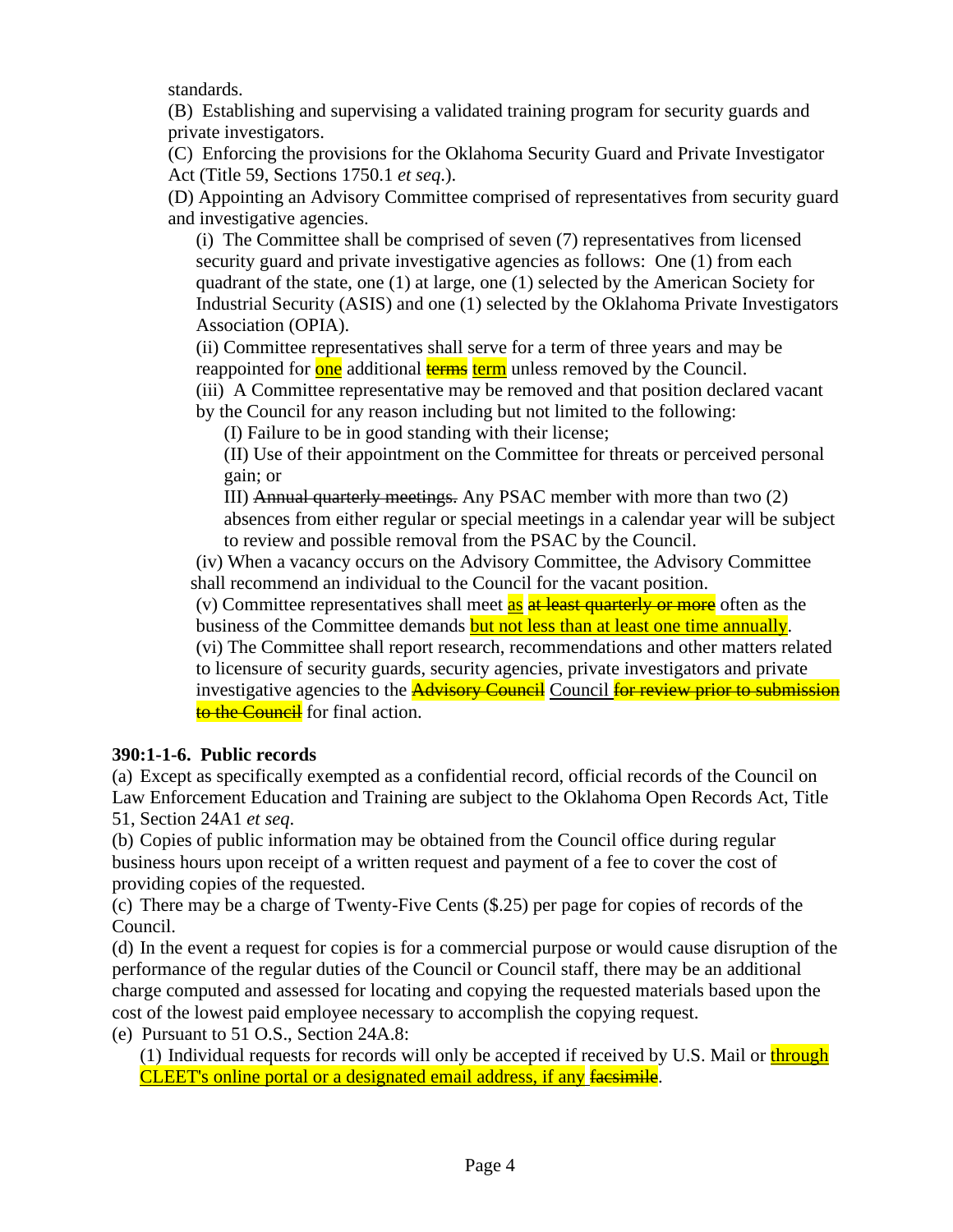standards.

(B) Establishing and supervising a validated training program for security guards and private investigators.

(C) Enforcing the provisions for the Oklahoma Security Guard and Private Investigator Act (Title 59, Sections 1750.1 *et seq*.).

(D) Appointing an Advisory Committee comprised of representatives from security guard and investigative agencies.

(i) The Committee shall be comprised of seven (7) representatives from licensed security guard and private investigative agencies as follows: One (1) from each quadrant of the state, one (1) at large, one (1) selected by the American Society for Industrial Security (ASIS) and one (1) selected by the Oklahoma Private Investigators Association (OPIA).

(ii) Committee representatives shall serve for a term of three years and may be reappointed for one additional terms term unless removed by the Council.

(iii) A Committee representative may be removed and that position declared vacant by the Council for any reason including but not limited to the following:

(I) Failure to be in good standing with their license;

(II) Use of their appointment on the Committee for threats or perceived personal gain; or

III) Annual quarterly meetings. Any PSAC member with more than two (2) absences from either regular or special meetings in a calendar year will be subject to review and possible removal from the PSAC by the Council.

 (iv) When a vacancy occurs on the Advisory Committee, the Advisory Committee shall recommend an individual to the Council for the vacant position.

(v) Committee representatives shall meet as  $\frac{at \text{ least quarterly or more}}{at \text{ their}|at \text{ or }at}$  often as the business of the Committee demands but not less than at least one time annually.

(vi) The Committee shall report research, recommendations and other matters related to licensure of security guards, security agencies, private investigators and private investigative agencies to the **Advisory Council** Council for review prior to submission to the Council for final action.

## **390:1-1-6. Public records**

(a) Except as specifically exempted as a confidential record, official records of the Council on Law Enforcement Education and Training are subject to the Oklahoma Open Records Act, Title 51, Section 24A1 *et seq*.

(b) Copies of public information may be obtained from the Council office during regular business hours upon receipt of a written request and payment of a fee to cover the cost of providing copies of the requested.

(c) There may be a charge of Twenty-Five Cents (\$.25) per page for copies of records of the Council.

(d) In the event a request for copies is for a commercial purpose or would cause disruption of the performance of the regular duties of the Council or Council staff, there may be an additional charge computed and assessed for locating and copying the requested materials based upon the cost of the lowest paid employee necessary to accomplish the copying request.

(e) Pursuant to 51 O.S., Section 24A.8:

(1) Individual requests for records will only be accepted if received by U.S. Mail or through CLEET's online portal or a designated email address, if any **facsimile**.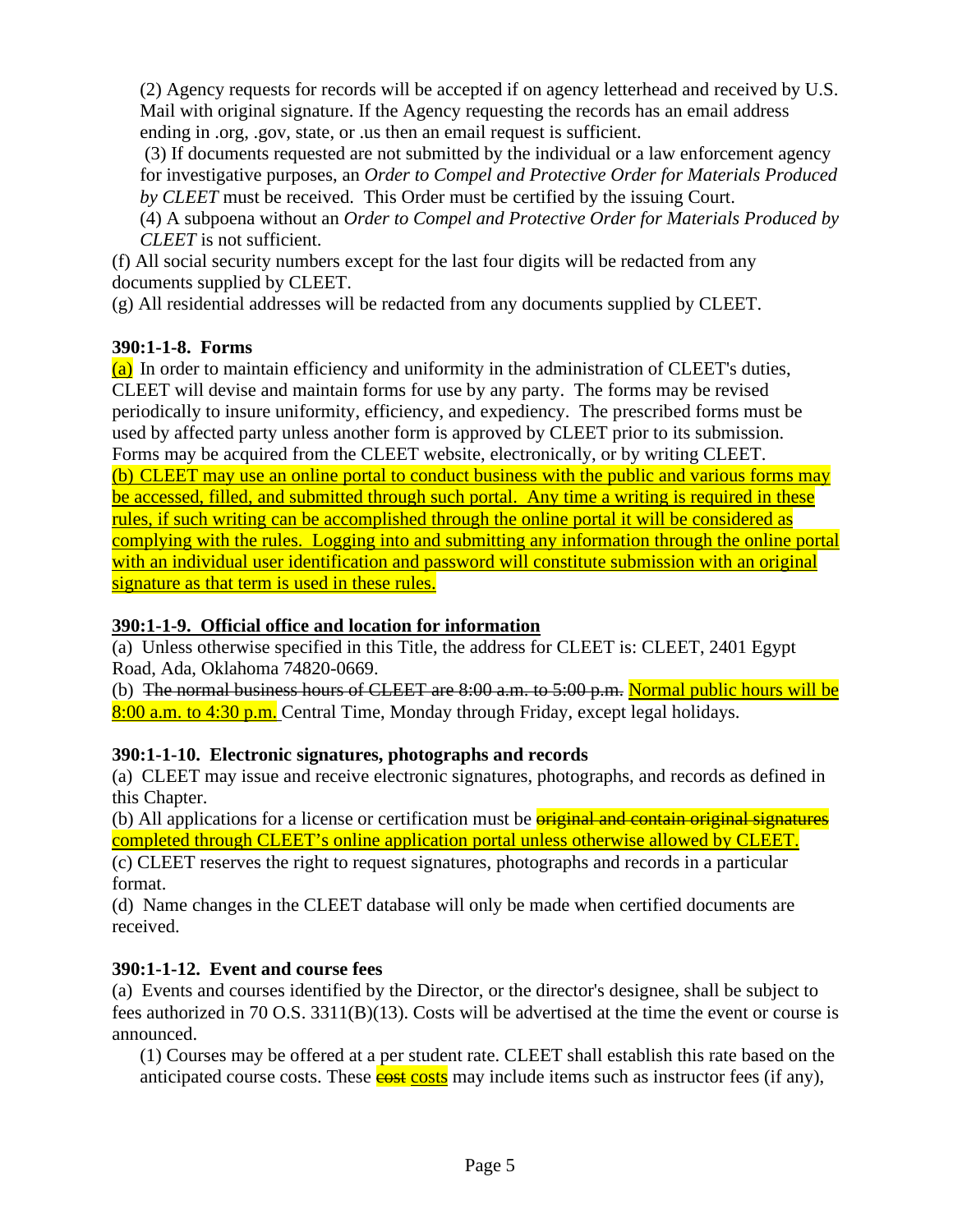(2) Agency requests for records will be accepted if on agency letterhead and received by U.S. Mail with original signature. If the Agency requesting the records has an email address ending in .org, .gov, state, or .us then an email request is sufficient.

 (3) If documents requested are not submitted by the individual or a law enforcement agency for investigative purposes, an *Order to Compel and Protective Order for Materials Produced by CLEET* must be received. This Order must be certified by the issuing Court.

(4) A subpoena without an *Order to Compel and Protective Order for Materials Produced by CLEET* is not sufficient.

(f) All social security numbers except for the last four digits will be redacted from any documents supplied by CLEET.

(g) All residential addresses will be redacted from any documents supplied by CLEET.

# **390:1-1-8. Forms**

(a) In order to maintain efficiency and uniformity in the administration of CLEET's duties, CLEET will devise and maintain forms for use by any party. The forms may be revised periodically to insure uniformity, efficiency, and expediency. The prescribed forms must be used by affected party unless another form is approved by CLEET prior to its submission. Forms may be acquired from the CLEET website, electronically, or by writing CLEET. (b) CLEET may use an online portal to conduct business with the public and various forms may be accessed, filled, and submitted through such portal. Any time a writing is required in these rules, if such writing can be accomplished through the online portal it will be considered as complying with the rules. Logging into and submitting any information through the online portal with an individual user identification and password will constitute submission with an original signature as that term is used in these rules.

## **390:1-1-9. Official office and location for information**

(a) Unless otherwise specified in this Title, the address for CLEET is: CLEET, 2401 Egypt Road, Ada, Oklahoma 74820-0669.

(b) The normal business hours of CLEET are 8:00 a.m. to 5:00 p.m. Normal public hours will be 8:00 a.m. to 4:30 p.m. Central Time, Monday through Friday, except legal holidays.

# **390:1-1-10. Electronic signatures, photographs and records**

(a) CLEET may issue and receive electronic signatures, photographs, and records as defined in this Chapter.

(b) All applications for a license or certification must be **original and contain original signatures** completed through CLEET's online application portal unless otherwise allowed by CLEET.

(c) CLEET reserves the right to request signatures, photographs and records in a particular format.

(d) Name changes in the CLEET database will only be made when certified documents are received.

# **390:1-1-12. Event and course fees**

(a) Events and courses identified by the Director, or the director's designee, shall be subject to fees authorized in 70 O.S. 3311(B)(13). Costs will be advertised at the time the event or course is announced.

(1) Courses may be offered at a per student rate. CLEET shall establish this rate based on the anticipated course costs. These **costs** costs may include items such as instructor fees (if any),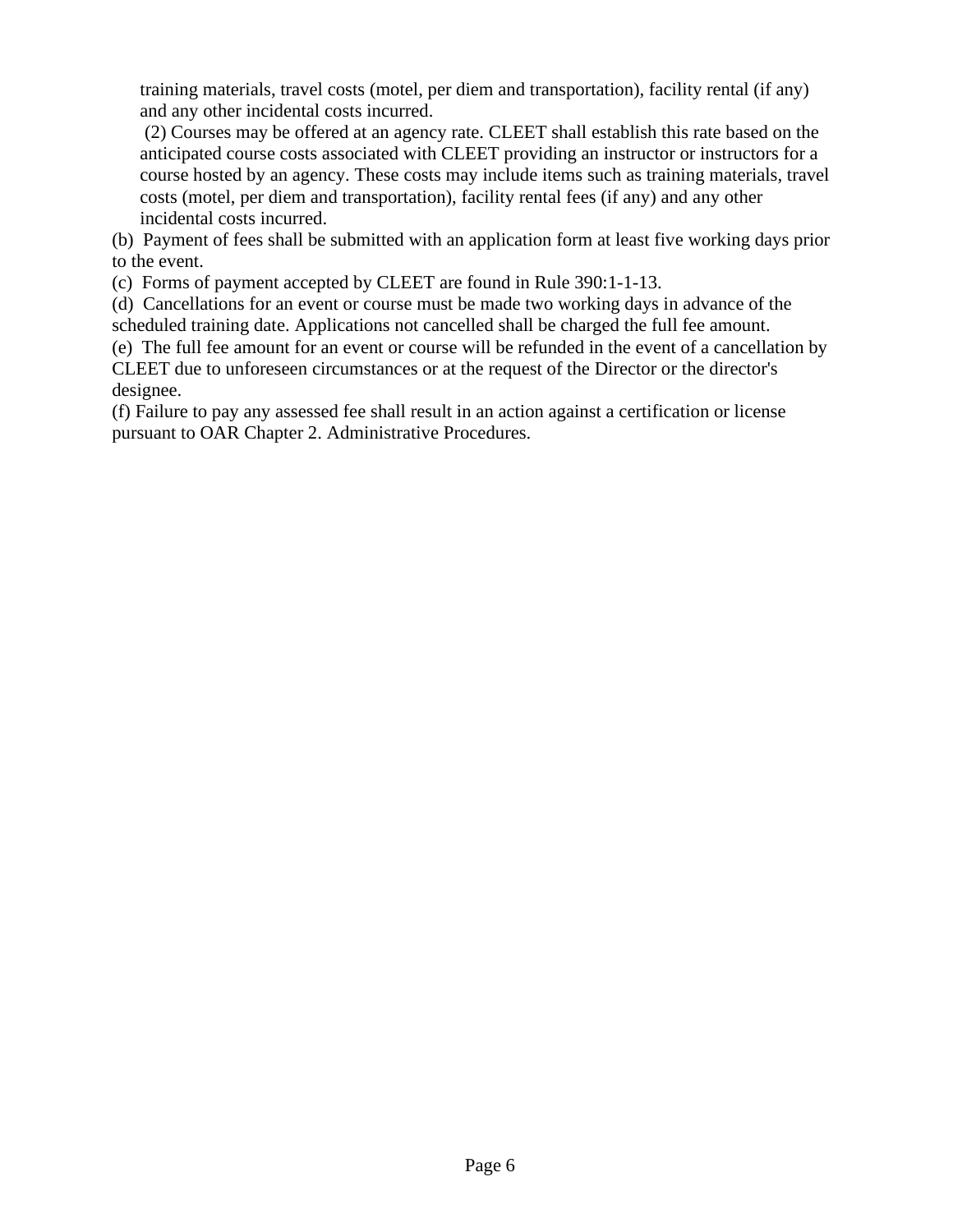training materials, travel costs (motel, per diem and transportation), facility rental (if any) and any other incidental costs incurred.

 (2) Courses may be offered at an agency rate. CLEET shall establish this rate based on the anticipated course costs associated with CLEET providing an instructor or instructors for a course hosted by an agency. These costs may include items such as training materials, travel costs (motel, per diem and transportation), facility rental fees (if any) and any other incidental costs incurred.

(b) Payment of fees shall be submitted with an application form at least five working days prior to the event.

(c) Forms of payment accepted by CLEET are found in Rule 390:1-1-13.

(d) Cancellations for an event or course must be made two working days in advance of the scheduled training date. Applications not cancelled shall be charged the full fee amount.

(e) The full fee amount for an event or course will be refunded in the event of a cancellation by CLEET due to unforeseen circumstances or at the request of the Director or the director's designee.

(f) Failure to pay any assessed fee shall result in an action against a certification or license pursuant to OAR Chapter 2. Administrative Procedures.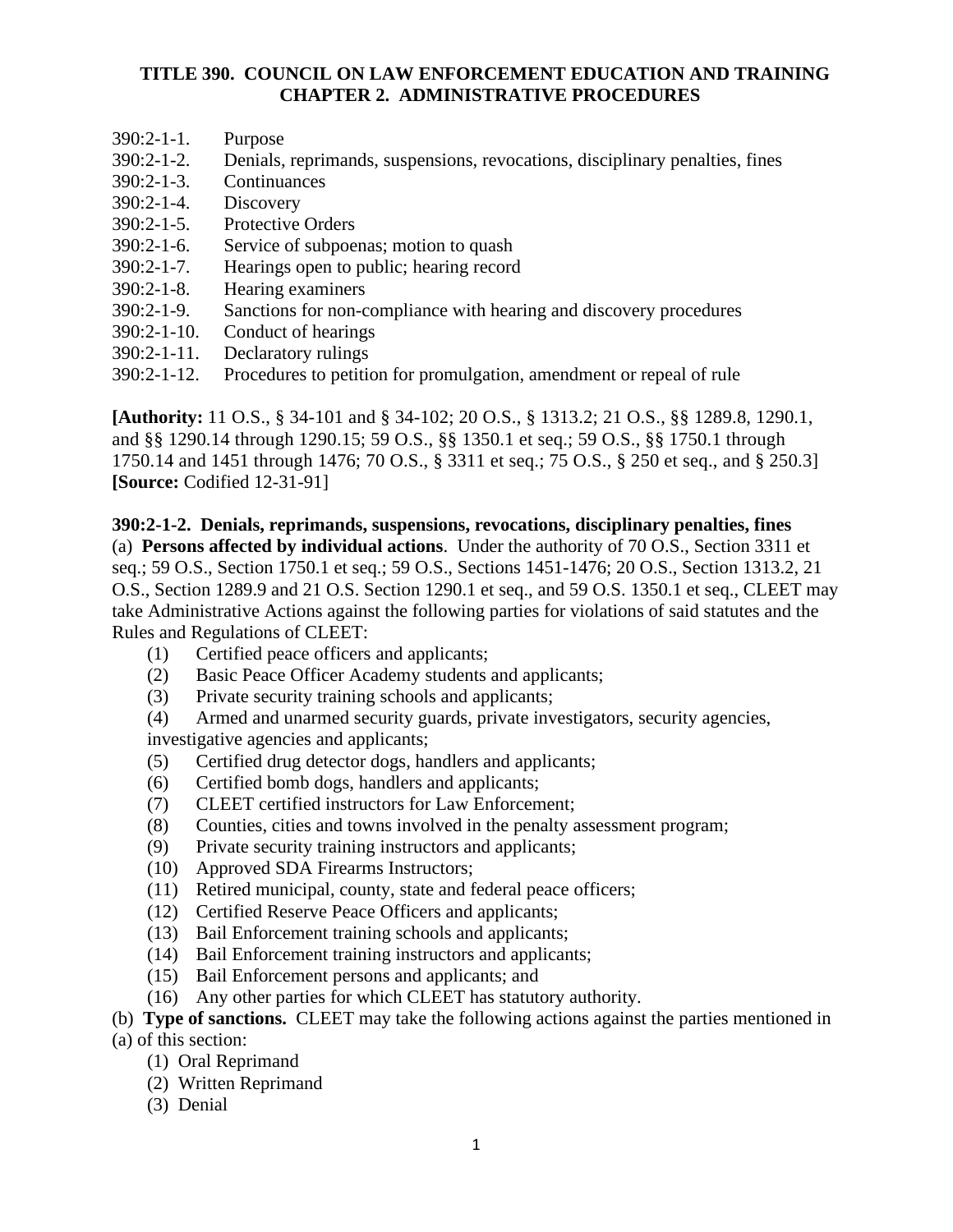### **TITLE 390. COUNCIL ON LAW ENFORCEMENT EDUCATION AND TRAINING CHAPTER 2. ADMINISTRATIVE PROCEDURES**

- 390:2-1-1. Purpose
- 390:2-1-2. Denials, reprimands, suspensions, revocations, disciplinary penalties, fines
- 390:2-1-3. Continuances
- 390:2-1-4. Discovery
- 390:2-1-5. Protective Orders
- 390:2-1-6. Service of subpoenas; motion to quash
- 390:2-1-7. Hearings open to public; hearing record
- 390:2-1-8. Hearing examiners
- 390:2-1-9. Sanctions for non-compliance with hearing and discovery procedures
- 390:2-1-10. Conduct of hearings
- 390:2-1-11. Declaratory rulings
- 390:2-1-12. Procedures to petition for promulgation, amendment or repeal of rule

**[Authority:** 11 O.S., § 34-101 and § 34-102; 20 O.S., § 1313.2; 21 O.S., §§ 1289.8, 1290.1, and §§ 1290.14 through 1290.15; 59 O.S., §§ 1350.1 et seq.; 59 O.S., §§ 1750.1 through 1750.14 and 1451 through 1476; 70 O.S., § 3311 et seq.; 75 O.S., § 250 et seq., and § 250.3] **[Source:** Codified 12-31-91]

### **390:2-1-2. Denials, reprimands, suspensions, revocations, disciplinary penalties, fines**

(a) **Persons affected by individual actions**. Under the authority of 70 O.S., Section 3311 et seq.; 59 O.S., Section 1750.1 et seq.; 59 O.S., Sections 1451-1476; 20 O.S., Section 1313.2, 21 O.S., Section 1289.9 and 21 O.S. Section 1290.1 et seq., and 59 O.S. 1350.1 et seq., CLEET may take Administrative Actions against the following parties for violations of said statutes and the Rules and Regulations of CLEET:

- (1) Certified peace officers and applicants;
- (2) Basic Peace Officer Academy students and applicants;
- (3) Private security training schools and applicants;
- (4) Armed and unarmed security guards, private investigators, security agencies,

investigative agencies and applicants;

- (5) Certified drug detector dogs, handlers and applicants;
- (6) Certified bomb dogs, handlers and applicants;
- (7) CLEET certified instructors for Law Enforcement;
- (8) Counties, cities and towns involved in the penalty assessment program;
- (9) Private security training instructors and applicants;
- (10) Approved SDA Firearms Instructors;
- (11) Retired municipal, county, state and federal peace officers;
- (12) Certified Reserve Peace Officers and applicants;
- (13) Bail Enforcement training schools and applicants;
- (14) Bail Enforcement training instructors and applicants;
- (15) Bail Enforcement persons and applicants; and
- (16) Any other parties for which CLEET has statutory authority.

(b) **Type of sanctions.** CLEET may take the following actions against the parties mentioned in (a) of this section:

- (1) Oral Reprimand
- (2) Written Reprimand
- (3) Denial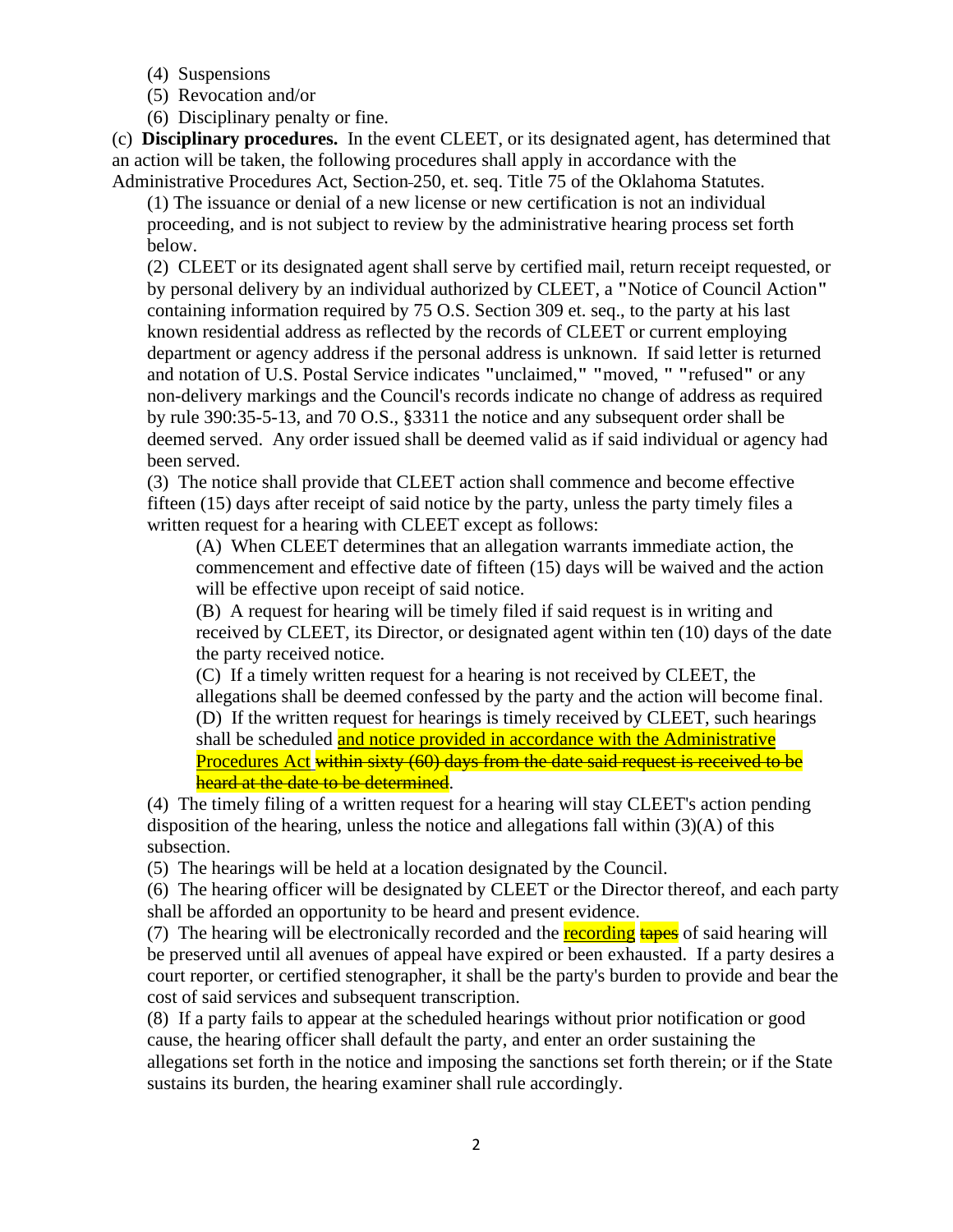- (4) Suspensions
- (5) Revocation and/or
- (6) Disciplinary penalty or fine.

(c) **Disciplinary procedures.** In the event CLEET, or its designated agent, has determined that an action will be taken, the following procedures shall apply in accordance with the Administrative Procedures Act, Section 250, et. seq. Title 75 of the Oklahoma Statutes.

(1) The issuance or denial of a new license or new certification is not an individual proceeding, and is not subject to review by the administrative hearing process set forth below.

(2) CLEET or its designated agent shall serve by certified mail, return receipt requested, or by personal delivery by an individual authorized by CLEET, a **"**Notice of Council Action**"** containing information required by 75 O.S. Section 309 et. seq., to the party at his last known residential address as reflected by the records of CLEET or current employing department or agency address if the personal address is unknown. If said letter is returned and notation of U.S. Postal Service indicates **"**unclaimed,**" "**moved, **" "**refused**"** or any non-delivery markings and the Council's records indicate no change of address as required by rule 390:35-5-13, and 70 O.S., §3311 the notice and any subsequent order shall be deemed served. Any order issued shall be deemed valid as if said individual or agency had been served.

(3) The notice shall provide that CLEET action shall commence and become effective fifteen (15) days after receipt of said notice by the party, unless the party timely files a written request for a hearing with CLEET except as follows:

(A) When CLEET determines that an allegation warrants immediate action, the commencement and effective date of fifteen (15) days will be waived and the action will be effective upon receipt of said notice.

(B) A request for hearing will be timely filed if said request is in writing and received by CLEET, its Director, or designated agent within ten (10) days of the date the party received notice.

(C) If a timely written request for a hearing is not received by CLEET, the allegations shall be deemed confessed by the party and the action will become final. (D) If the written request for hearings is timely received by CLEET, such hearings shall be scheduled and notice provided in accordance with the Administrative Procedures Act within sixty (60) days from the date said request is received to be heard at the date to be determined.

(4) The timely filing of a written request for a hearing will stay CLEET's action pending disposition of the hearing, unless the notice and allegations fall within  $(3)(A)$  of this subsection.

(5) The hearings will be held at a location designated by the Council.

(6) The hearing officer will be designated by CLEET or the Director thereof, and each party shall be afforded an opportunity to be heard and present evidence.

(7) The hearing will be electronically recorded and the recording tapes of said hearing will be preserved until all avenues of appeal have expired or been exhausted. If a party desires a court reporter, or certified stenographer, it shall be the party's burden to provide and bear the cost of said services and subsequent transcription.

(8) If a party fails to appear at the scheduled hearings without prior notification or good cause, the hearing officer shall default the party, and enter an order sustaining the allegations set forth in the notice and imposing the sanctions set forth therein; or if the State sustains its burden, the hearing examiner shall rule accordingly.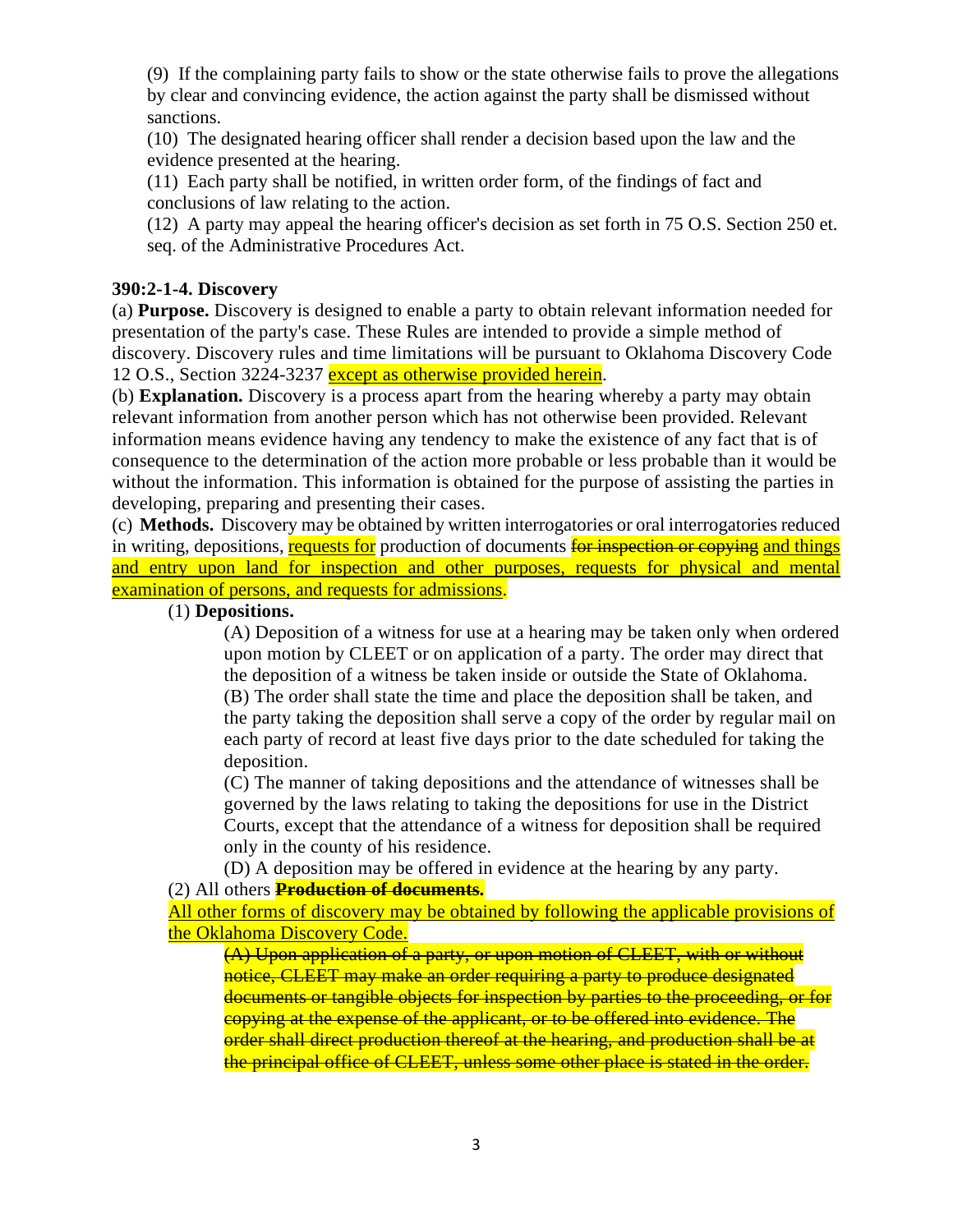(9) If the complaining party fails to show or the state otherwise fails to prove the allegations by clear and convincing evidence, the action against the party shall be dismissed without sanctions.

(10) The designated hearing officer shall render a decision based upon the law and the evidence presented at the hearing.

(11) Each party shall be notified, in written order form, of the findings of fact and conclusions of law relating to the action.

(12) A party may appeal the hearing officer's decision as set forth in 75 O.S. Section 250 et. seq. of the Administrative Procedures Act.

### **390:2-1-4. Discovery**

(a) **Purpose.** Discovery is designed to enable a party to obtain relevant information needed for presentation of the party's case. These Rules are intended to provide a simple method of discovery. Discovery rules and time limitations will be pursuant to Oklahoma Discovery Code 12 O.S., Section 3224-3237 except as otherwise provided herein.

(b) **Explanation.** Discovery is a process apart from the hearing whereby a party may obtain relevant information from another person which has not otherwise been provided. Relevant information means evidence having any tendency to make the existence of any fact that is of consequence to the determination of the action more probable or less probable than it would be without the information. This information is obtained for the purpose of assisting the parties in developing, preparing and presenting their cases.

(c) **Methods.** Discovery may be obtained by written interrogatories or oral interrogatories reduced in writing, depositions, requests for production of documents for inspection or copying and things and entry upon land for inspection and other purposes, requests for physical and mental examination of persons, and requests for admissions.

(1) **Depositions.**

(A) Deposition of a witness for use at a hearing may be taken only when ordered upon motion by CLEET or on application of a party. The order may direct that the deposition of a witness be taken inside or outside the State of Oklahoma. (B) The order shall state the time and place the deposition shall be taken, and the party taking the deposition shall serve a copy of the order by regular mail on each party of record at least five days prior to the date scheduled for taking the deposition.

(C) The manner of taking depositions and the attendance of witnesses shall be governed by the laws relating to taking the depositions for use in the District Courts, except that the attendance of a witness for deposition shall be required only in the county of his residence.

(D) A deposition may be offered in evidence at the hearing by any party.

### (2) All others **Production of documents.**

All other forms of discovery may be obtained by following the applicable provisions of the Oklahoma Discovery Code.

(A) Upon application of a party, or upon motion of CLEET, with or without notice, CLEET may make an order requiring a party to produce designated documents or tangible objects for inspection by parties to the proceeding, or for copying at the expense of the applicant, or to be offered into evidence. The order shall direct production thereof at the hearing, and production shall be at the principal office of CLEET, unless some other place is stated in the order.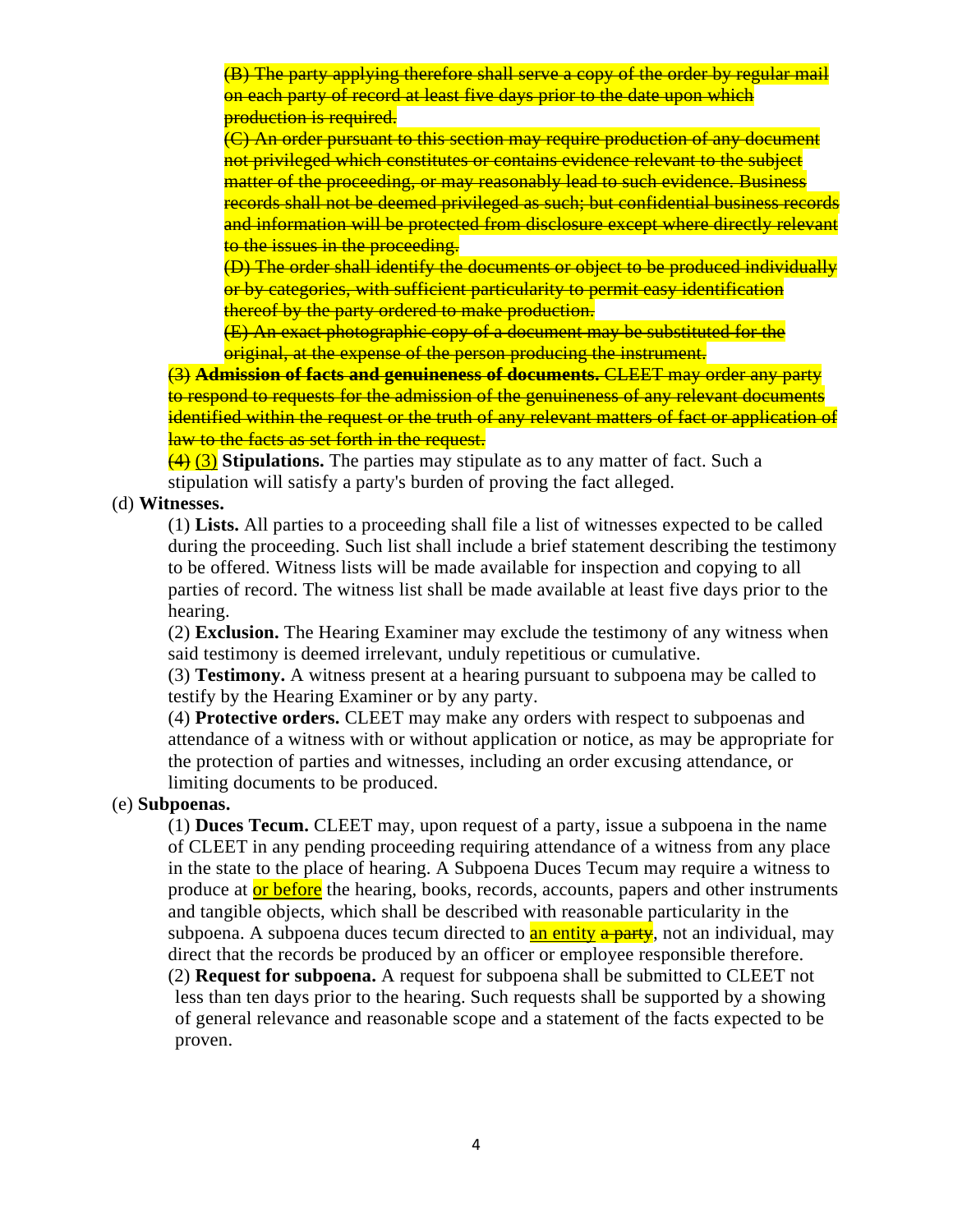(B) The party applying therefore shall serve a copy of the order by regular mail on each party of record at least five days prior to the date upon which **production is required.** 

(C) An order pursuant to this section may require production of any document not privileged which constitutes or contains evidence relevant to the subject matter of the proceeding, or may reasonably lead to such evidence. Business records shall not be deemed privileged as such; but confidential business records and information will be protected from disclosure except where directly relevant to the issues in the proceeding.

(D) The order shall identify the documents or object to be produced individually or by categories, with sufficient particularity to permit easy identification thereof by the party ordered to make production.

(E) An exact photographic copy of a document may be substituted for the original, at the expense of the person producing the instrument.

(3) **Admission of facts and genuineness of documents.** CLEET may order any party to respond to requests for the admission of the genuineness of any relevant documents identified within the request or the truth of any relevant matters of fact or application of law to the facts as set forth in the request.

(4) (3) **Stipulations.** The parties may stipulate as to any matter of fact. Such a stipulation will satisfy a party's burden of proving the fact alleged.

### (d) **Witnesses.**

(1) **Lists.** All parties to a proceeding shall file a list of witnesses expected to be called during the proceeding. Such list shall include a brief statement describing the testimony to be offered. Witness lists will be made available for inspection and copying to all parties of record. The witness list shall be made available at least five days prior to the hearing.

(2) **Exclusion.** The Hearing Examiner may exclude the testimony of any witness when said testimony is deemed irrelevant, unduly repetitious or cumulative.

(3) **Testimony.** A witness present at a hearing pursuant to subpoena may be called to testify by the Hearing Examiner or by any party.

(4) **Protective orders.** CLEET may make any orders with respect to subpoenas and attendance of a witness with or without application or notice, as may be appropriate for the protection of parties and witnesses, including an order excusing attendance, or limiting documents to be produced.

### (e) **Subpoenas.**

(1) **Duces Tecum.** CLEET may, upon request of a party, issue a subpoena in the name of CLEET in any pending proceeding requiring attendance of a witness from any place in the state to the place of hearing. A Subpoena Duces Tecum may require a witness to produce at or before the hearing, books, records, accounts, papers and other instruments and tangible objects, which shall be described with reasonable particularity in the subpoena. A subpoena duces tecum directed to an entity a party, not an individual, may direct that the records be produced by an officer or employee responsible therefore.

(2) **Request for subpoena.** A request for subpoena shall be submitted to CLEET not less than ten days prior to the hearing. Such requests shall be supported by a showing of general relevance and reasonable scope and a statement of the facts expected to be proven.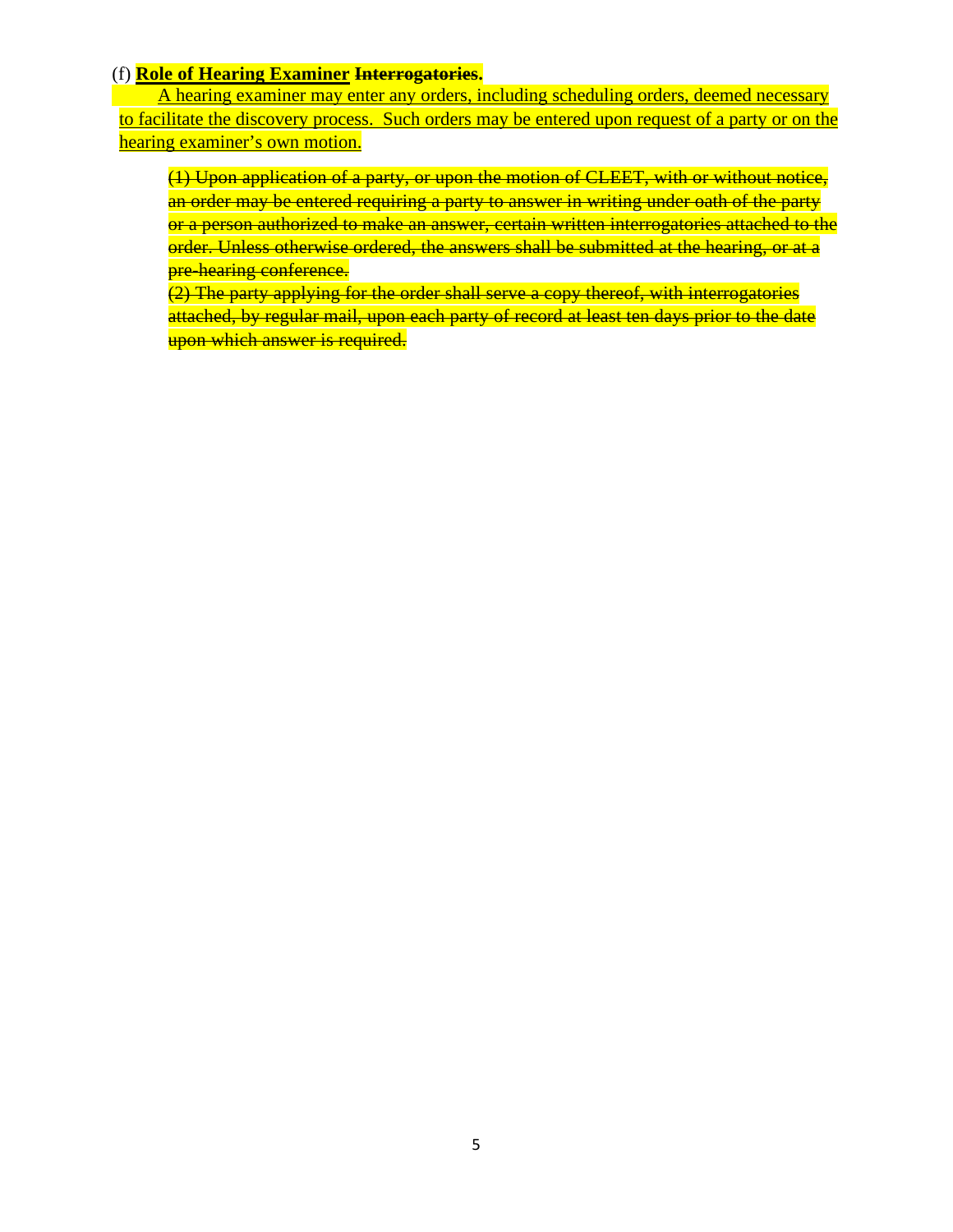#### (f) **Role of Hearing Examiner Interrogatories.**

A hearing examiner may enter any orders, including scheduling orders, deemed necessary to facilitate the discovery process. Such orders may be entered upon request of a party or on the hearing examiner's own motion.

(1) Upon application of a party, or upon the motion of CLEET, with or without notice, an order may be entered requiring a party to answer in writing under oath of the party or a person authorized to make an answer, certain written interrogatories attached to the order. Unless otherwise ordered, the answers shall be submitted at the hearing, or at a **pre-hearing conference.** 

(2) The party applying for the order shall serve a copy thereof, with interrogatories attached, by regular mail, upon each party of record at least ten days prior to the date upon which answer is required.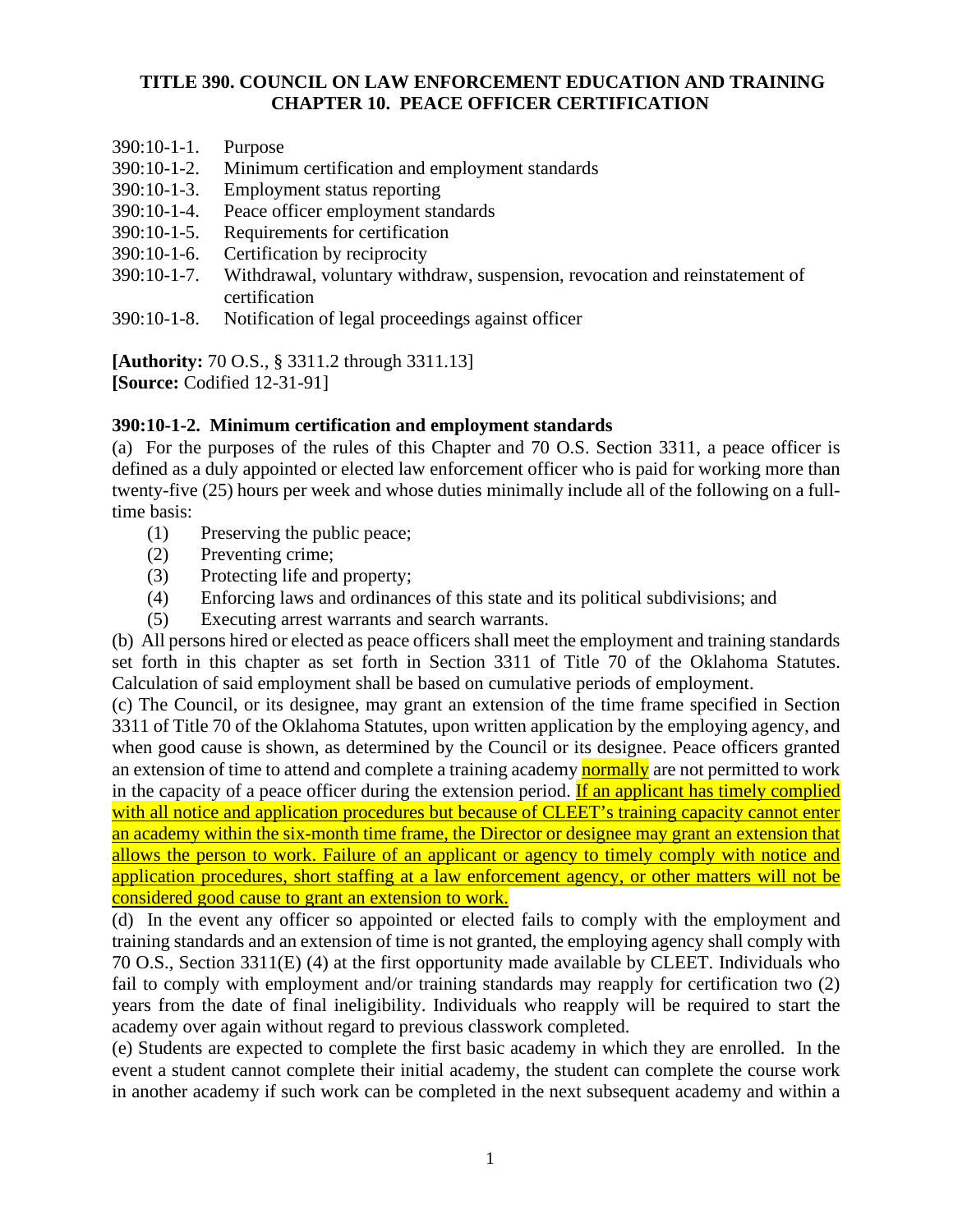## **TITLE 390. COUNCIL ON LAW ENFORCEMENT EDUCATION AND TRAINING CHAPTER 10. PEACE OFFICER CERTIFICATION**

- 390:10-1-1. Purpose
- 390:10-1-2. Minimum certification and employment standards
- 390:10-1-3. Employment status reporting
- 390:10-1-4. Peace officer employment standards
- 390:10-1-5. Requirements for certification
- 390:10-1-6. Certification by reciprocity
- 390:10-1-7. Withdrawal, voluntary withdraw, suspension, revocation and reinstatement of certification
- 390:10-1-8. Notification of legal proceedings against officer

**[Authority:** 70 O.S., § 3311.2 through 3311.13] **[Source:** Codified 12-31-91]

## **390:10-1-2. Minimum certification and employment standards**

(a) For the purposes of the rules of this Chapter and 70 O.S. Section 3311, a peace officer is defined as a duly appointed or elected law enforcement officer who is paid for working more than twenty-five (25) hours per week and whose duties minimally include all of the following on a fulltime basis:

- (1) Preserving the public peace;
- (2) Preventing crime;
- (3) Protecting life and property;
- (4) Enforcing laws and ordinances of this state and its political subdivisions; and
- (5) Executing arrest warrants and search warrants.

(b) All persons hired or elected as peace officers shall meet the employment and training standards set forth in this chapter as set forth in Section 3311 of Title 70 of the Oklahoma Statutes. Calculation of said employment shall be based on cumulative periods of employment.

(c) The Council, or its designee, may grant an extension of the time frame specified in Section 3311 of Title 70 of the Oklahoma Statutes, upon written application by the employing agency, and when good cause is shown, as determined by the Council or its designee. Peace officers granted an extension of time to attend and complete a training academy **normally** are not permitted to work in the capacity of a peace officer during the extension period. If an applicant has timely complied with all notice and application procedures but because of CLEET's training capacity cannot enter an academy within the six-month time frame, the Director or designee may grant an extension that allows the person to work. Failure of an applicant or agency to timely comply with notice and application procedures, short staffing at a law enforcement agency, or other matters will not be considered good cause to grant an extension to work.

(d) In the event any officer so appointed or elected fails to comply with the employment and training standards and an extension of time is not granted, the employing agency shall comply with 70 O.S., Section 3311(E) (4) at the first opportunity made available by CLEET. Individuals who fail to comply with employment and/or training standards may reapply for certification two (2) years from the date of final ineligibility. Individuals who reapply will be required to start the academy over again without regard to previous classwork completed.

(e) Students are expected to complete the first basic academy in which they are enrolled. In the event a student cannot complete their initial academy, the student can complete the course work in another academy if such work can be completed in the next subsequent academy and within a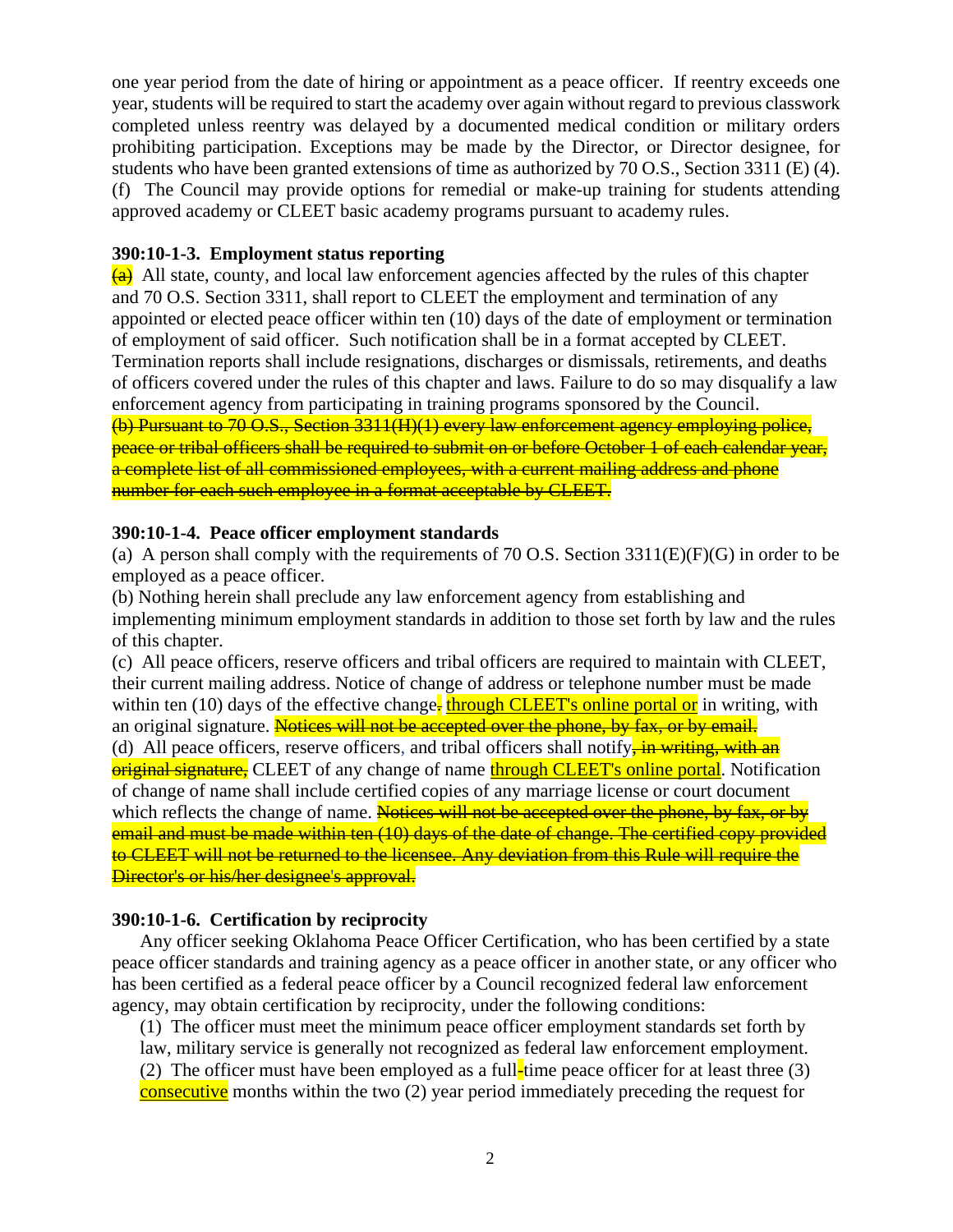one year period from the date of hiring or appointment as a peace officer. If reentry exceeds one year, students will be required to start the academy over again without regard to previous classwork completed unless reentry was delayed by a documented medical condition or military orders prohibiting participation. Exceptions may be made by the Director, or Director designee, for students who have been granted extensions of time as authorized by 70 O.S., Section 3311 (E) (4). (f) The Council may provide options for remedial or make-up training for students attending approved academy or CLEET basic academy programs pursuant to academy rules.

### **390:10-1-3. Employment status reporting**

 $\overline{a}$  All state, county, and local law enforcement agencies affected by the rules of this chapter and 70 O.S. Section 3311, shall report to CLEET the employment and termination of any appointed or elected peace officer within ten (10) days of the date of employment or termination of employment of said officer. Such notification shall be in a format accepted by CLEET. Termination reports shall include resignations, discharges or dismissals, retirements, and deaths of officers covered under the rules of this chapter and laws. Failure to do so may disqualify a law enforcement agency from participating in training programs sponsored by the Council. (b) Pursuant to 70 O.S., Section 3311(H)(1) every law enforcement agency employing police, peace or tribal officers shall be required to submit on or before October 1 of each calendar year, a complete list of all commissioned employees, with a current mailing address and phone number for each such employee in a format acceptable by CLEET.

### **390:10-1-4. Peace officer employment standards**

(a) A person shall comply with the requirements of 70 O.S. Section  $3311(E)(F)(G)$  in order to be employed as a peace officer.

(b) Nothing herein shall preclude any law enforcement agency from establishing and implementing minimum employment standards in addition to those set forth by law and the rules of this chapter.

(c) All peace officers, reserve officers and tribal officers are required to maintain with CLEET, their current mailing address. Notice of change of address or telephone number must be made within ten (10) days of the effective change. through CLEET's online portal or in writing, with an original signature. Notices will not be accepted over the phone, by fax, or by email. (d) All peace officers, reserve officers, and tribal officers shall notify<sub>r</sub> in writing, with an **original signature,** CLEET of any change of name through CLEET's online portal. Notification of change of name shall include certified copies of any marriage license or court document which reflects the change of name. Notices will not be accepted over the phone, by fax, or by email and must be made within ten (10) days of the date of change. The certified copy provided to CLEET will not be returned to the licensee. Any deviation from this Rule will require the Director's or his/her designee's approval.

### **390:10-1-6. Certification by reciprocity**

 Any officer seeking Oklahoma Peace Officer Certification, who has been certified by a state peace officer standards and training agency as a peace officer in another state, or any officer who has been certified as a federal peace officer by a Council recognized federal law enforcement agency, may obtain certification by reciprocity, under the following conditions:

(1) The officer must meet the minimum peace officer employment standards set forth by law, military service is generally not recognized as federal law enforcement employment. (2) The officer must have been employed as a full-time peace officer for at least three  $(3)$ consecutive months within the two (2) year period immediately preceding the request for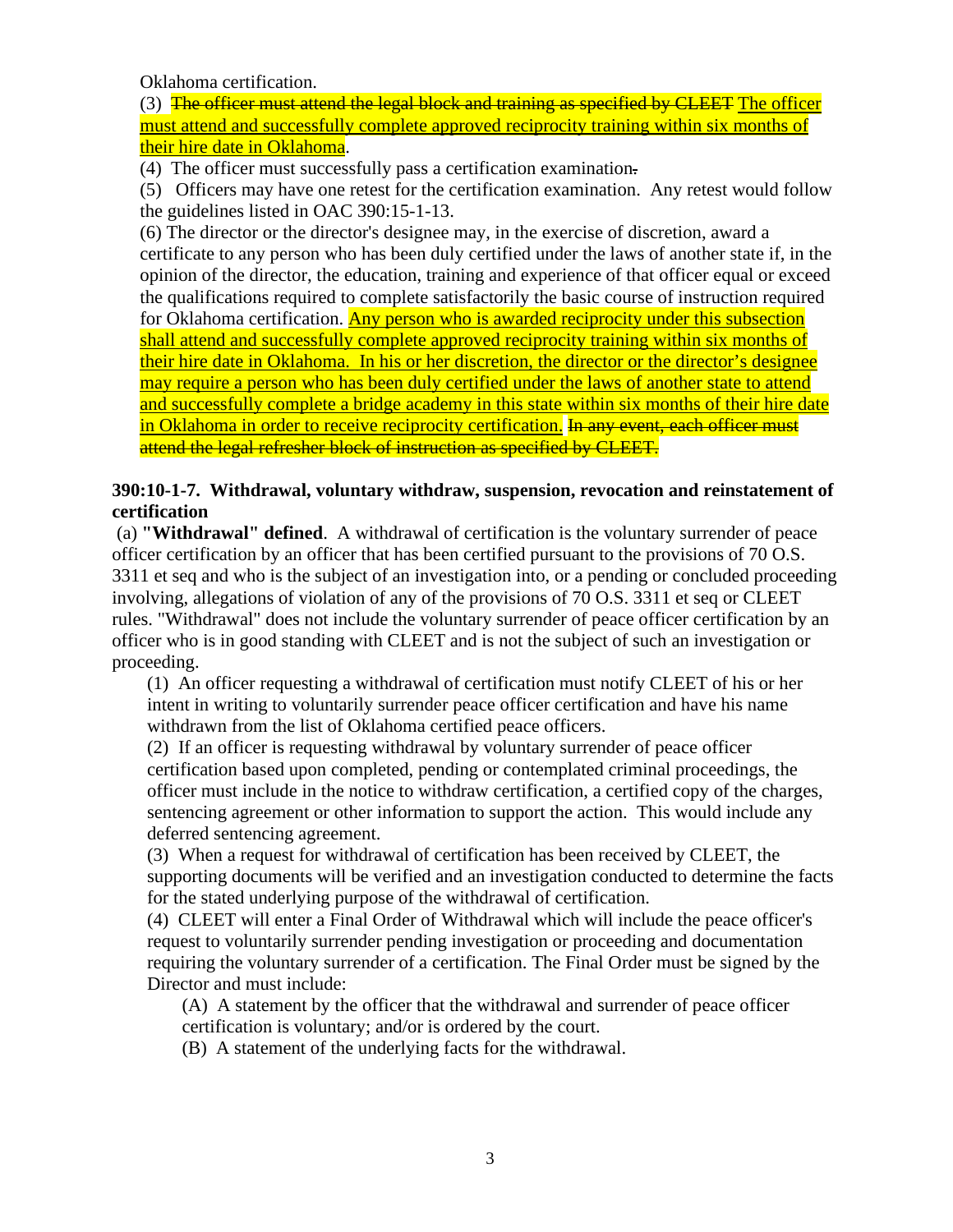Oklahoma certification.

(3) The officer must attend the legal block and training as specified by CLEET The officer must attend and successfully complete approved reciprocity training within six months of their hire date in Oklahoma.

(4) The officer must successfully pass a certification examination.

(5) Officers may have one retest for the certification examination. Any retest would follow the guidelines listed in OAC 390:15-1-13.

(6) The director or the director's designee may, in the exercise of discretion, award a certificate to any person who has been duly certified under the laws of another state if, in the opinion of the director, the education, training and experience of that officer equal or exceed the qualifications required to complete satisfactorily the basic course of instruction required for Oklahoma certification. Any person who is awarded reciprocity under this subsection shall attend and successfully complete approved reciprocity training within six months of their hire date in Oklahoma. In his or her discretion, the director or the director's designee may require a person who has been duly certified under the laws of another state to attend and successfully complete a bridge academy in this state within six months of their hire date in Oklahoma in order to receive reciprocity certification. In any event, each officer must attend the legal refresher block of instruction as specified by CLEET.

## **390:10-1-7. Withdrawal, voluntary withdraw, suspension, revocation and reinstatement of certification**

(a) **"Withdrawal" defined**. A withdrawal of certification is the voluntary surrender of peace officer certification by an officer that has been certified pursuant to the provisions of 70 O.S. 3311 et seq and who is the subject of an investigation into, or a pending or concluded proceeding involving, allegations of violation of any of the provisions of 70 O.S. 3311 et seq or CLEET rules. "Withdrawal" does not include the voluntary surrender of peace officer certification by an officer who is in good standing with CLEET and is not the subject of such an investigation or proceeding.

(1) An officer requesting a withdrawal of certification must notify CLEET of his or her intent in writing to voluntarily surrender peace officer certification and have his name withdrawn from the list of Oklahoma certified peace officers.

(2) If an officer is requesting withdrawal by voluntary surrender of peace officer certification based upon completed, pending or contemplated criminal proceedings, the officer must include in the notice to withdraw certification, a certified copy of the charges, sentencing agreement or other information to support the action. This would include any deferred sentencing agreement.

(3) When a request for withdrawal of certification has been received by CLEET, the supporting documents will be verified and an investigation conducted to determine the facts for the stated underlying purpose of the withdrawal of certification.

(4) CLEET will enter a Final Order of Withdrawal which will include the peace officer's request to voluntarily surrender pending investigation or proceeding and documentation requiring the voluntary surrender of a certification. The Final Order must be signed by the Director and must include:

(A) A statement by the officer that the withdrawal and surrender of peace officer certification is voluntary; and/or is ordered by the court.

(B) A statement of the underlying facts for the withdrawal.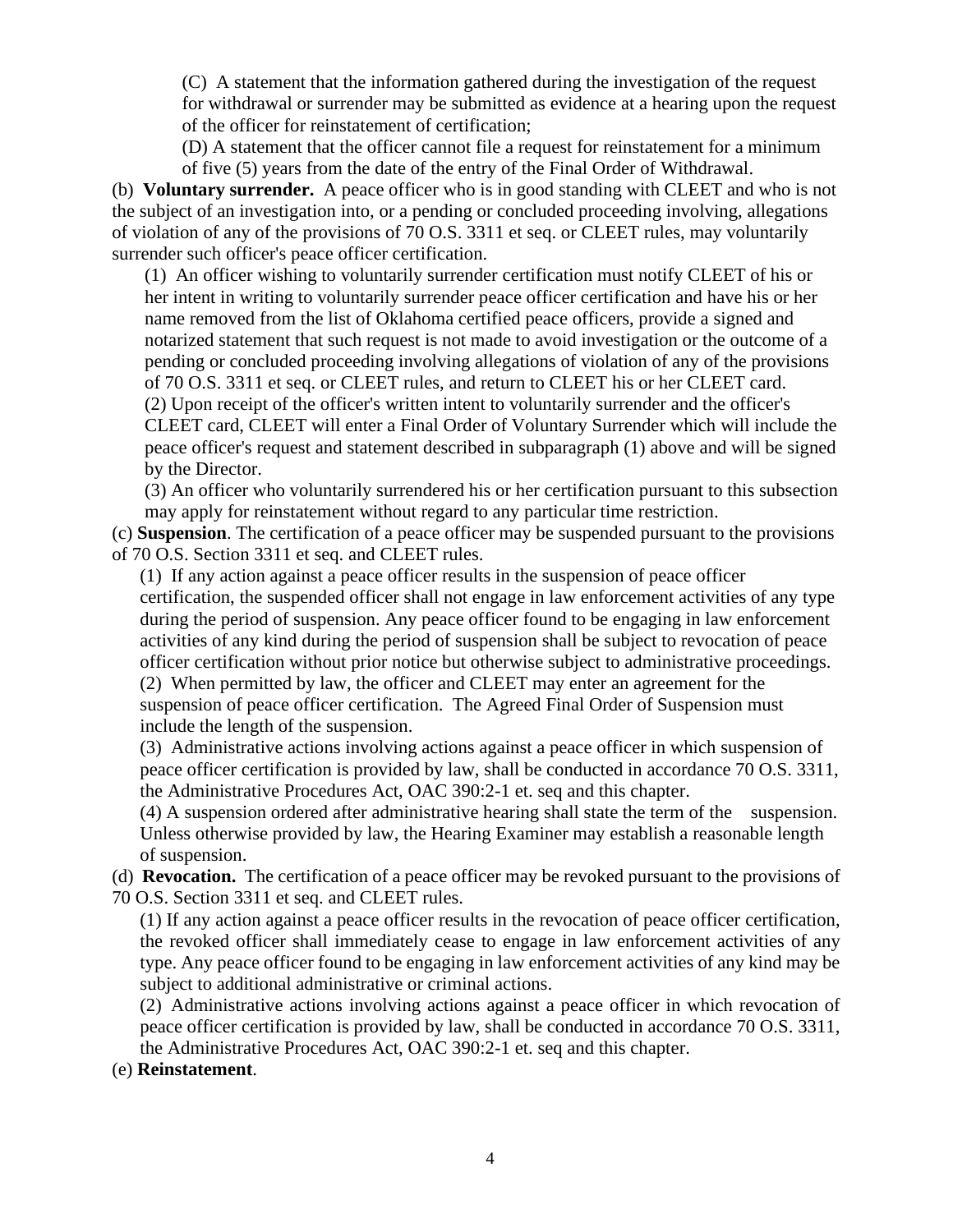(C) A statement that the information gathered during the investigation of the request for withdrawal or surrender may be submitted as evidence at a hearing upon the request of the officer for reinstatement of certification;

(D) A statement that the officer cannot file a request for reinstatement for a minimum of five (5) years from the date of the entry of the Final Order of Withdrawal.

(b) **Voluntary surrender.** A peace officer who is in good standing with CLEET and who is not the subject of an investigation into, or a pending or concluded proceeding involving, allegations of violation of any of the provisions of 70 O.S. 3311 et seq. or CLEET rules, may voluntarily surrender such officer's peace officer certification.

(1) An officer wishing to voluntarily surrender certification must notify CLEET of his or her intent in writing to voluntarily surrender peace officer certification and have his or her name removed from the list of Oklahoma certified peace officers, provide a signed and notarized statement that such request is not made to avoid investigation or the outcome of a pending or concluded proceeding involving allegations of violation of any of the provisions of 70 O.S. 3311 et seq. or CLEET rules, and return to CLEET his or her CLEET card. (2) Upon receipt of the officer's written intent to voluntarily surrender and the officer's CLEET card, CLEET will enter a Final Order of Voluntary Surrender which will include the peace officer's request and statement described in subparagraph (1) above and will be signed by the Director.

(3) An officer who voluntarily surrendered his or her certification pursuant to this subsection may apply for reinstatement without regard to any particular time restriction.

(c) **Suspension**. The certification of a peace officer may be suspended pursuant to the provisions of 70 O.S. Section 3311 et seq. and CLEET rules.

(1) If any action against a peace officer results in the suspension of peace officer certification, the suspended officer shall not engage in law enforcement activities of any type during the period of suspension. Any peace officer found to be engaging in law enforcement activities of any kind during the period of suspension shall be subject to revocation of peace officer certification without prior notice but otherwise subject to administrative proceedings. (2) When permitted by law, the officer and CLEET may enter an agreement for the suspension of peace officer certification. The Agreed Final Order of Suspension must include the length of the suspension.

(3) Administrative actions involving actions against a peace officer in which suspension of peace officer certification is provided by law, shall be conducted in accordance 70 O.S. 3311, the Administrative Procedures Act, OAC 390:2-1 et. seq and this chapter.

(4) A suspension ordered after administrative hearing shall state the term of the suspension. Unless otherwise provided by law, the Hearing Examiner may establish a reasonable length of suspension.

(d) **Revocation.** The certification of a peace officer may be revoked pursuant to the provisions of 70 O.S. Section 3311 et seq. and CLEET rules.

(1) If any action against a peace officer results in the revocation of peace officer certification, the revoked officer shall immediately cease to engage in law enforcement activities of any type. Any peace officer found to be engaging in law enforcement activities of any kind may be subject to additional administrative or criminal actions.

(2) Administrative actions involving actions against a peace officer in which revocation of peace officer certification is provided by law, shall be conducted in accordance 70 O.S. 3311, the Administrative Procedures Act, OAC 390:2-1 et. seq and this chapter.

(e) **Reinstatement**.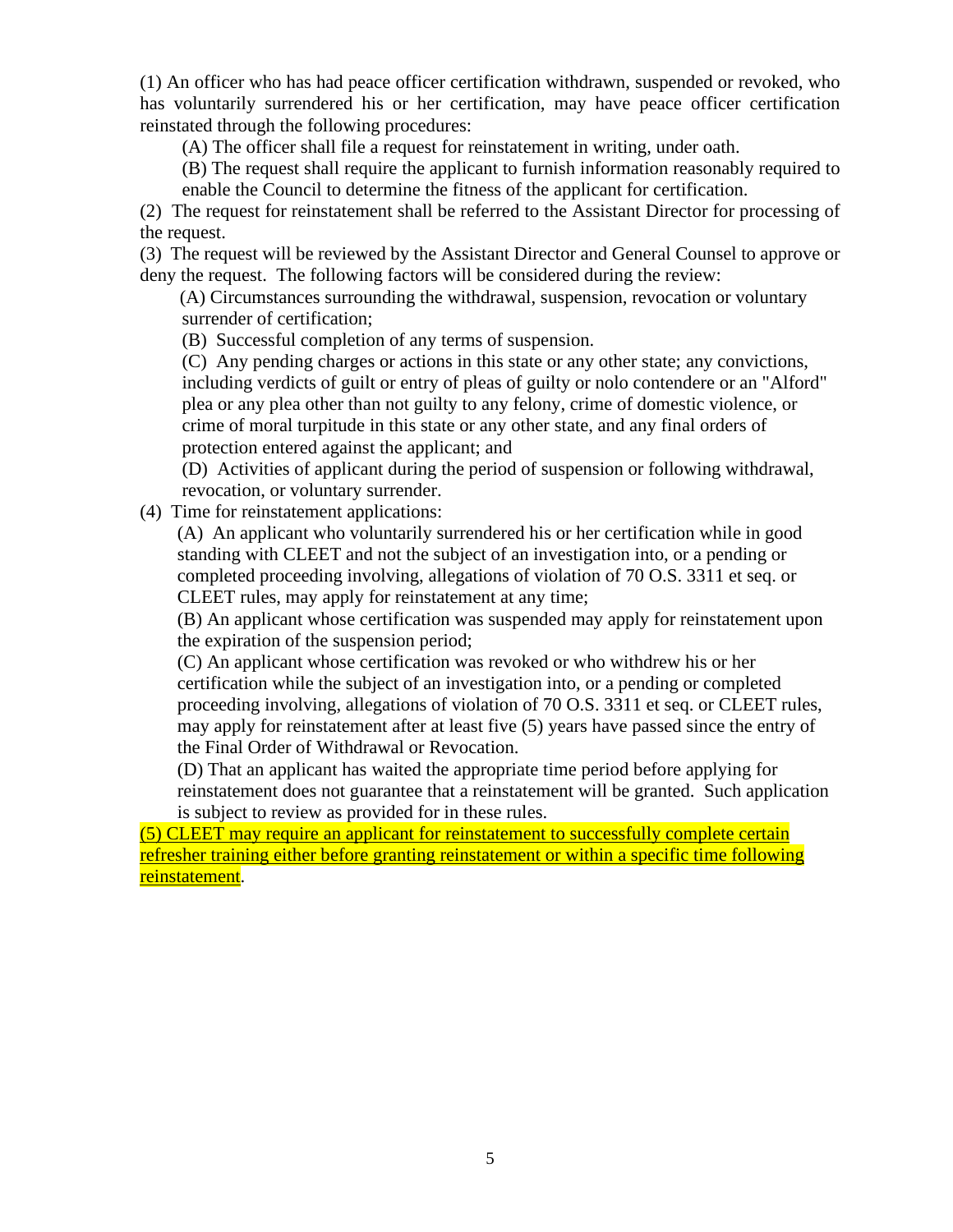(1) An officer who has had peace officer certification withdrawn, suspended or revoked, who has voluntarily surrendered his or her certification, may have peace officer certification reinstated through the following procedures:

(A) The officer shall file a request for reinstatement in writing, under oath.

(B) The request shall require the applicant to furnish information reasonably required to enable the Council to determine the fitness of the applicant for certification.

(2) The request for reinstatement shall be referred to the Assistant Director for processing of the request.

(3) The request will be reviewed by the Assistant Director and General Counsel to approve or deny the request. The following factors will be considered during the review:

(A) Circumstances surrounding the withdrawal, suspension, revocation or voluntary surrender of certification;

(B) Successful completion of any terms of suspension.

(C) Any pending charges or actions in this state or any other state; any convictions, including verdicts of guilt or entry of pleas of guilty or nolo contendere or an "Alford" plea or any plea other than not guilty to any felony, crime of domestic violence, or crime of moral turpitude in this state or any other state, and any final orders of protection entered against the applicant; and

(D) Activities of applicant during the period of suspension or following withdrawal, revocation, or voluntary surrender.

(4) Time for reinstatement applications:

(A) An applicant who voluntarily surrendered his or her certification while in good standing with CLEET and not the subject of an investigation into, or a pending or completed proceeding involving, allegations of violation of 70 O.S. 3311 et seq. or CLEET rules, may apply for reinstatement at any time;

(B) An applicant whose certification was suspended may apply for reinstatement upon the expiration of the suspension period;

(C) An applicant whose certification was revoked or who withdrew his or her certification while the subject of an investigation into, or a pending or completed proceeding involving, allegations of violation of 70 O.S. 3311 et seq. or CLEET rules, may apply for reinstatement after at least five (5) years have passed since the entry of the Final Order of Withdrawal or Revocation.

(D) That an applicant has waited the appropriate time period before applying for reinstatement does not guarantee that a reinstatement will be granted. Such application is subject to review as provided for in these rules.

(5) CLEET may require an applicant for reinstatement to successfully complete certain refresher training either before granting reinstatement or within a specific time following reinstatement.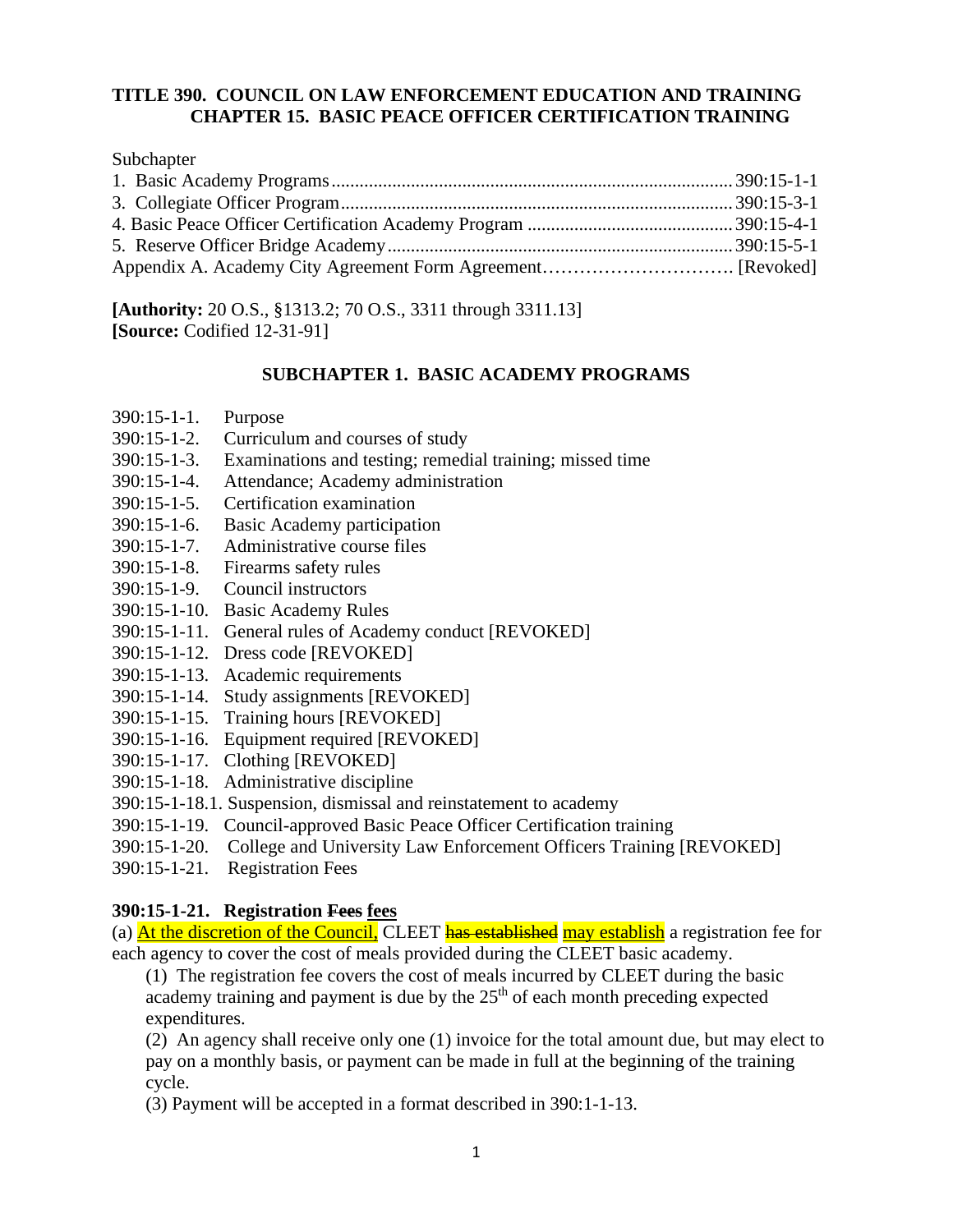## **TITLE 390. COUNCIL ON LAW ENFORCEMENT EDUCATION AND TRAINING CHAPTER 15. BASIC PEACE OFFICER CERTIFICATION TRAINING**

#### Subchapter

**[Authority:** 20 O.S., §1313.2; 70 O.S., 3311 through 3311.13] **[Source:** Codified 12-31-91]

### **SUBCHAPTER 1. BASIC ACADEMY PROGRAMS**

- 390:15-1-1. Purpose
- 390:15-1-2. Curriculum and courses of study
- 390:15-1-3. Examinations and testing; remedial training; missed time
- Attendance: Academy administration
- 390:15-1-5. Certification examination
- 390:15-1-6. Basic Academy participation
- 390:15-1-7. Administrative course files
- 390:15-1-8. Firearms safety rules
- 390:15-1-9. Council instructors
- 390:15-1-10. Basic Academy Rules
- 390:15-1-11. General rules of Academy conduct [REVOKED]
- 390:15-1-12. Dress code [REVOKED]
- 390:15-1-13. Academic requirements
- 390:15-1-14. Study assignments [REVOKED]
- 390:15-1-15. Training hours [REVOKED]
- 390:15-1-16. Equipment required [REVOKED]
- 390:15-1-17. Clothing [REVOKED]
- 390:15-1-18. Administrative discipline
- 390:15-1-18.1. Suspension, dismissal and reinstatement to academy
- 390:15-1-19. Council-approved Basic Peace Officer Certification training
- 390:15-1-20. College and University Law Enforcement Officers Training [REVOKED]
- 390:15-1-21. Registration Fees

## **390:15-1-21. Registration Fees fees**

(a) At the discretion of the Council, CLEET has established may establish a registration fee for each agency to cover the cost of meals provided during the CLEET basic academy.

(1) The registration fee covers the cost of meals incurred by CLEET during the basic academy training and payment is due by the  $25<sup>th</sup>$  of each month preceding expected expenditures.

(2) An agency shall receive only one (1) invoice for the total amount due, but may elect to pay on a monthly basis, or payment can be made in full at the beginning of the training cycle.

(3) Payment will be accepted in a format described in 390:1-1-13.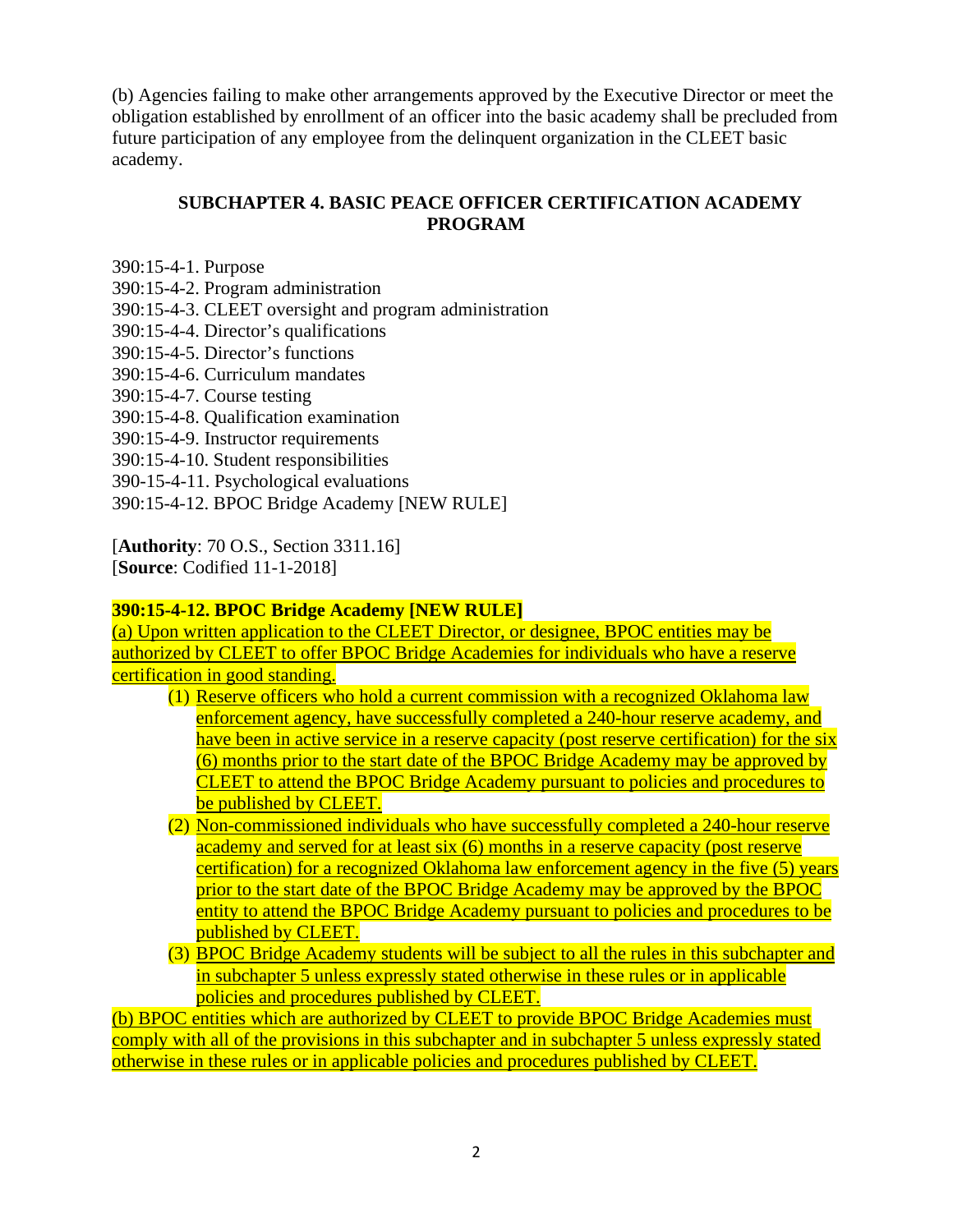(b) Agencies failing to make other arrangements approved by the Executive Director or meet the obligation established by enrollment of an officer into the basic academy shall be precluded from future participation of any employee from the delinquent organization in the CLEET basic academy.

## **SUBCHAPTER 4. BASIC PEACE OFFICER CERTIFICATION ACADEMY PROGRAM**

390:15-4-1. Purpose

- 390:15-4-2. Program administration
- 390:15-4-3. CLEET oversight and program administration
- 390:15-4-4. Director's qualifications
- 390:15-4-5. Director's functions
- 390:15-4-6. Curriculum mandates
- 390:15-4-7. Course testing
- 390:15-4-8. Qualification examination
- 390:15-4-9. Instructor requirements
- 390:15-4-10. Student responsibilities
- 390-15-4-11. Psychological evaluations
- 390:15-4-12. BPOC Bridge Academy [NEW RULE]

[**Authority**: 70 O.S., Section 3311.16] [**Source**: Codified 11-1-2018]

# **390:15-4-12. BPOC Bridge Academy [NEW RULE]**

(a) Upon written application to the CLEET Director, or designee, BPOC entities may be authorized by CLEET to offer BPOC Bridge Academies for individuals who have a reserve certification in good standing.

- (1) Reserve officers who hold a current commission with a recognized Oklahoma law enforcement agency, have successfully completed a 240-hour reserve academy, and have been in active service in a reserve capacity (post reserve certification) for the six  $(6)$  months prior to the start date of the BPOC Bridge Academy may be approved by CLEET to attend the BPOC Bridge Academy pursuant to policies and procedures to be published by CLEET.
- (2) Non-commissioned individuals who have successfully completed a 240-hour reserve academy and served for at least six (6) months in a reserve capacity (post reserve certification) for a recognized Oklahoma law enforcement agency in the five (5) years prior to the start date of the BPOC Bridge Academy may be approved by the BPOC entity to attend the BPOC Bridge Academy pursuant to policies and procedures to be published by CLEET.
- (3) BPOC Bridge Academy students will be subject to all the rules in this subchapter and in subchapter 5 unless expressly stated otherwise in these rules or in applicable policies and procedures published by CLEET.

(b) BPOC entities which are authorized by CLEET to provide BPOC Bridge Academies must comply with all of the provisions in this subchapter and in subchapter 5 unless expressly stated otherwise in these rules or in applicable policies and procedures published by CLEET.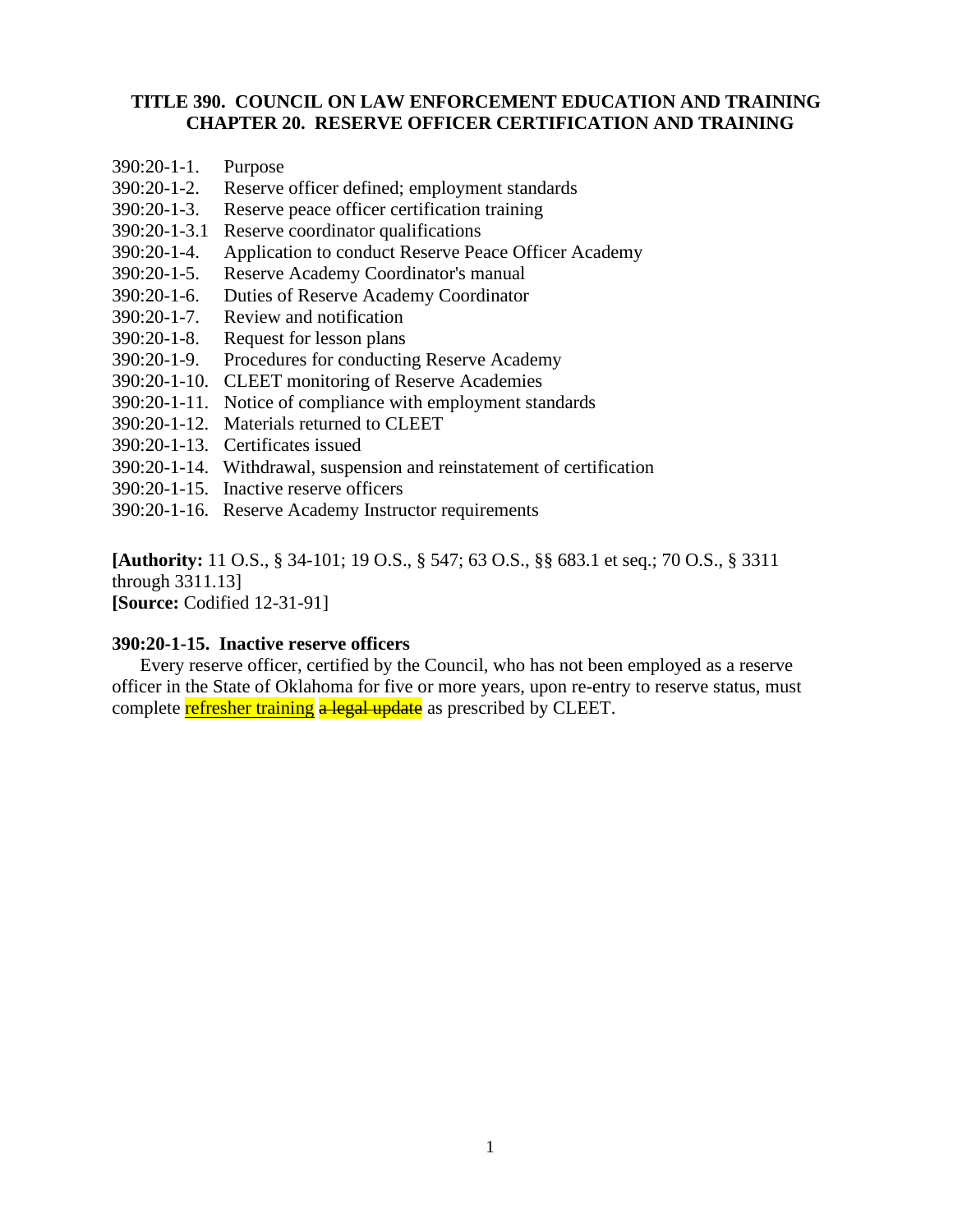### **TITLE 390. COUNCIL ON LAW ENFORCEMENT EDUCATION AND TRAINING CHAPTER 20. RESERVE OFFICER CERTIFICATION AND TRAINING**

- 390:20-1-1. Purpose
- 390:20-1-2. Reserve officer defined; employment standards
- 390:20-1-3. Reserve peace officer certification training
- 390:20-1-3.1 Reserve coordinator qualifications
- 390:20-1-4. Application to conduct Reserve Peace Officer Academy
- 390:20-1-5. Reserve Academy Coordinator's manual
- 390:20-1-6. Duties of Reserve Academy Coordinator
- Review and notification
- 390:20-1-8. Request for lesson plans
- 390:20-1-9. Procedures for conducting Reserve Academy
- 390:20-1-10. CLEET monitoring of Reserve Academies
- 390:20-1-11. Notice of compliance with employment standards
- 390:20-1-12. Materials returned to CLEET
- 390:20-1-13. Certificates issued
- 390:20-1-14. Withdrawal, suspension and reinstatement of certification
- 390:20-1-15. Inactive reserve officers
- 390:20-1-16. Reserve Academy Instructor requirements

**[Authority:** 11 O.S., § 34-101; 19 O.S., § 547; 63 O.S., §§ 683.1 et seq.; 70 O.S., § 3311 through 3311.13] **[Source:** Codified 12-31-91]

#### **390:20-1-15. Inactive reserve officers**

Every reserve officer, certified by the Council, who has not been employed as a reserve officer in the State of Oklahoma for five or more years, upon re-entry to reserve status, must complete refresher training a legal update as prescribed by CLEET.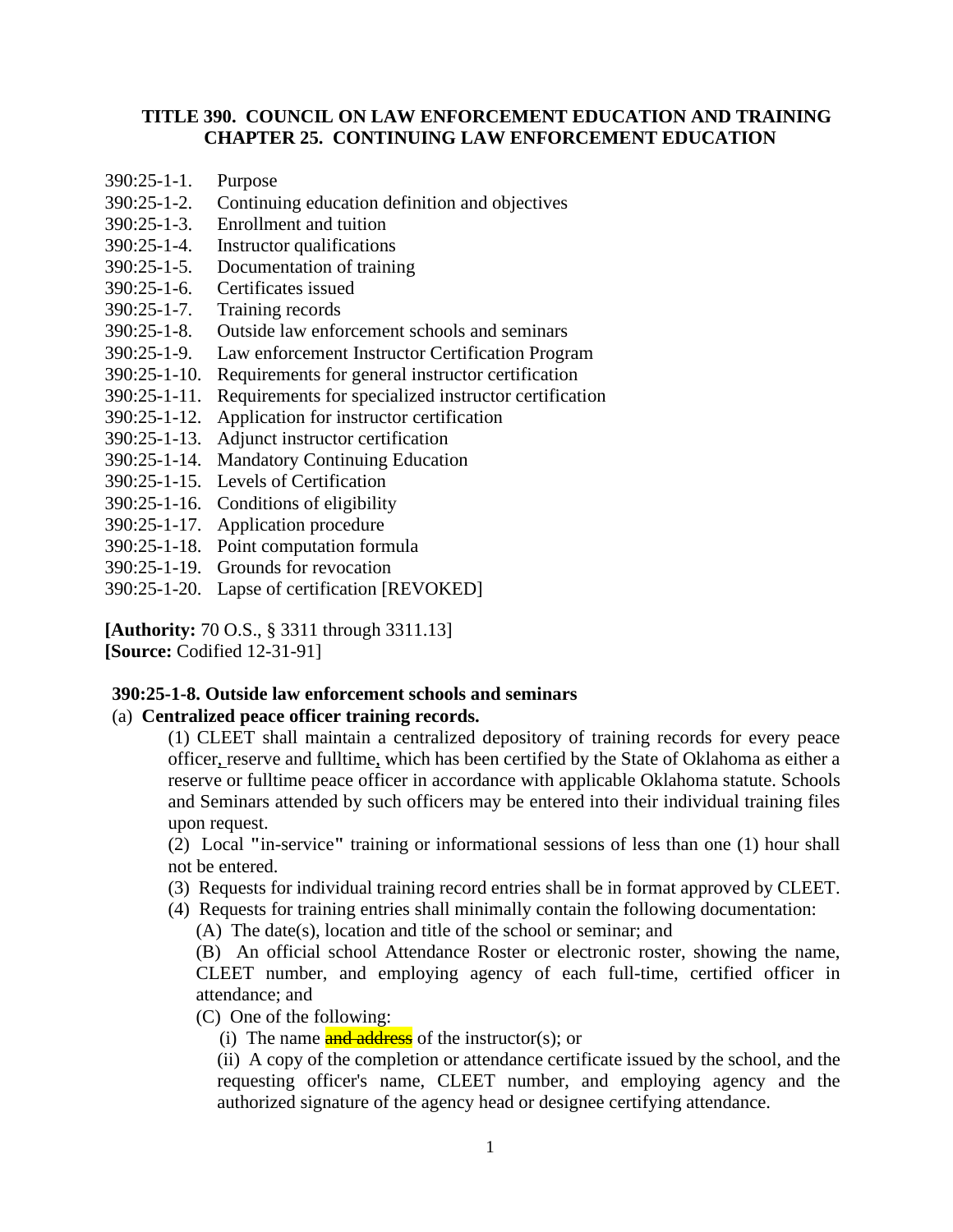### **TITLE 390. COUNCIL ON LAW ENFORCEMENT EDUCATION AND TRAINING CHAPTER 25. CONTINUING LAW ENFORCEMENT EDUCATION**

- 390:25-1-1. Purpose
- 390:25-1-2. Continuing education definition and objectives
- 390:25-1-3. Enrollment and tuition
- 390:25-1-4. Instructor qualifications
- 390:25-1-5. Documentation of training
- 390:25-1-6. Certificates issued
- 390:25-1-7. Training records
- 390:25-1-8. Outside law enforcement schools and seminars
- 390:25-1-9. Law enforcement Instructor Certification Program
- 390:25-1-10. Requirements for general instructor certification
- 390:25-1-11. Requirements for specialized instructor certification
- 390:25-1-12. Application for instructor certification
- 390:25-1-13. Adjunct instructor certification
- 390:25-1-14. Mandatory Continuing Education
- 390:25-1-15. Levels of Certification
- 390:25-1-16. Conditions of eligibility
- 390:25-1-17. Application procedure
- 390:25-1-18. Point computation formula
- 390:25-1-19. Grounds for revocation
- 390:25-1-20. Lapse of certification [REVOKED]

**[Authority:** 70 O.S., § 3311 through 3311.13] **[Source:** Codified 12-31-91]

# **390:25-1-8. Outside law enforcement schools and seminars**

#### (a) **Centralized peace officer training records.**

(1) CLEET shall maintain a centralized depository of training records for every peace officer, reserve and fulltime, which has been certified by the State of Oklahoma as either a reserve or fulltime peace officer in accordance with applicable Oklahoma statute. Schools and Seminars attended by such officers may be entered into their individual training files upon request.

(2) Local **"**in-service**"** training or informational sessions of less than one (1) hour shall not be entered.

- (3) Requests for individual training record entries shall be in format approved by CLEET.
- (4) Requests for training entries shall minimally contain the following documentation:

(A) The date(s), location and title of the school or seminar; and

(B) An official school Attendance Roster or electronic roster, showing the name, CLEET number, and employing agency of each full-time, certified officer in attendance; and

(C) One of the following:

(i) The name  $\frac{and \text{ address}}{and \text{ integers}}$  of the instructor(s); or

(ii) A copy of the completion or attendance certificate issued by the school, and the requesting officer's name, CLEET number, and employing agency and the authorized signature of the agency head or designee certifying attendance.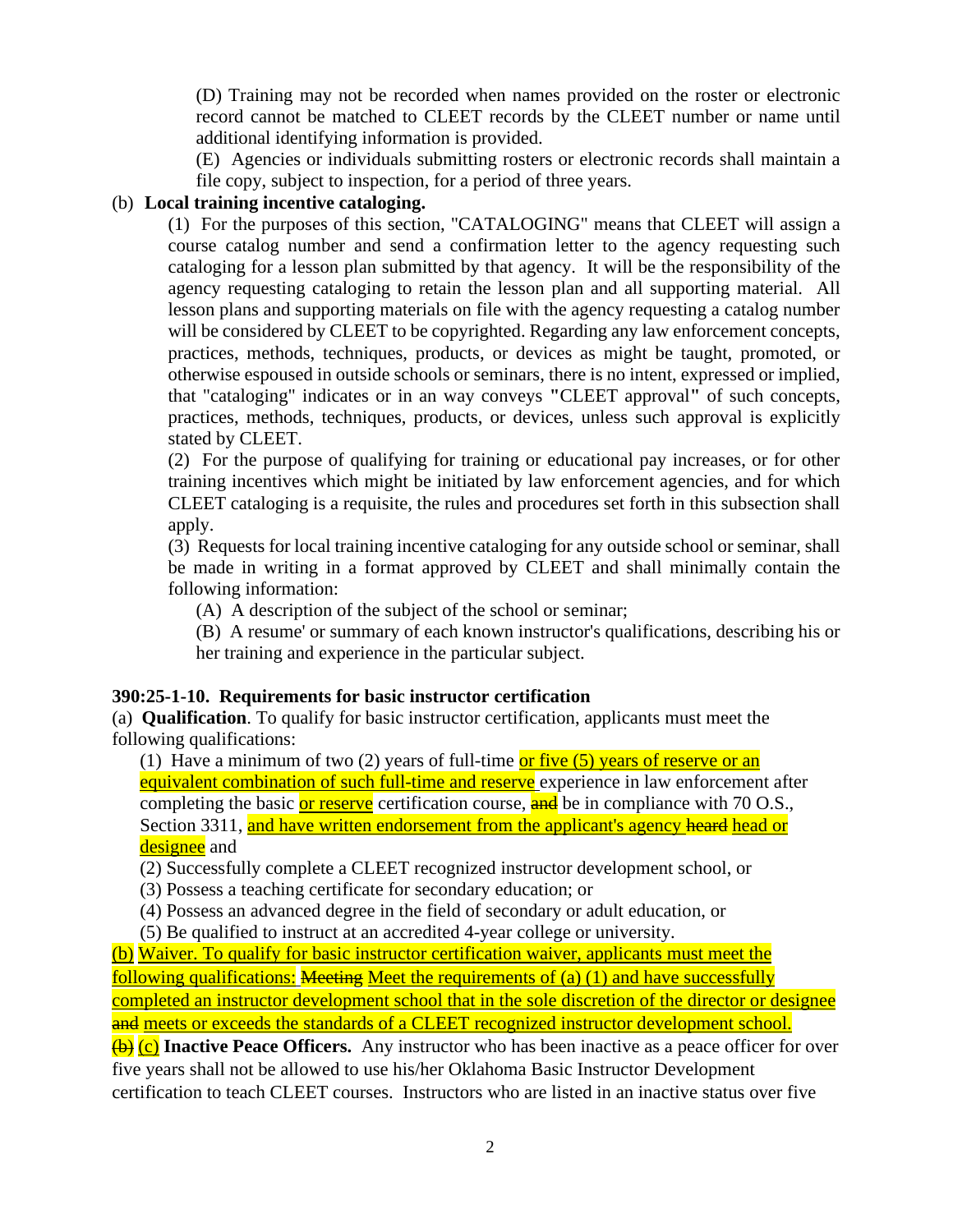(D) Training may not be recorded when names provided on the roster or electronic record cannot be matched to CLEET records by the CLEET number or name until additional identifying information is provided.

(E) Agencies or individuals submitting rosters or electronic records shall maintain a file copy, subject to inspection, for a period of three years.

### (b) **Local training incentive cataloging.**

(1) For the purposes of this section, "CATALOGING" means that CLEET will assign a course catalog number and send a confirmation letter to the agency requesting such cataloging for a lesson plan submitted by that agency. It will be the responsibility of the agency requesting cataloging to retain the lesson plan and all supporting material. All lesson plans and supporting materials on file with the agency requesting a catalog number will be considered by CLEET to be copyrighted. Regarding any law enforcement concepts, practices, methods, techniques, products, or devices as might be taught, promoted, or otherwise espoused in outside schools or seminars, there is no intent, expressed or implied, that "cataloging" indicates or in an way conveys **"**CLEET approval**"** of such concepts, practices, methods, techniques, products, or devices, unless such approval is explicitly stated by CLEET.

(2) For the purpose of qualifying for training or educational pay increases, or for other training incentives which might be initiated by law enforcement agencies, and for which CLEET cataloging is a requisite, the rules and procedures set forth in this subsection shall apply.

(3) Requests for local training incentive cataloging for any outside school or seminar, shall be made in writing in a format approved by CLEET and shall minimally contain the following information:

(A) A description of the subject of the school or seminar;

(B) A resume' or summary of each known instructor's qualifications, describing his or her training and experience in the particular subject.

### **390:25-1-10. Requirements for basic instructor certification**

(a) **Qualification**. To qualify for basic instructor certification, applicants must meet the following qualifications:

(1) Have a minimum of two (2) years of full-time or five  $(5)$  years of reserve or an equivalent combination of such full-time and reserve experience in law enforcement after completing the basic or reserve certification course, and be in compliance with 70 O.S., Section 3311, and have written endorsement from the applicant's agency heard head or designee and

(2) Successfully complete a CLEET recognized instructor development school, or

- (3) Possess a teaching certificate for secondary education; or
- (4) Possess an advanced degree in the field of secondary or adult education, or
- (5) Be qualified to instruct at an accredited 4-year college or university.

(b) Waiver. To qualify for basic instructor certification waiver, applicants must meet the following qualifications:  $M$ eeting Meet the requirements of (a) (1) and have successfully completed an instructor development school that in the sole discretion of the director or designee and meets or exceeds the standards of a CLEET recognized instructor development school.

(b) (c) **Inactive Peace Officers.** Any instructor who has been inactive as a peace officer for over five years shall not be allowed to use his/her Oklahoma Basic Instructor Development certification to teach CLEET courses. Instructors who are listed in an inactive status over five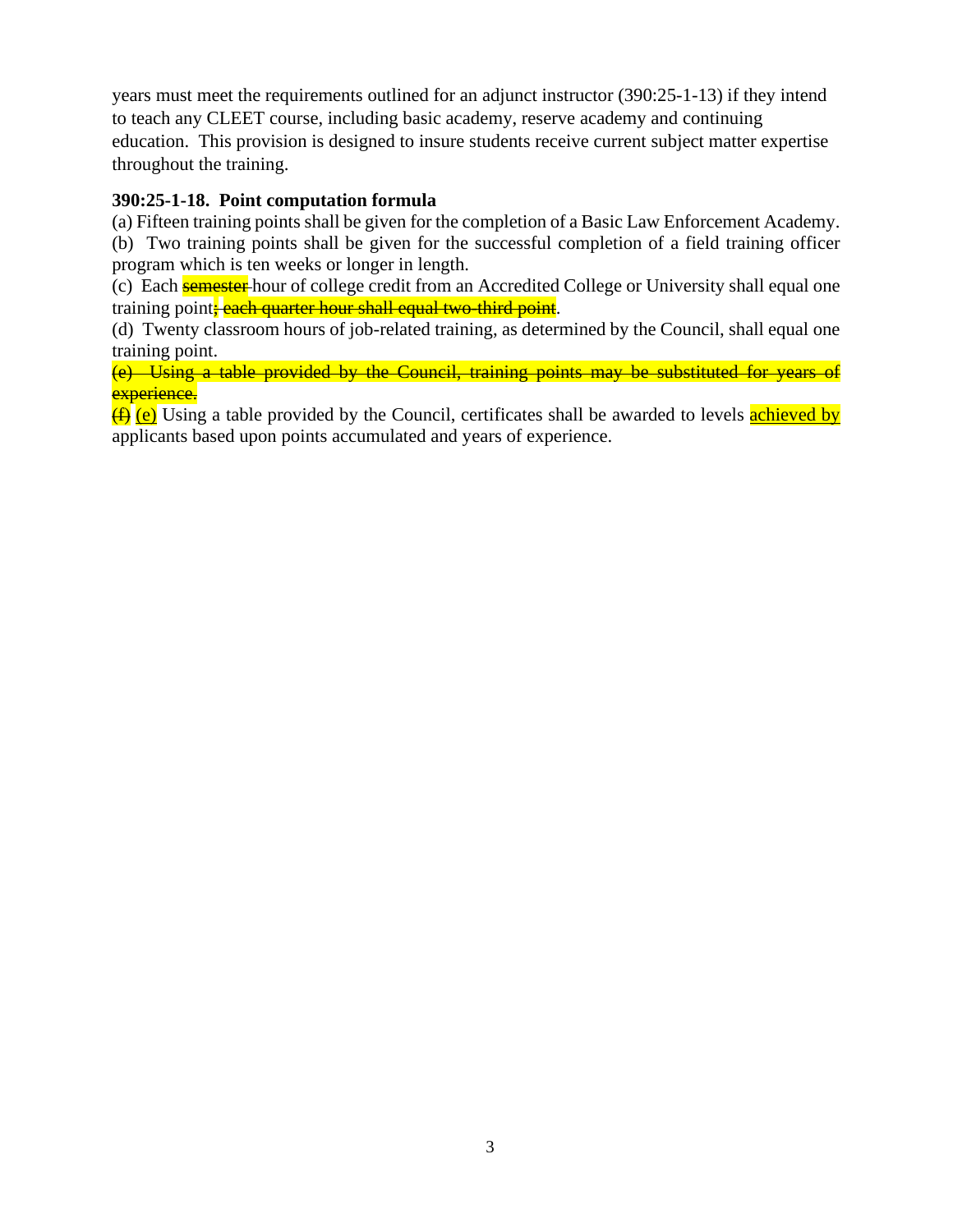years must meet the requirements outlined for an adjunct instructor (390:25-1-13) if they intend to teach any CLEET course, including basic academy, reserve academy and continuing education. This provision is designed to insure students receive current subject matter expertise throughout the training.

## **390:25-1-18. Point computation formula**

(a) Fifteen training points shall be given for the completion of a Basic Law Enforcement Academy.

(b) Two training points shall be given for the successful completion of a field training officer program which is ten weeks or longer in length.

(c) Each **semester** hour of college credit from an Accredited College or University shall equal one training point<sub>;</sub> each quarter hour shall equal two-third point.

(d) Twenty classroom hours of job-related training, as determined by the Council, shall equal one training point.

(e) Using a table provided by the Council, training points may be substituted for years of experience.

 $\left(\frac{f}{f}\right)$  (e) Using a table provided by the Council, certificates shall be awarded to levels achieved by applicants based upon points accumulated and years of experience.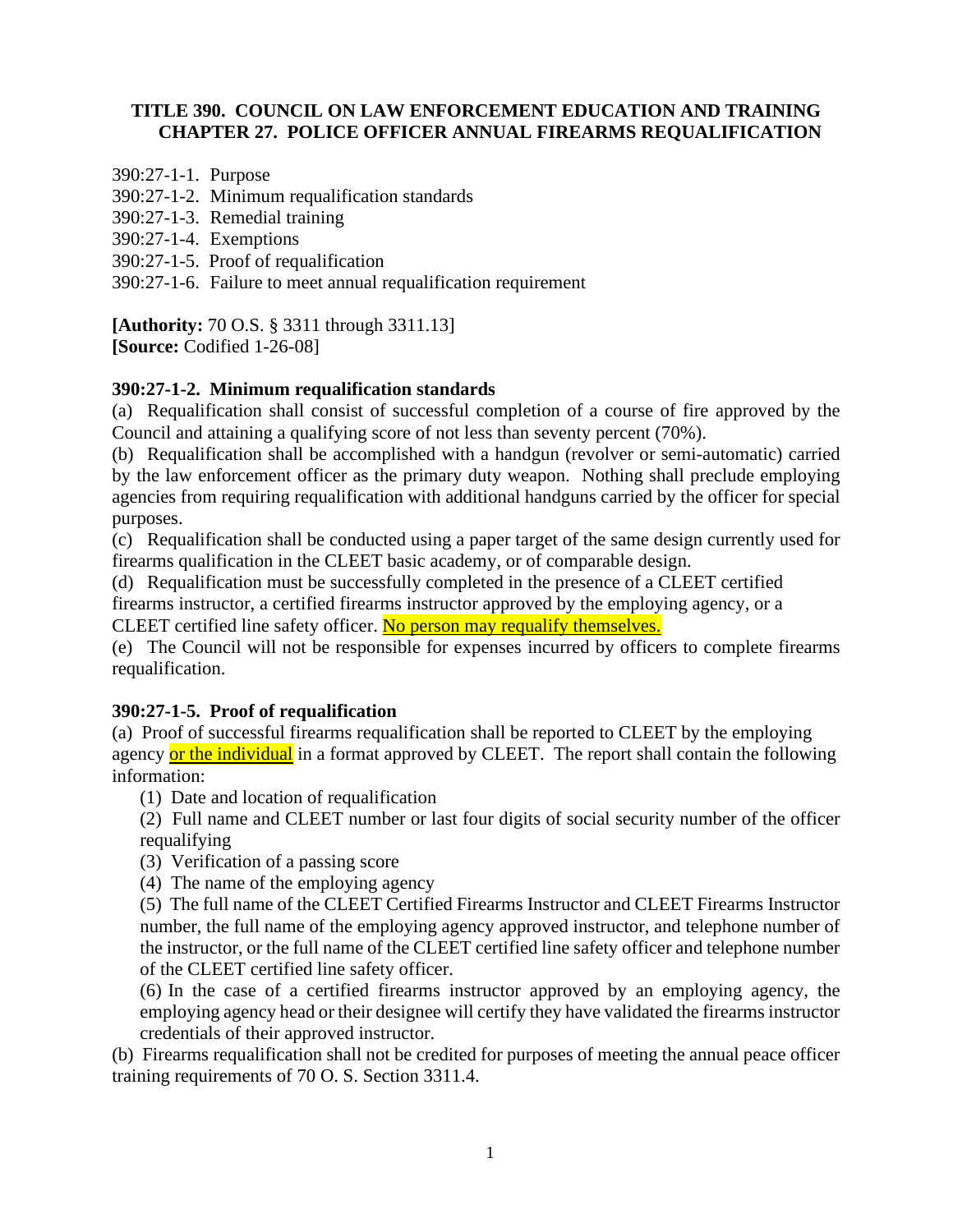### **TITLE 390. COUNCIL ON LAW ENFORCEMENT EDUCATION AND TRAINING CHAPTER 27. POLICE OFFICER ANNUAL FIREARMS REQUALIFICATION**

- 390:27-1-1. Purpose
- 390:27-1-2. Minimum requalification standards
- 390:27-1-3. Remedial training
- 390:27-1-4. Exemptions
- 390:27-1-5. Proof of requalification
- 390:27-1-6. Failure to meet annual requalification requirement

**[Authority:** 70 O.S. § 3311 through 3311.13] **[Source:** Codified 1-26-08]

### **390:27-1-2. Minimum requalification standards**

(a) Requalification shall consist of successful completion of a course of fire approved by the Council and attaining a qualifying score of not less than seventy percent (70%).

(b) Requalification shall be accomplished with a handgun (revolver or semi-automatic) carried by the law enforcement officer as the primary duty weapon. Nothing shall preclude employing agencies from requiring requalification with additional handguns carried by the officer for special purposes.

(c) Requalification shall be conducted using a paper target of the same design currently used for firearms qualification in the CLEET basic academy, or of comparable design.

(d) Requalification must be successfully completed in the presence of a CLEET certified firearms instructor, a certified firearms instructor approved by the employing agency, or a CLEET certified line safety officer. No person may requalify themselves.

(e) The Council will not be responsible for expenses incurred by officers to complete firearms requalification.

### **390:27-1-5. Proof of requalification**

(a) Proof of successful firearms requalification shall be reported to CLEET by the employing agency or the individual in a format approved by CLEET. The report shall contain the following information:

(1) Date and location of requalification

(2) Full name and CLEET number or last four digits of social security number of the officer requalifying

- (3) Verification of a passing score
- (4) The name of the employing agency

(5) The full name of the CLEET Certified Firearms Instructor and CLEET Firearms Instructor number, the full name of the employing agency approved instructor, and telephone number of the instructor, or the full name of the CLEET certified line safety officer and telephone number of the CLEET certified line safety officer.

(6) In the case of a certified firearms instructor approved by an employing agency, the employing agency head or their designee will certify they have validated the firearms instructor credentials of their approved instructor.

(b) Firearms requalification shall not be credited for purposes of meeting the annual peace officer training requirements of 70 O. S. Section 3311.4.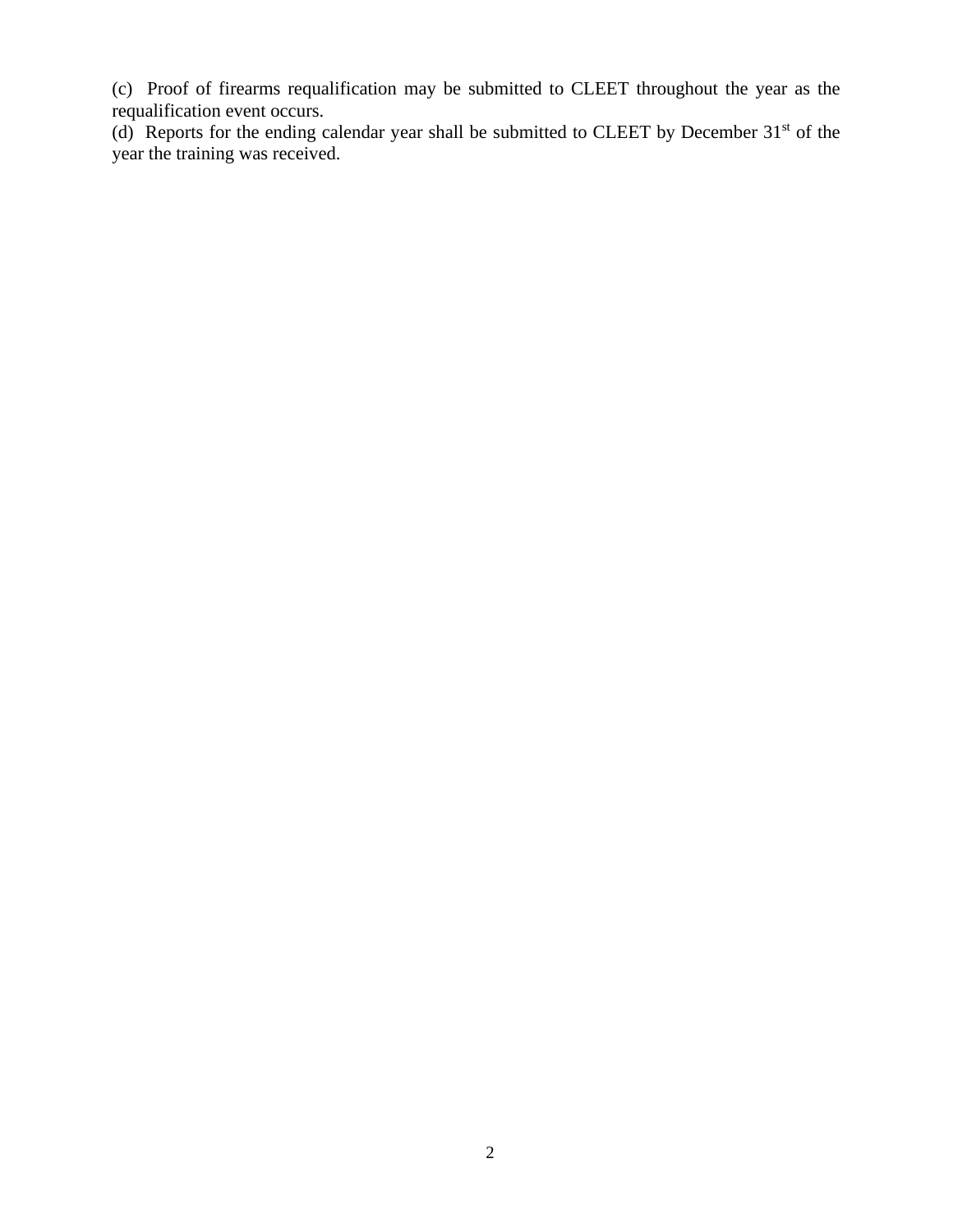(c) Proof of firearms requalification may be submitted to CLEET throughout the year as the requalification event occurs.

(d) Reports for the ending calendar year shall be submitted to CLEET by December  $31<sup>st</sup>$  of the year the training was received.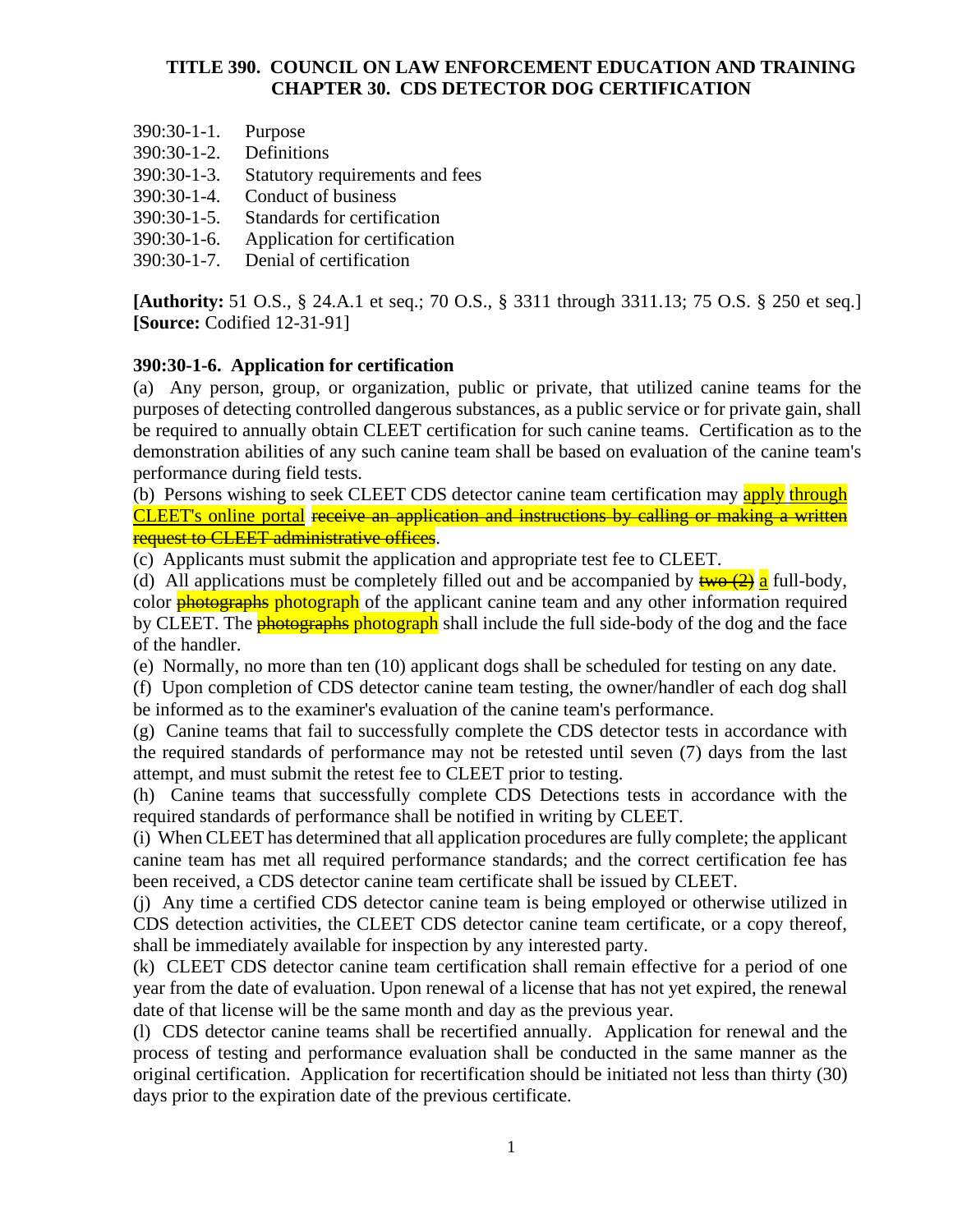### **TITLE 390. COUNCIL ON LAW ENFORCEMENT EDUCATION AND TRAINING CHAPTER 30. CDS DETECTOR DOG CERTIFICATION**

- 390:30-1-1. Purpose
- 390:30-1-2. Definitions
- 390:30-1-3. Statutory requirements and fees
- 390:30-1-4. Conduct of business
- 390:30-1-5. Standards for certification
- 390:30-1-6. Application for certification
- 390:30-1-7. Denial of certification

**[Authority:** 51 O.S., § 24.A.1 et seq.; 70 O.S., § 3311 through 3311.13; 75 O.S. § 250 et seq.] **[Source:** Codified 12-31-91]

### **390:30-1-6. Application for certification**

(a) Any person, group, or organization, public or private, that utilized canine teams for the purposes of detecting controlled dangerous substances, as a public service or for private gain, shall be required to annually obtain CLEET certification for such canine teams. Certification as to the demonstration abilities of any such canine team shall be based on evaluation of the canine team's performance during field tests.

(b) Persons wishing to seek CLEET CDS detector canine team certification may apply through CLEET's online portal receive an application and instructions by calling or making a written request to CLEET administrative offices.

(c) Applicants must submit the application and appropriate test fee to CLEET.

(d) All applications must be completely filled out and be accompanied by  $\frac{1}{2}$  a full-body, color **photographs** photograph of the applicant canine team and any other information required by CLEET. The **photographs photograph** shall include the full side-body of the dog and the face of the handler.

(e) Normally, no more than ten (10) applicant dogs shall be scheduled for testing on any date.

(f) Upon completion of CDS detector canine team testing, the owner/handler of each dog shall be informed as to the examiner's evaluation of the canine team's performance.

(g) Canine teams that fail to successfully complete the CDS detector tests in accordance with the required standards of performance may not be retested until seven (7) days from the last attempt, and must submit the retest fee to CLEET prior to testing.

(h) Canine teams that successfully complete CDS Detections tests in accordance with the required standards of performance shall be notified in writing by CLEET.

(i) When CLEET has determined that all application procedures are fully complete; the applicant canine team has met all required performance standards; and the correct certification fee has been received, a CDS detector canine team certificate shall be issued by CLEET.

(j) Any time a certified CDS detector canine team is being employed or otherwise utilized in CDS detection activities, the CLEET CDS detector canine team certificate, or a copy thereof, shall be immediately available for inspection by any interested party.

(k) CLEET CDS detector canine team certification shall remain effective for a period of one year from the date of evaluation. Upon renewal of a license that has not yet expired, the renewal date of that license will be the same month and day as the previous year.

(l) CDS detector canine teams shall be recertified annually. Application for renewal and the process of testing and performance evaluation shall be conducted in the same manner as the original certification. Application for recertification should be initiated not less than thirty (30) days prior to the expiration date of the previous certificate.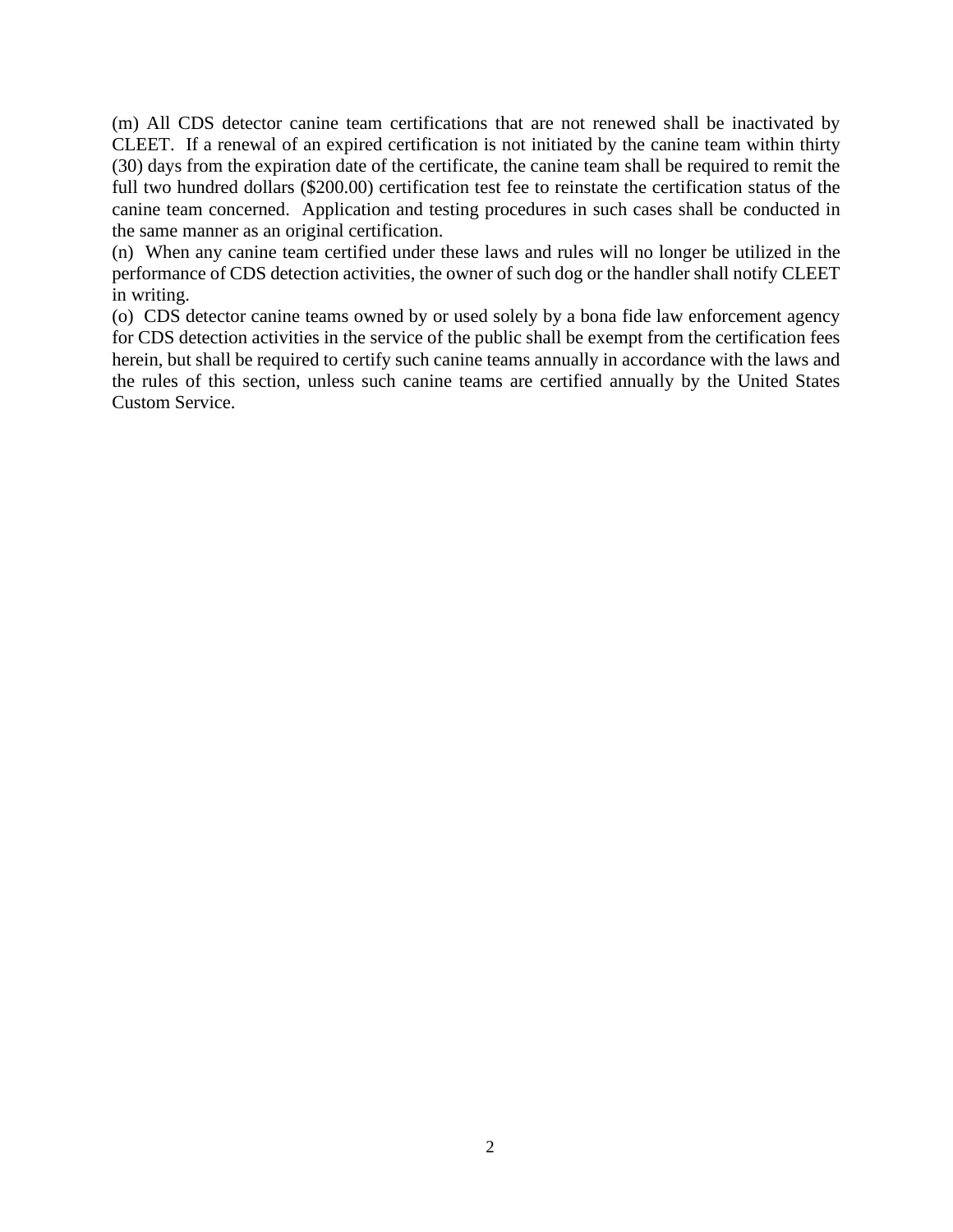(m) All CDS detector canine team certifications that are not renewed shall be inactivated by CLEET. If a renewal of an expired certification is not initiated by the canine team within thirty (30) days from the expiration date of the certificate, the canine team shall be required to remit the full two hundred dollars (\$200.00) certification test fee to reinstate the certification status of the canine team concerned. Application and testing procedures in such cases shall be conducted in the same manner as an original certification.

(n) When any canine team certified under these laws and rules will no longer be utilized in the performance of CDS detection activities, the owner of such dog or the handler shall notify CLEET in writing.

(o) CDS detector canine teams owned by or used solely by a bona fide law enforcement agency for CDS detection activities in the service of the public shall be exempt from the certification fees herein, but shall be required to certify such canine teams annually in accordance with the laws and the rules of this section, unless such canine teams are certified annually by the United States Custom Service.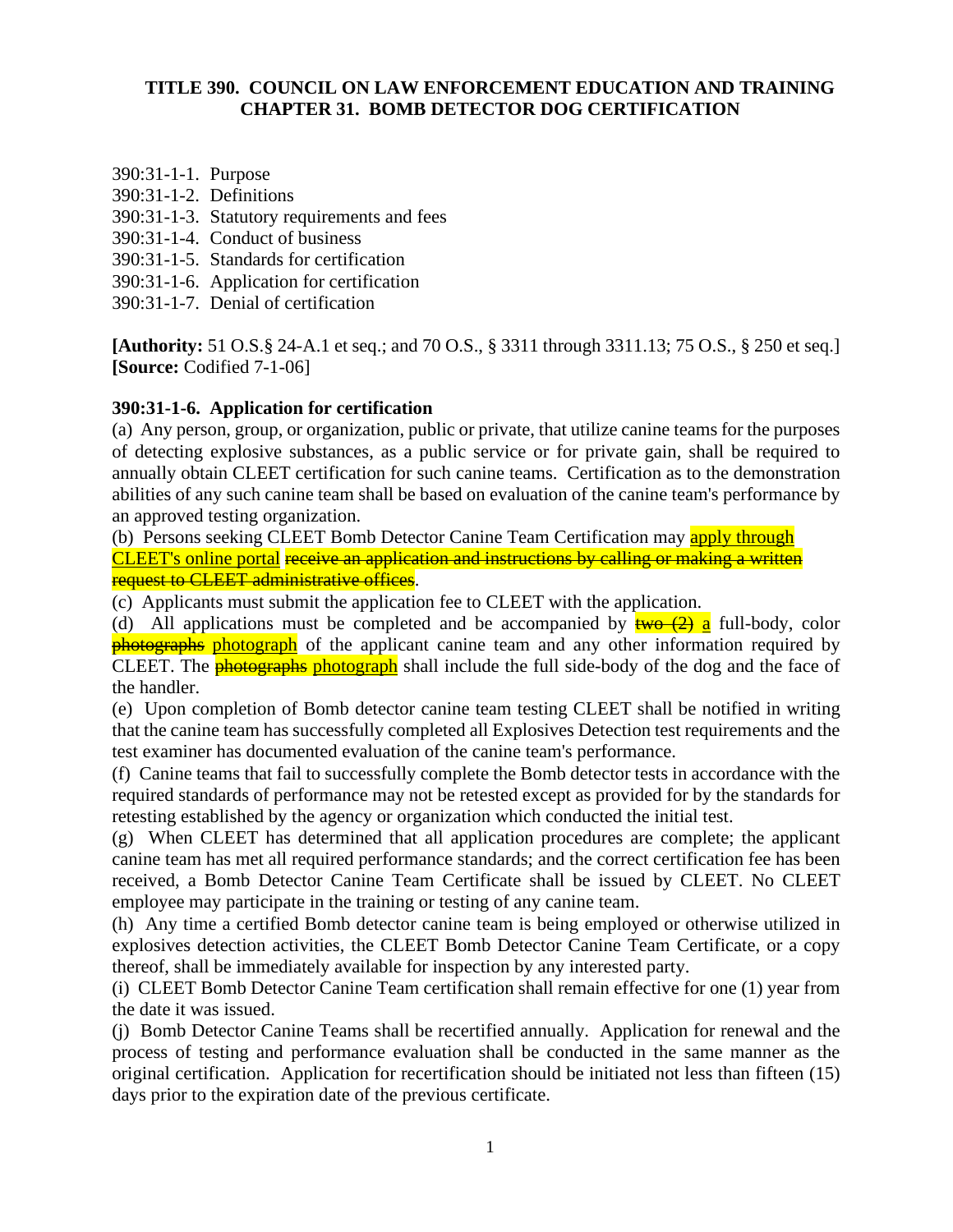### **TITLE 390. COUNCIL ON LAW ENFORCEMENT EDUCATION AND TRAINING CHAPTER 31. BOMB DETECTOR DOG CERTIFICATION**

- 390:31-1-1. Purpose
- 390:31-1-2. Definitions
- 390:31-1-3. Statutory requirements and fees
- 390:31-1-4. Conduct of business
- 390:31-1-5. Standards for certification
- 390:31-1-6. Application for certification
- 390:31-1-7. Denial of certification

**[Authority:** 51 O.S.§ 24-A.1 et seq.; and 70 O.S., § 3311 through 3311.13; 75 O.S., § 250 et seq.] **[Source:** Codified 7-1-06]

### **390:31-1-6. Application for certification**

(a) Any person, group, or organization, public or private, that utilize canine teams for the purposes of detecting explosive substances, as a public service or for private gain, shall be required to annually obtain CLEET certification for such canine teams. Certification as to the demonstration abilities of any such canine team shall be based on evaluation of the canine team's performance by an approved testing organization.

(b) Persons seeking CLEET Bomb Detector Canine Team Certification may apply through CLEET's online portal receive an application and instructions by calling or making a written request to CLEET administrative offices.

(c) Applicants must submit the application fee to CLEET with the application.

(d) All applications must be completed and be accompanied by  $\frac{1}{2}$  a full-body, color **photographs photograph** of the applicant canine team and any other information required by CLEET. The **photographs** photograph shall include the full side-body of the dog and the face of the handler.

(e) Upon completion of Bomb detector canine team testing CLEET shall be notified in writing that the canine team has successfully completed all Explosives Detection test requirements and the test examiner has documented evaluation of the canine team's performance.

(f) Canine teams that fail to successfully complete the Bomb detector tests in accordance with the required standards of performance may not be retested except as provided for by the standards for retesting established by the agency or organization which conducted the initial test.

(g) When CLEET has determined that all application procedures are complete; the applicant canine team has met all required performance standards; and the correct certification fee has been received, a Bomb Detector Canine Team Certificate shall be issued by CLEET. No CLEET employee may participate in the training or testing of any canine team.

(h) Any time a certified Bomb detector canine team is being employed or otherwise utilized in explosives detection activities, the CLEET Bomb Detector Canine Team Certificate, or a copy thereof, shall be immediately available for inspection by any interested party.

(i) CLEET Bomb Detector Canine Team certification shall remain effective for one (1) year from the date it was issued.

(j) Bomb Detector Canine Teams shall be recertified annually. Application for renewal and the process of testing and performance evaluation shall be conducted in the same manner as the original certification. Application for recertification should be initiated not less than fifteen (15) days prior to the expiration date of the previous certificate.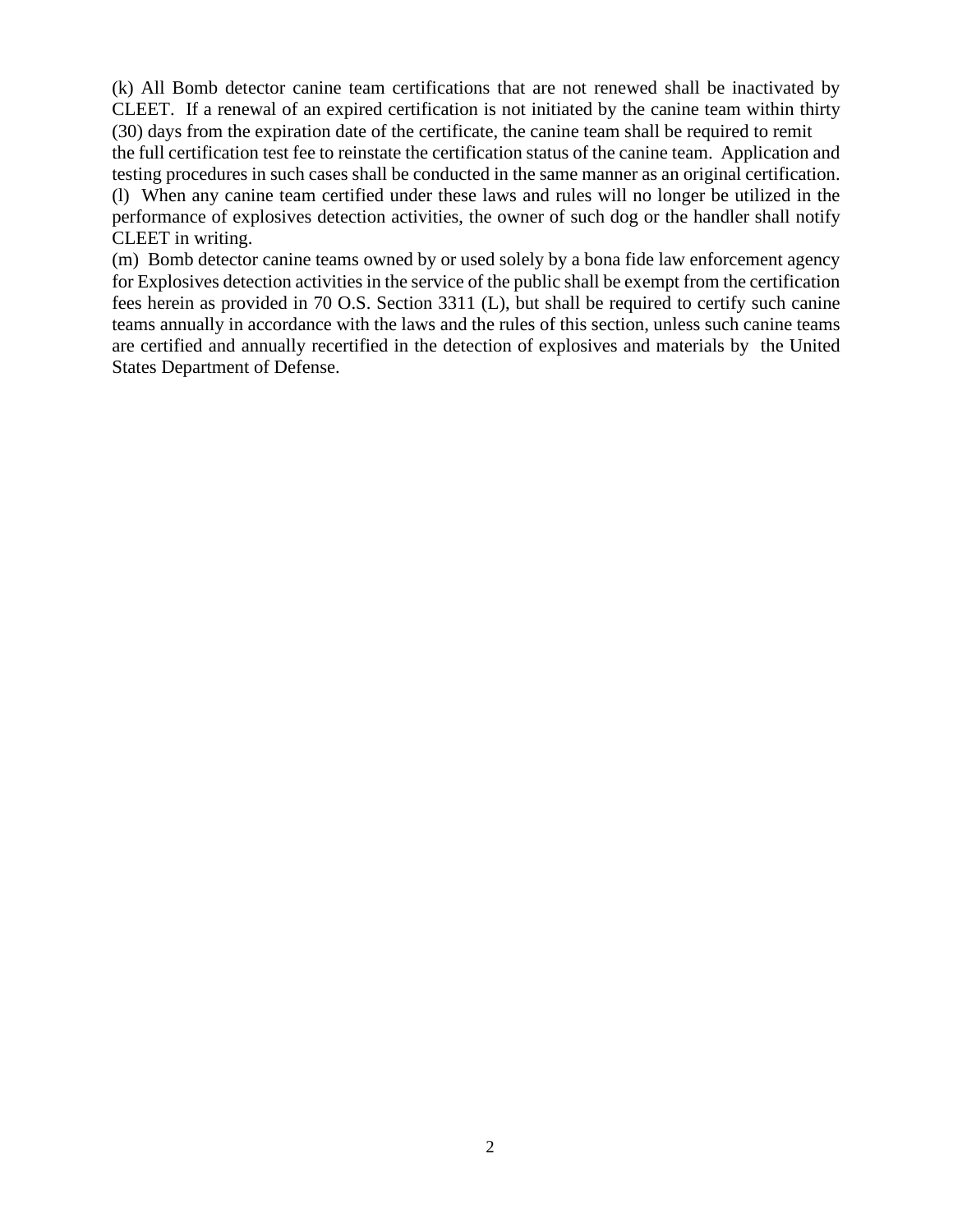(k) All Bomb detector canine team certifications that are not renewed shall be inactivated by CLEET. If a renewal of an expired certification is not initiated by the canine team within thirty (30) days from the expiration date of the certificate, the canine team shall be required to remit the full certification test fee to reinstate the certification status of the canine team. Application and testing procedures in such cases shall be conducted in the same manner as an original certification. (l) When any canine team certified under these laws and rules will no longer be utilized in the performance of explosives detection activities, the owner of such dog or the handler shall notify CLEET in writing.

(m) Bomb detector canine teams owned by or used solely by a bona fide law enforcement agency for Explosives detection activities in the service of the public shall be exempt from the certification fees herein as provided in 70 O.S. Section 3311 (L), but shall be required to certify such canine teams annually in accordance with the laws and the rules of this section, unless such canine teams are certified and annually recertified in the detection of explosives and materials by the United States Department of Defense.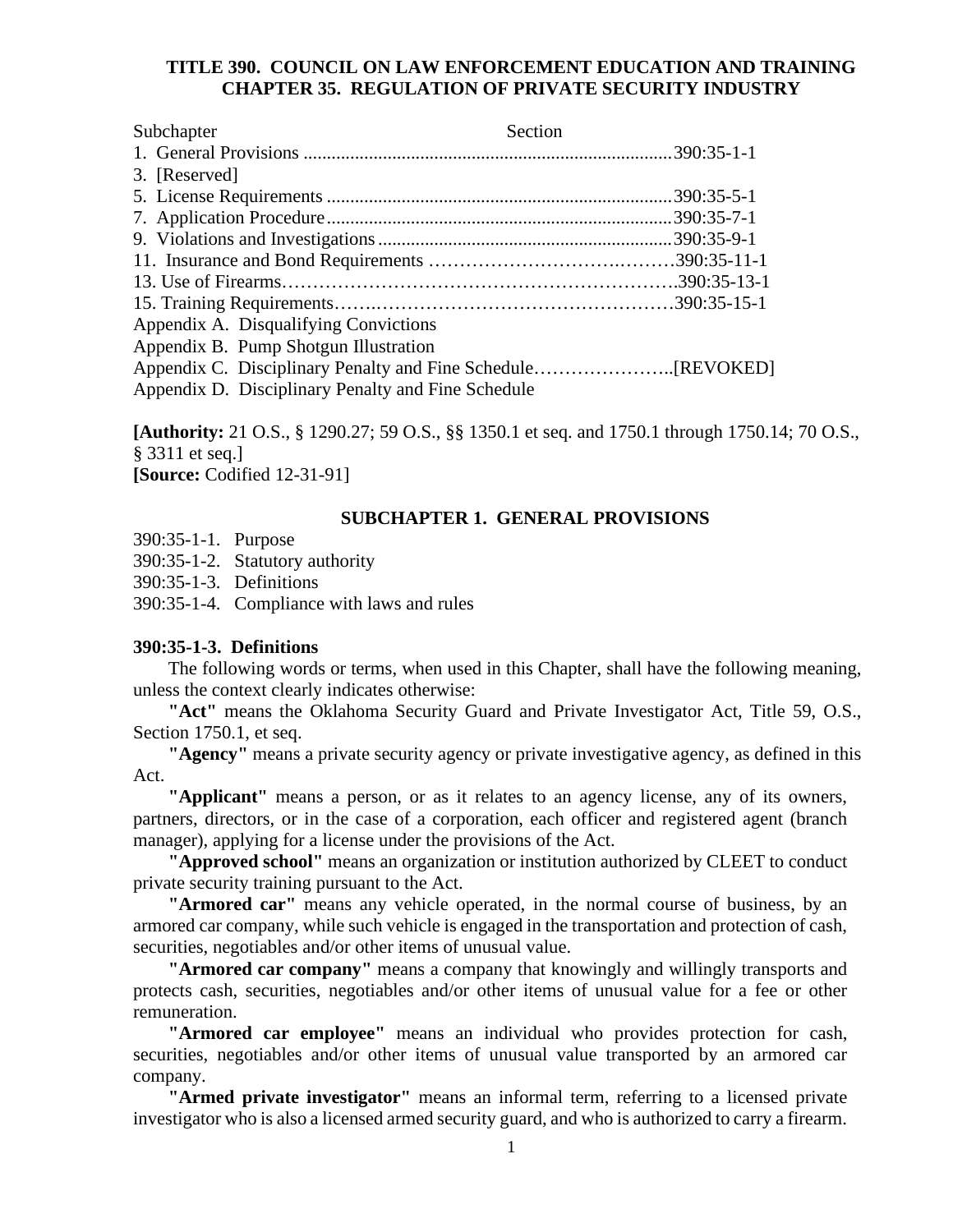### **TITLE 390. COUNCIL ON LAW ENFORCEMENT EDUCATION AND TRAINING CHAPTER 35. REGULATION OF PRIVATE SECURITY INDUSTRY**

| Subchapter                                         | Section |
|----------------------------------------------------|---------|
|                                                    |         |
| 3. [Reserved]                                      |         |
|                                                    |         |
|                                                    |         |
|                                                    |         |
|                                                    |         |
|                                                    |         |
|                                                    |         |
| Appendix A. Disqualifying Convictions              |         |
| Appendix B. Pump Shotgun Illustration              |         |
|                                                    |         |
| Appendix D. Disciplinary Penalty and Fine Schedule |         |

**[Authority:** 21 O.S., § 1290.27; 59 O.S., §§ 1350.1 et seq. and 1750.1 through 1750.14; 70 O.S., § 3311 et seq.] **[Source:** Codified 12-31-91]

#### **SUBCHAPTER 1. GENERAL PROVISIONS**

390:35-1-1. Purpose

390:35-1-2. Statutory authority

390:35-1-3. Definitions

390:35-1-4. Compliance with laws and rules

#### **390:35-1-3. Definitions**

The following words or terms, when used in this Chapter, shall have the following meaning, unless the context clearly indicates otherwise:

**"Act"** means the Oklahoma Security Guard and Private Investigator Act, Title 59, O.S., Section 1750.1, et seq.

**"Agency"** means a private security agency or private investigative agency, as defined in this Act.

**"Applicant"** means a person, or as it relates to an agency license, any of its owners, partners, directors, or in the case of a corporation, each officer and registered agent (branch manager), applying for a license under the provisions of the Act.

**"Approved school"** means an organization or institution authorized by CLEET to conduct private security training pursuant to the Act.

**"Armored car"** means any vehicle operated, in the normal course of business, by an armored car company, while such vehicle is engaged in the transportation and protection of cash, securities, negotiables and/or other items of unusual value.

**"Armored car company"** means a company that knowingly and willingly transports and protects cash, securities, negotiables and/or other items of unusual value for a fee or other remuneration.

**"Armored car employee"** means an individual who provides protection for cash, securities, negotiables and/or other items of unusual value transported by an armored car company.

**"Armed private investigator"** means an informal term, referring to a licensed private investigator who is also a licensed armed security guard, and who is authorized to carry a firearm.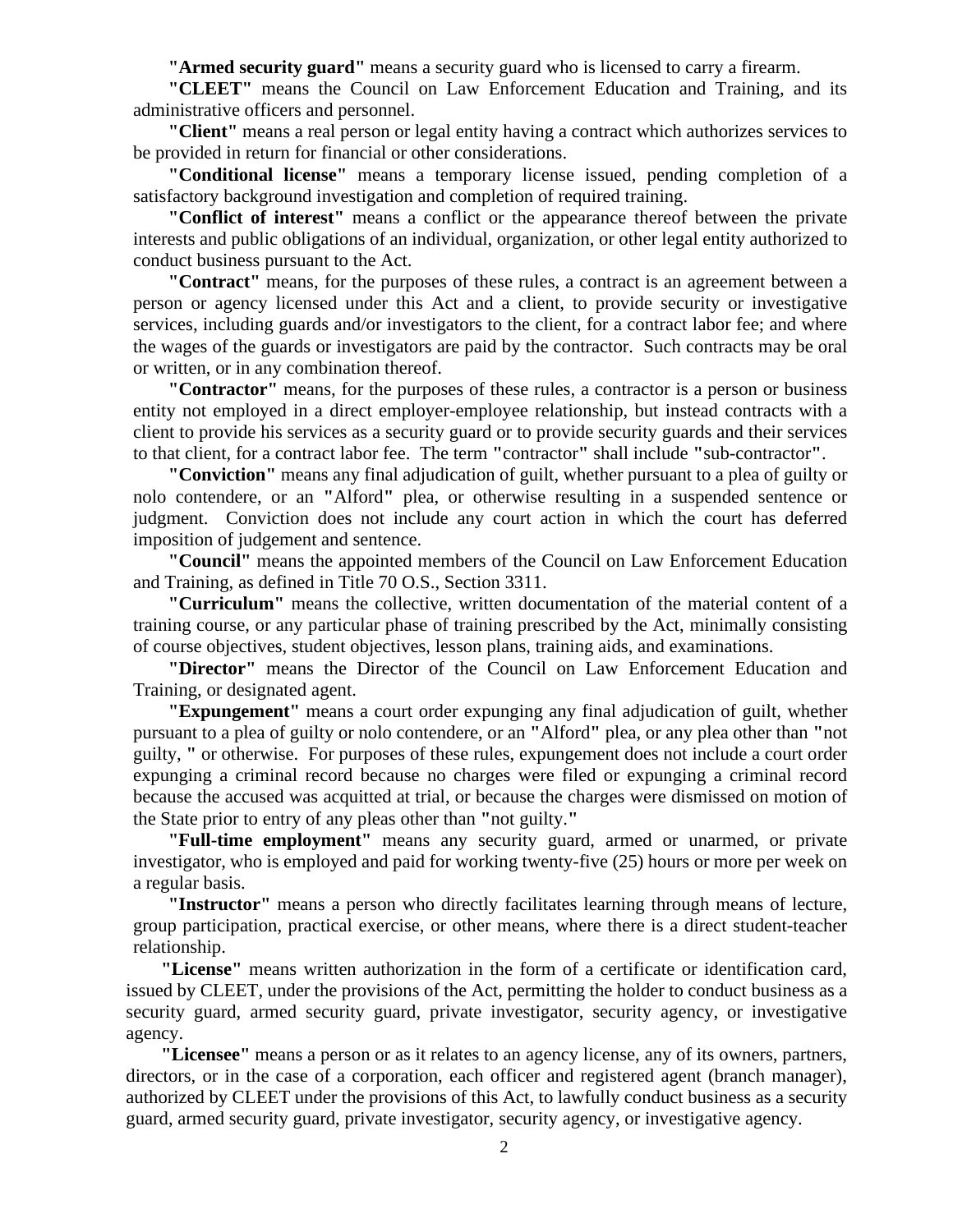**"Armed security guard"** means a security guard who is licensed to carry a firearm.

**"CLEET"** means the Council on Law Enforcement Education and Training, and its administrative officers and personnel.

**"Client"** means a real person or legal entity having a contract which authorizes services to be provided in return for financial or other considerations.

**"Conditional license"** means a temporary license issued, pending completion of a satisfactory background investigation and completion of required training.

**"Conflict of interest"** means a conflict or the appearance thereof between the private interests and public obligations of an individual, organization, or other legal entity authorized to conduct business pursuant to the Act.

**"Contract"** means, for the purposes of these rules, a contract is an agreement between a person or agency licensed under this Act and a client, to provide security or investigative services, including guards and/or investigators to the client, for a contract labor fee; and where the wages of the guards or investigators are paid by the contractor. Such contracts may be oral or written, or in any combination thereof.

**"Contractor"** means, for the purposes of these rules, a contractor is a person or business entity not employed in a direct employer-employee relationship, but instead contracts with a client to provide his services as a security guard or to provide security guards and their services to that client, for a contract labor fee. The term **"**contractor**"** shall include **"**sub-contractor**"**.

**"Conviction"** means any final adjudication of guilt, whether pursuant to a plea of guilty or nolo contendere, or an **"**Alford**"** plea, or otherwise resulting in a suspended sentence or judgment. Conviction does not include any court action in which the court has deferred imposition of judgement and sentence.

**"Council"** means the appointed members of the Council on Law Enforcement Education and Training, as defined in Title 70 O.S., Section 3311.

**"Curriculum"** means the collective, written documentation of the material content of a training course, or any particular phase of training prescribed by the Act, minimally consisting of course objectives, student objectives, lesson plans, training aids, and examinations.

**"Director"** means the Director of the Council on Law Enforcement Education and Training, or designated agent.

**"Expungement"** means a court order expunging any final adjudication of guilt, whether pursuant to a plea of guilty or nolo contendere, or an **"**Alford**"** plea, or any plea other than **"**not guilty, **"** or otherwise. For purposes of these rules, expungement does not include a court order expunging a criminal record because no charges were filed or expunging a criminal record because the accused was acquitted at trial, or because the charges were dismissed on motion of the State prior to entry of any pleas other than **"**not guilty.**"**

**"Full-time employment"** means any security guard, armed or unarmed, or private investigator, who is employed and paid for working twenty-five (25) hours or more per week on a regular basis.

**"Instructor"** means a person who directly facilitates learning through means of lecture, group participation, practical exercise, or other means, where there is a direct student-teacher relationship.

"License" means written authorization in the form of a certificate or identification card, issued by CLEET, under the provisions of the Act, permitting the holder to conduct business as a security guard, armed security guard, private investigator, security agency, or investigative agency.

**"Licensee"** means a person or as it relates to an agency license, any of its owners, partners, directors, or in the case of a corporation, each officer and registered agent (branch manager), authorized by CLEET under the provisions of this Act, to lawfully conduct business as a security guard, armed security guard, private investigator, security agency, or investigative agency.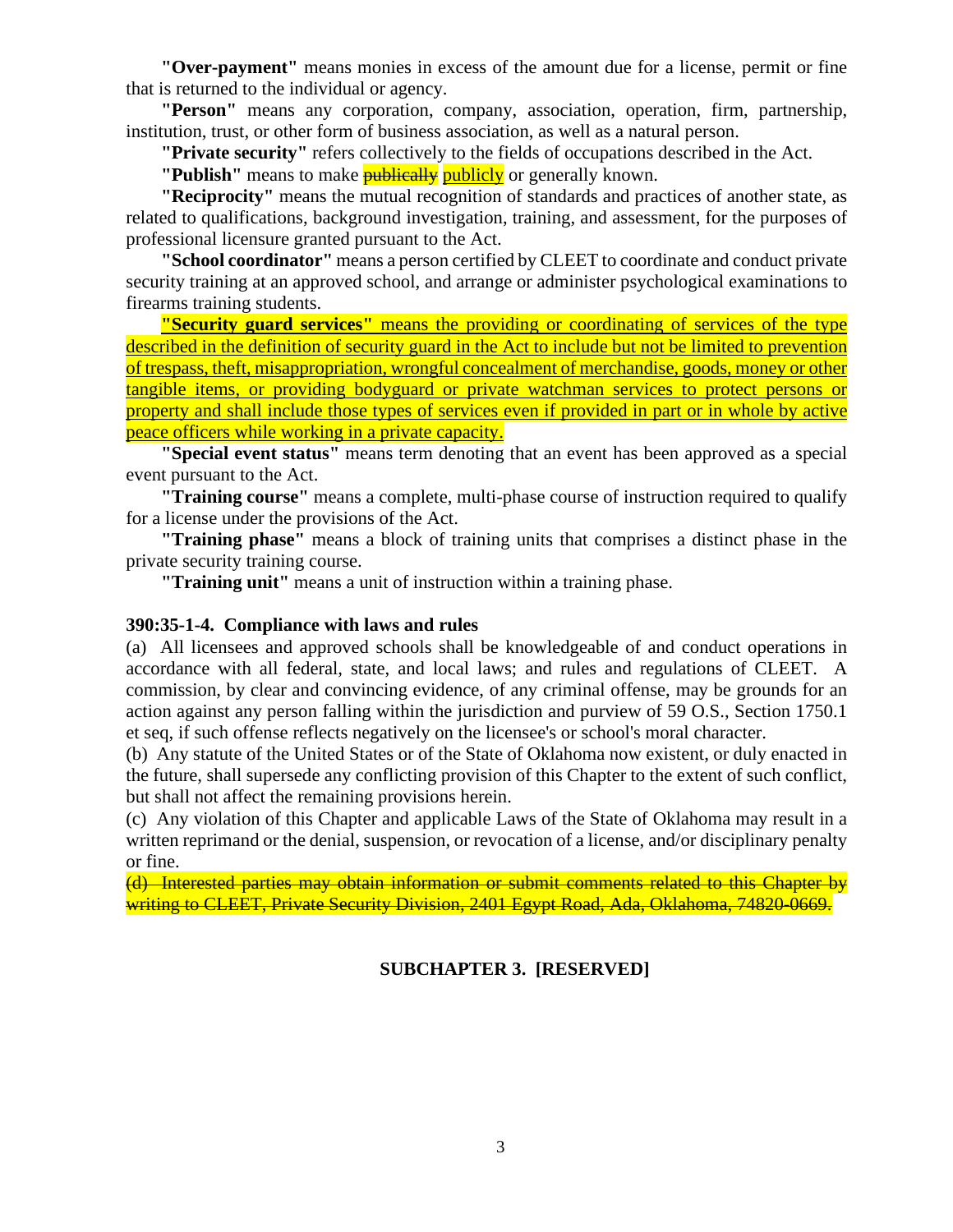**"Over-payment"** means monies in excess of the amount due for a license, permit or fine that is returned to the individual or agency.

**"Person"** means any corporation, company, association, operation, firm, partnership, institution, trust, or other form of business association, as well as a natural person.

**"Private security"** refers collectively to the fields of occupations described in the Act.

**"Publish"** means to make **publically** publicly or generally known.

**"Reciprocity"** means the mutual recognition of standards and practices of another state, as related to qualifications, background investigation, training, and assessment, for the purposes of professional licensure granted pursuant to the Act.

**"School coordinator"** means a person certified by CLEET to coordinate and conduct private security training at an approved school, and arrange or administer psychological examinations to firearms training students.

**"Security guard services"** means the providing or coordinating of services of the type described in the definition of security guard in the Act to include but not be limited to prevention of trespass, theft, misappropriation, wrongful concealment of merchandise, goods, money or other tangible items, or providing bodyguard or private watchman services to protect persons or property and shall include those types of services even if provided in part or in whole by active peace officers while working in a private capacity.

**"Special event status"** means term denoting that an event has been approved as a special event pursuant to the Act.

**"Training course"** means a complete, multi-phase course of instruction required to qualify for a license under the provisions of the Act.

**"Training phase"** means a block of training units that comprises a distinct phase in the private security training course.

**"Training unit"** means a unit of instruction within a training phase.

#### **390:35-1-4. Compliance with laws and rules**

(a) All licensees and approved schools shall be knowledgeable of and conduct operations in accordance with all federal, state, and local laws; and rules and regulations of CLEET. A commission, by clear and convincing evidence, of any criminal offense, may be grounds for an action against any person falling within the jurisdiction and purview of 59 O.S., Section 1750.1 et seq, if such offense reflects negatively on the licensee's or school's moral character.

(b) Any statute of the United States or of the State of Oklahoma now existent, or duly enacted in the future, shall supersede any conflicting provision of this Chapter to the extent of such conflict, but shall not affect the remaining provisions herein.

(c) Any violation of this Chapter and applicable Laws of the State of Oklahoma may result in a written reprimand or the denial, suspension, or revocation of a license, and/or disciplinary penalty or fine.

(d) Interested parties may obtain information or submit comments related to this Chapter by writing to CLEET, Private Security Division, 2401 Egypt Road, Ada, Oklahoma, 74820-0669.

### **SUBCHAPTER 3. [RESERVED]**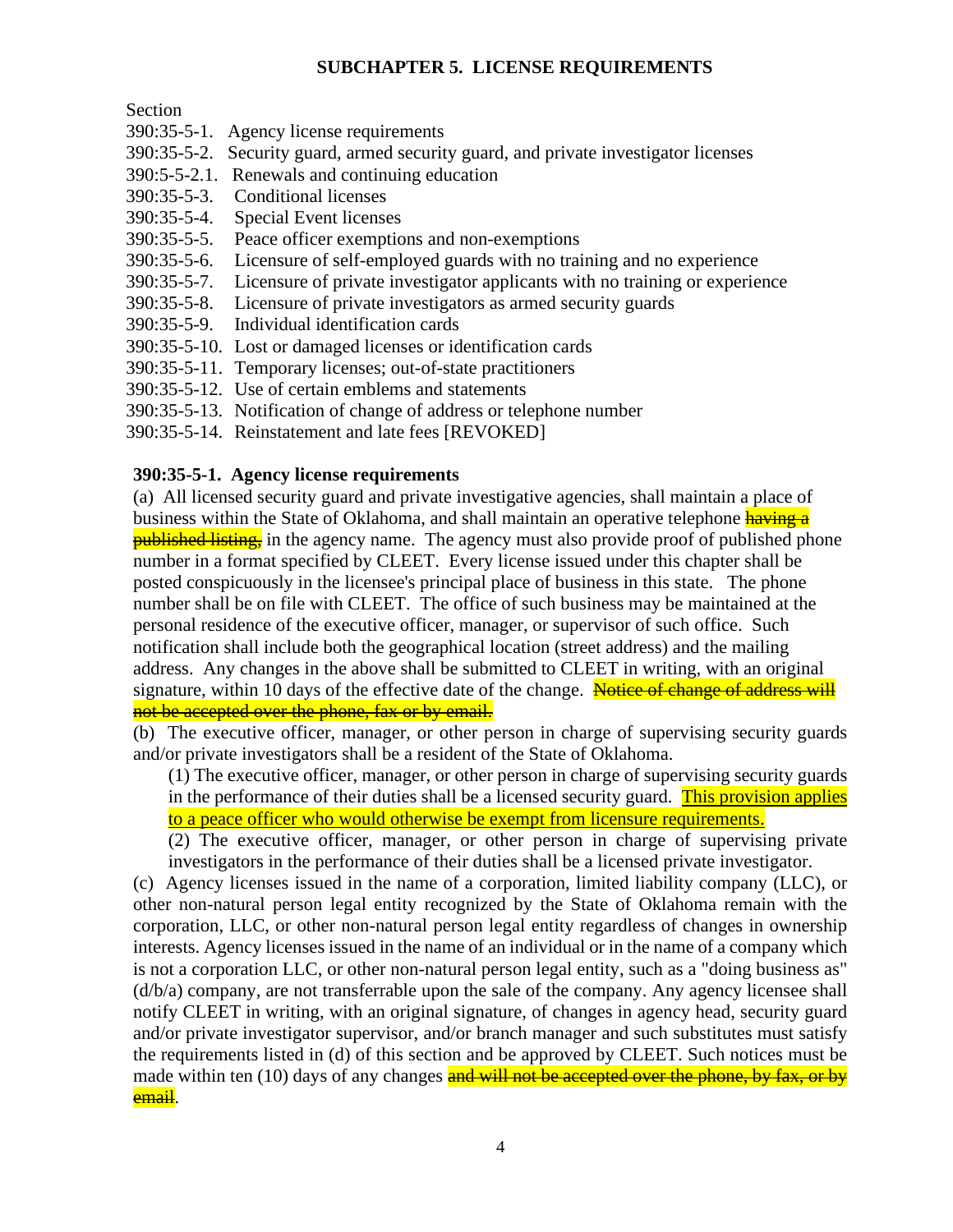## **SUBCHAPTER 5. LICENSE REQUIREMENTS**

Section

- 390:35-5-1. Agency license requirements
- 390:35-5-2. Security guard, armed security guard, and private investigator licenses
- 390:5-5-2.1. Renewals and continuing education
- 390:35-5-3. Conditional licenses
- 390:35-5-4. Special Event licenses
- 390:35-5-5. Peace officer exemptions and non-exemptions
- 390:35-5-6. Licensure of self-employed guards with no training and no experience
- 390:35-5-7. Licensure of private investigator applicants with no training or experience
- 390:35-5-8. Licensure of private investigators as armed security guards
- 390:35-5-9. Individual identification cards
- 390:35-5-10. Lost or damaged licenses or identification cards
- 390:35-5-11. Temporary licenses; out-of-state practitioners
- 390:35-5-12. Use of certain emblems and statements
- 390:35-5-13. Notification of change of address or telephone number
- 390:35-5-14. Reinstatement and late fees [REVOKED]

## **390:35-5-1. Agency license requirements**

(a) All licensed security guard and private investigative agencies, shall maintain a place of business within the State of Oklahoma, and shall maintain an operative telephone having a **published listing,** in the agency name. The agency must also provide proof of published phone number in a format specified by CLEET. Every license issued under this chapter shall be posted conspicuously in the licensee's principal place of business in this state. The phone number shall be on file with CLEET. The office of such business may be maintained at the personal residence of the executive officer, manager, or supervisor of such office. Such notification shall include both the geographical location (street address) and the mailing address. Any changes in the above shall be submitted to CLEET in writing, with an original signature, within 10 days of the effective date of the change. Notice of change of address will not be accepted over the phone, fax or by email.

(b) The executive officer, manager, or other person in charge of supervising security guards and/or private investigators shall be a resident of the State of Oklahoma.

(1) The executive officer, manager, or other person in charge of supervising security guards in the performance of their duties shall be a licensed security guard. This provision applies to a peace officer who would otherwise be exempt from licensure requirements.

(2) The executive officer, manager, or other person in charge of supervising private investigators in the performance of their duties shall be a licensed private investigator.

(c) Agency licenses issued in the name of a corporation, limited liability company (LLC), or other non-natural person legal entity recognized by the State of Oklahoma remain with the corporation, LLC, or other non-natural person legal entity regardless of changes in ownership interests. Agency licenses issued in the name of an individual or in the name of a company which is not a corporation LLC, or other non-natural person legal entity, such as a "doing business as" (d/b/a) company, are not transferrable upon the sale of the company. Any agency licensee shall notify CLEET in writing, with an original signature, of changes in agency head, security guard and/or private investigator supervisor, and/or branch manager and such substitutes must satisfy the requirements listed in (d) of this section and be approved by CLEET. Such notices must be made within ten (10) days of any changes and will not be accepted over the phone, by fax, or by email.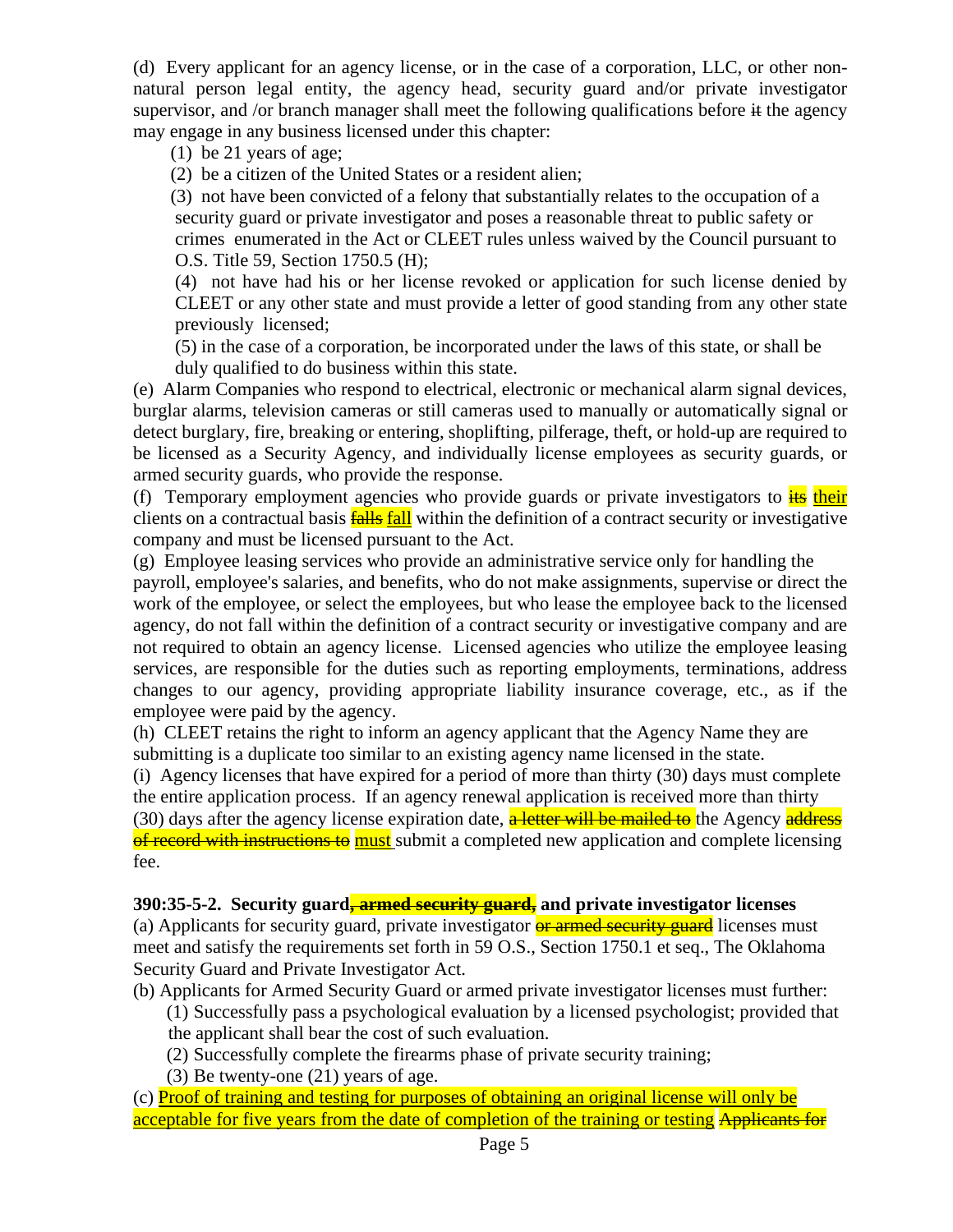(d) Every applicant for an agency license, or in the case of a corporation, LLC, or other nonnatural person legal entity, the agency head, security guard and/or private investigator supervisor, and /or branch manager shall meet the following qualifications before it the agency may engage in any business licensed under this chapter:

(1) be 21 years of age;

(2) be a citizen of the United States or a resident alien;

 (3) not have been convicted of a felony that substantially relates to the occupation of a security guard or private investigator and poses a reasonable threat to public safety or crimes enumerated in the Act or CLEET rules unless waived by the Council pursuant to O.S. Title 59, Section 1750.5 (H);

(4) not have had his or her license revoked or application for such license denied by CLEET or any other state and must provide a letter of good standing from any other state previously licensed;

(5) in the case of a corporation, be incorporated under the laws of this state, or shall be duly qualified to do business within this state.

(e) Alarm Companies who respond to electrical, electronic or mechanical alarm signal devices, burglar alarms, television cameras or still cameras used to manually or automatically signal or detect burglary, fire, breaking or entering, shoplifting, pilferage, theft, or hold-up are required to be licensed as a Security Agency, and individually license employees as security guards, or armed security guards, who provide the response.

(f) Temporary employment agencies who provide guards or private investigators to  $\frac{1}{18}$  their clients on a contractual basis **falls fall** within the definition of a contract security or investigative company and must be licensed pursuant to the Act.

(g) Employee leasing services who provide an administrative service only for handling the

payroll, employee's salaries, and benefits, who do not make assignments, supervise or direct the work of the employee, or select the employees, but who lease the employee back to the licensed agency, do not fall within the definition of a contract security or investigative company and are not required to obtain an agency license. Licensed agencies who utilize the employee leasing services, are responsible for the duties such as reporting employments, terminations, address changes to our agency, providing appropriate liability insurance coverage, etc., as if the employee were paid by the agency.

(h) CLEET retains the right to inform an agency applicant that the Agency Name they are submitting is a duplicate too similar to an existing agency name licensed in the state.

(i) Agency licenses that have expired for a period of more than thirty (30) days must complete the entire application process. If an agency renewal application is received more than thirty (30) days after the agency license expiration date,  $\frac{a\text{-}letter\text{-}will be middle to the Agency }address$ 

of record with instructions to must submit a completed new application and complete licensing fee.

### **390:35-5-2. Security guard, armed security guard, and private investigator licenses**

(a) Applicants for security guard, private investigator **or armed security guard** licenses must meet and satisfy the requirements set forth in 59 O.S., Section 1750.1 et seq., The Oklahoma Security Guard and Private Investigator Act.

(b) Applicants for Armed Security Guard or armed private investigator licenses must further:

(1) Successfully pass a psychological evaluation by a licensed psychologist; provided that the applicant shall bear the cost of such evaluation.

(2) Successfully complete the firearms phase of private security training;

(3) Be twenty-one (21) years of age.

(c) Proof of training and testing for purposes of obtaining an original license will only be acceptable for five years from the date of completion of the training or testing Applicants for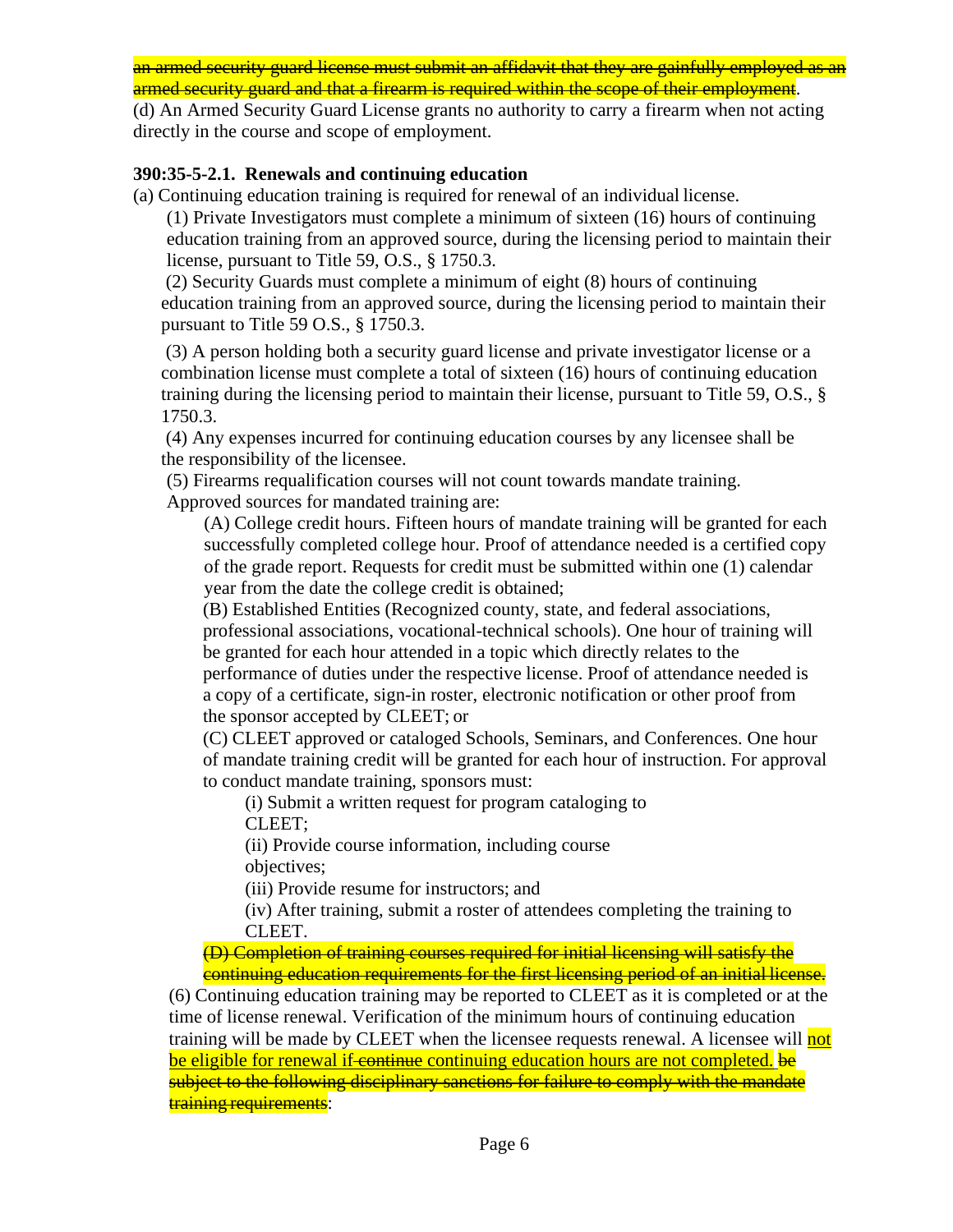an armed security guard license must submit an affidavit that they are gainfully employed as an armed security guard and that a firearm is required within the scope of their employment.

(d) An Armed Security Guard License grants no authority to carry a firearm when not acting directly in the course and scope of employment.

## **390:35-5-2.1. Renewals and continuing education**

(a) Continuing education training is required for renewal of an individual license.

(1) Private Investigators must complete a minimum of sixteen (16) hours of continuing education training from an approved source, during the licensing period to maintain their license, pursuant to Title 59, O.S., § 1750.3.

(2) Security Guards must complete a minimum of eight (8) hours of continuing education training from an approved source, during the licensing period to maintain their pursuant to Title 59 O.S., § 1750.3.

(3) A person holding both a security guard license and private investigator license or a combination license must complete a total of sixteen (16) hours of continuing education training during the licensing period to maintain their license, pursuant to Title 59, O.S., § 1750.3.

(4) Any expenses incurred for continuing education courses by any licensee shall be the responsibility of the licensee.

(5) Firearms requalification courses will not count towards mandate training. Approved sources for mandated training are:

(A) College credit hours. Fifteen hours of mandate training will be granted for each successfully completed college hour. Proof of attendance needed is a certified copy of the grade report. Requests for credit must be submitted within one (1) calendar year from the date the college credit is obtained;

(B) Established Entities (Recognized county, state, and federal associations, professional associations, vocational-technical schools). One hour of training will be granted for each hour attended in a topic which directly relates to the performance of duties under the respective license. Proof of attendance needed is a copy of a certificate, sign-in roster, electronic notification or other proof from the sponsor accepted by CLEET; or

(C) CLEET approved or cataloged Schools, Seminars, and Conferences. One hour of mandate training credit will be granted for each hour of instruction. For approval to conduct mandate training, sponsors must:

(i) Submit a written request for program cataloging to

CLEET;

(ii) Provide course information, including course

objectives;

(iii) Provide resume for instructors; and

(iv) After training, submit a roster of attendees completing the training to CLEET.

(D) Completion of training courses required for initial licensing will satisfy the continuing education requirements for the first licensing period of an initial license.

(6) Continuing education training may be reported to CLEET as it is completed or at the time of license renewal. Verification of the minimum hours of continuing education training will be made by CLEET when the licensee requests renewal. A licensee will not be eligible for renewal if continue continuing education hours are not completed. be subject to the following disciplinary sanctions for failure to comply with the mandate <mark>training requirements</mark>: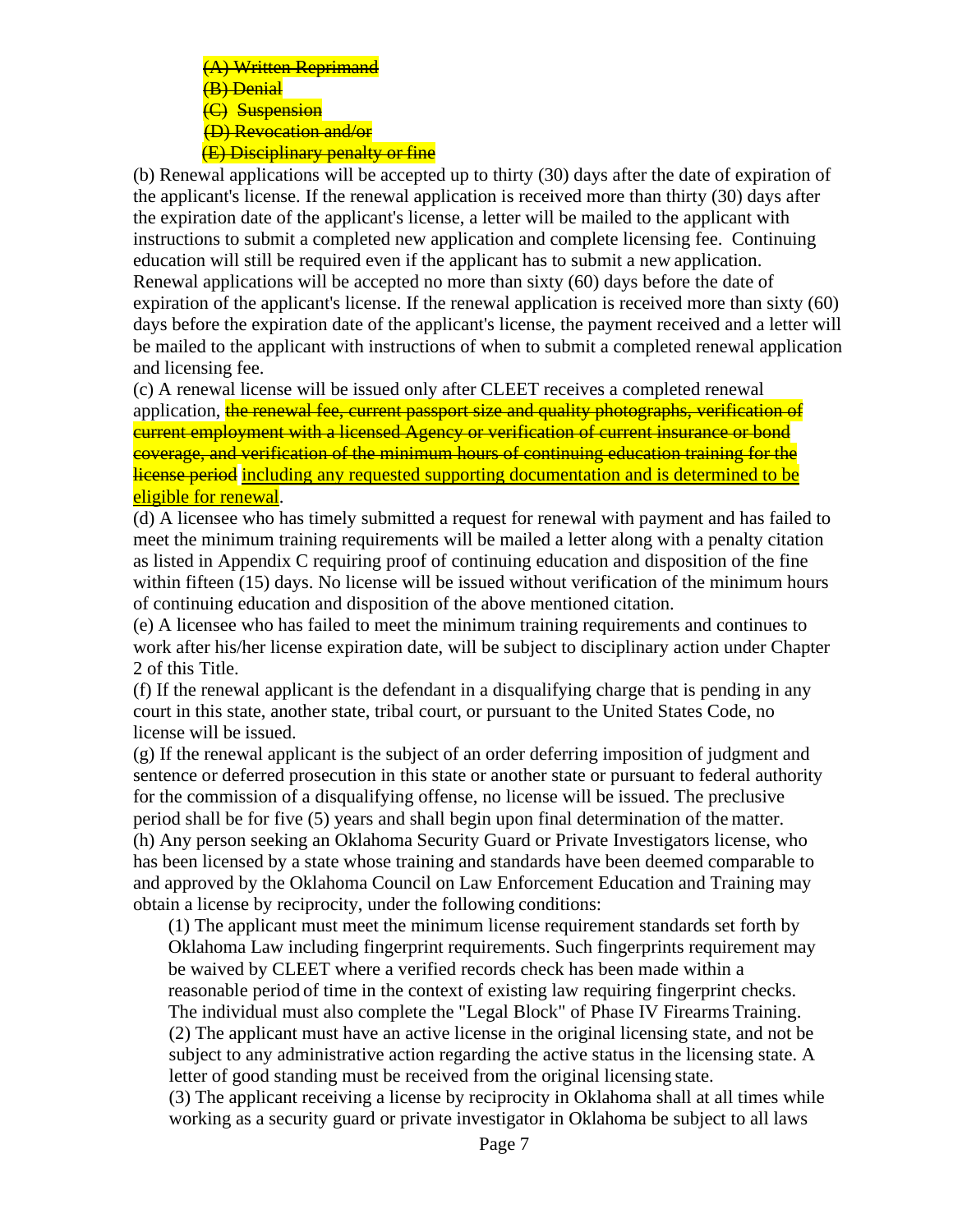(A) Written Reprimand (B) Denial (C) Suspension (D) Revocation and/or (E) Disciplinary penalty or fine

(b) Renewal applications will be accepted up to thirty (30) days after the date of expiration of the applicant's license. If the renewal application is received more than thirty (30) days after the expiration date of the applicant's license, a letter will be mailed to the applicant with instructions to submit a completed new application and complete licensing fee. Continuing education will still be required even if the applicant has to submit a new application. Renewal applications will be accepted no more than sixty (60) days before the date of expiration of the applicant's license. If the renewal application is received more than sixty (60) days before the expiration date of the applicant's license, the payment received and a letter will be mailed to the applicant with instructions of when to submit a completed renewal application and licensing fee.

(c) A renewal license will be issued only after CLEET receives a completed renewal application, the renewal fee, current passport size and quality photographs, verification of current employment with a licensed Agency or verification of current insurance or bond coverage, and verification of the minimum hours of continuing education training for the license period including any requested supporting documentation and is determined to be eligible for renewal.

(d) A licensee who has timely submitted a request for renewal with payment and has failed to meet the minimum training requirements will be mailed a letter along with a penalty citation as listed in Appendix C requiring proof of continuing education and disposition of the fine within fifteen (15) days. No license will be issued without verification of the minimum hours of continuing education and disposition of the above mentioned citation.

(e) A licensee who has failed to meet the minimum training requirements and continues to work after his/her license expiration date, will be subject to disciplinary action under Chapter 2 of this Title.

(f) If the renewal applicant is the defendant in a disqualifying charge that is pending in any court in this state, another state, tribal court, or pursuant to the United States Code, no license will be issued.

(g) If the renewal applicant is the subject of an order deferring imposition of judgment and sentence or deferred prosecution in this state or another state or pursuant to federal authority for the commission of a disqualifying offense, no license will be issued. The preclusive period shall be for five (5) years and shall begin upon final determination of the matter. (h) Any person seeking an Oklahoma Security Guard or Private Investigators license, who has been licensed by a state whose training and standards have been deemed comparable to and approved by the Oklahoma Council on Law Enforcement Education and Training may obtain a license by reciprocity, under the following conditions:

(1) The applicant must meet the minimum license requirement standards set forth by Oklahoma Law including fingerprint requirements. Such fingerprints requirement may be waived by CLEET where a verified records check has been made within a reasonable period of time in the context of existing law requiring fingerprint checks. The individual must also complete the "Legal Block" of Phase IV Firearms Training. (2) The applicant must have an active license in the original licensing state, and not be subject to any administrative action regarding the active status in the licensing state. A letter of good standing must be received from the original licensing state.

(3) The applicant receiving a license by reciprocity in Oklahoma shall at all times while working as a security guard or private investigator in Oklahoma be subject to all laws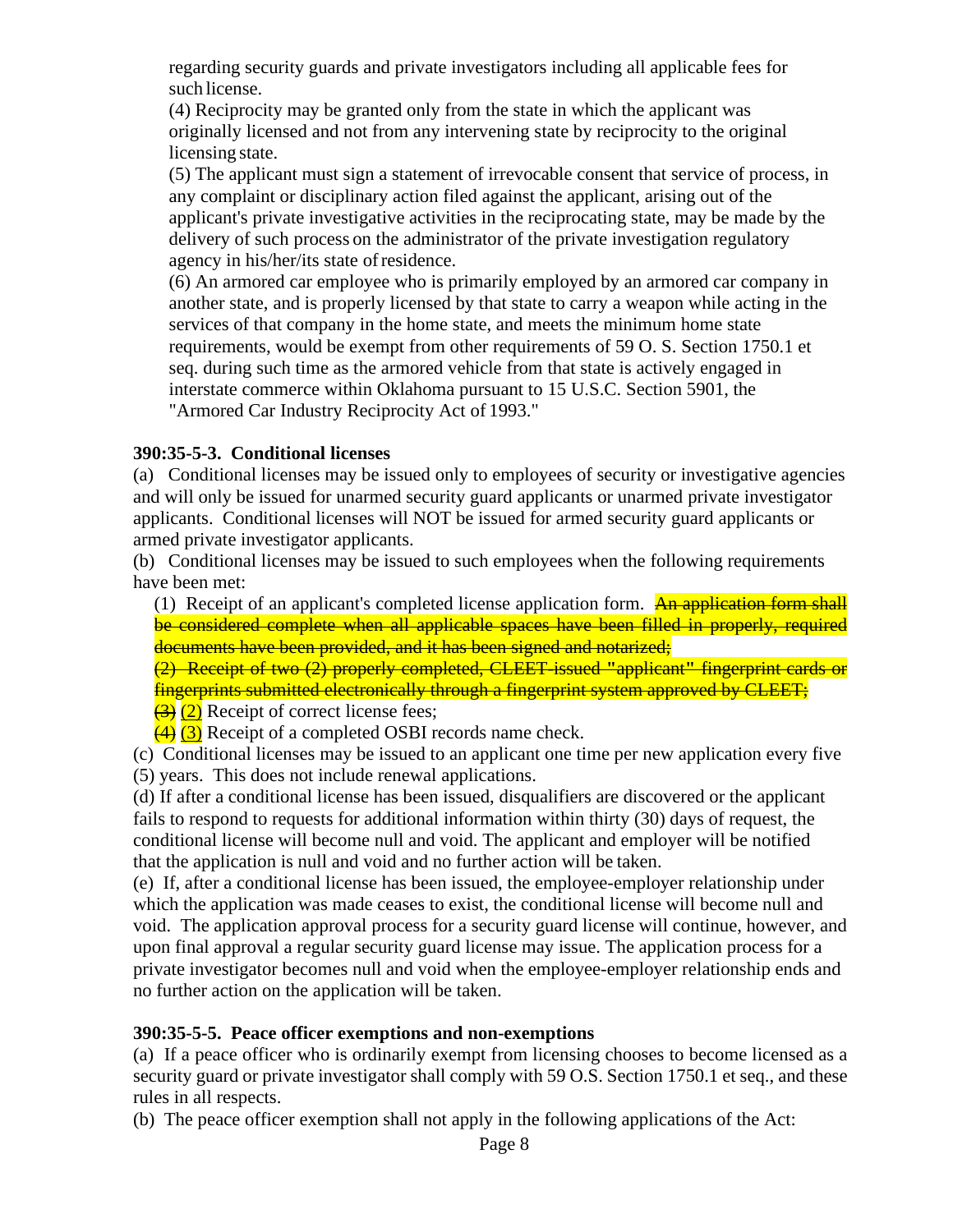regarding security guards and private investigators including all applicable fees for such license.

(4) Reciprocity may be granted only from the state in which the applicant was originally licensed and not from any intervening state by reciprocity to the original licensing state.

(5) The applicant must sign a statement of irrevocable consent that service of process, in any complaint or disciplinary action filed against the applicant, arising out of the applicant's private investigative activities in the reciprocating state, may be made by the delivery of such process on the administrator of the private investigation regulatory agency in his/her/its state ofresidence.

(6) An armored car employee who is primarily employed by an armored car company in another state, and is properly licensed by that state to carry a weapon while acting in the services of that company in the home state, and meets the minimum home state requirements, would be exempt from other requirements of 59 O. S. Section 1750.1 et seq. during such time as the armored vehicle from that state is actively engaged in interstate commerce within Oklahoma pursuant to 15 U.S.C. Section 5901, the "Armored Car Industry Reciprocity Act of 1993."

## **390:35-5-3. Conditional licenses**

(a) Conditional licenses may be issued only to employees of security or investigative agencies and will only be issued for unarmed security guard applicants or unarmed private investigator applicants. Conditional licenses will NOT be issued for armed security guard applicants or armed private investigator applicants.

(b) Conditional licenses may be issued to such employees when the following requirements have been met:

(1) Receipt of an applicant's completed license application form.  $\overline{AR}$  application form shall be considered complete when all applicable spaces have been filled in properly, required documents have been provided, and it has been signed and notarized;

(2) Receipt of two (2) properly completed, CLEET-issued **"**applicant**"** fingerprint cards or fingerprints submitted electronically through a fingerprint system approved by CLEET;  $\left(\frac{3}{2}\right)$  (2) Receipt of correct license fees;

 $\left(4\right)$  (3) Receipt of a completed OSBI records name check.

(c) Conditional licenses may be issued to an applicant one time per new application every five (5) years. This does not include renewal applications.

(d) If after a conditional license has been issued, disqualifiers are discovered or the applicant fails to respond to requests for additional information within thirty (30) days of request, the conditional license will become null and void. The applicant and employer will be notified that the application is null and void and no further action will be taken.

(e) If, after a conditional license has been issued, the employee-employer relationship under which the application was made ceases to exist, the conditional license will become null and void. The application approval process for a security guard license will continue, however, and upon final approval a regular security guard license may issue. The application process for a private investigator becomes null and void when the employee-employer relationship ends and no further action on the application will be taken.

## **390:35-5-5. Peace officer exemptions and non-exemptions**

(a) If a peace officer who is ordinarily exempt from licensing chooses to become licensed as a security guard or private investigator shall comply with 59 O.S. Section 1750.1 et seq., and these rules in all respects.

(b) The peace officer exemption shall not apply in the following applications of the Act: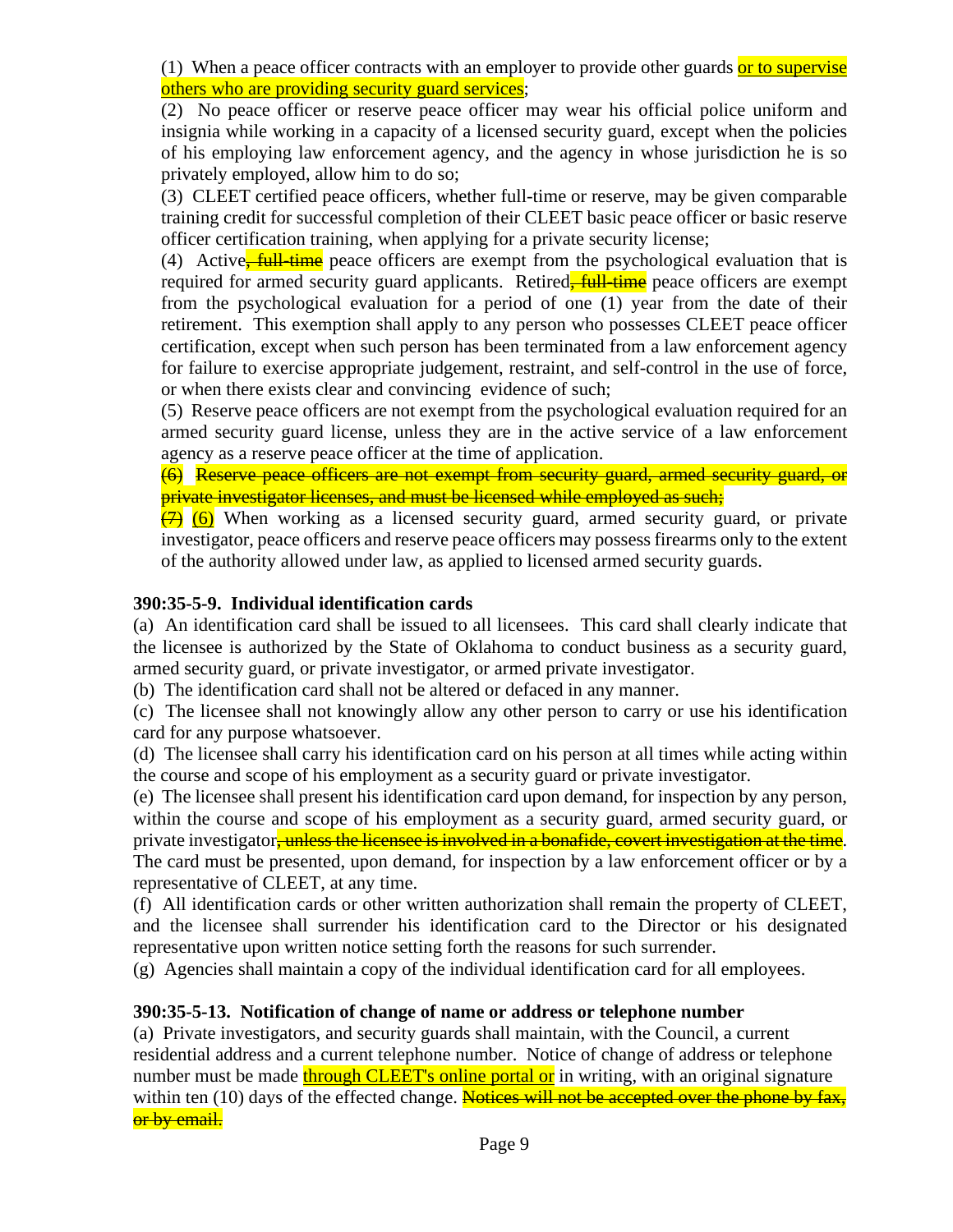(1) When a peace officer contracts with an employer to provide other guards or to supervise others who are providing security guard services;

(2) No peace officer or reserve peace officer may wear his official police uniform and insignia while working in a capacity of a licensed security guard, except when the policies of his employing law enforcement agency, and the agency in whose jurisdiction he is so privately employed, allow him to do so;

(3) CLEET certified peace officers, whether full-time or reserve, may be given comparable training credit for successful completion of their CLEET basic peace officer or basic reserve officer certification training, when applying for a private security license;

(4) Active<sub>r</sub> full-time peace officers are exempt from the psychological evaluation that is required for armed security guard applicants. Retired, full-time peace officers are exempt from the psychological evaluation for a period of one (1) year from the date of their retirement. This exemption shall apply to any person who possesses CLEET peace officer certification, except when such person has been terminated from a law enforcement agency for failure to exercise appropriate judgement, restraint, and self-control in the use of force, or when there exists clear and convincing evidence of such;

(5) Reserve peace officers are not exempt from the psychological evaluation required for an armed security guard license, unless they are in the active service of a law enforcement agency as a reserve peace officer at the time of application.

(6) Reserve peace officers are not exempt from security guard, armed security guard, or private investigator licenses, and must be licensed while employed as such;

 $\left(\frac{7}{2}\right)$  (6) When working as a licensed security guard, armed security guard, or private investigator, peace officers and reserve peace officers may possess firearms only to the extent of the authority allowed under law, as applied to licensed armed security guards.

## **390:35-5-9. Individual identification cards**

(a) An identification card shall be issued to all licensees. This card shall clearly indicate that the licensee is authorized by the State of Oklahoma to conduct business as a security guard, armed security guard, or private investigator, or armed private investigator.

(b) The identification card shall not be altered or defaced in any manner.

(c) The licensee shall not knowingly allow any other person to carry or use his identification card for any purpose whatsoever.

(d) The licensee shall carry his identification card on his person at all times while acting within the course and scope of his employment as a security guard or private investigator.

(e) The licensee shall present his identification card upon demand, for inspection by any person, within the course and scope of his employment as a security guard, armed security guard, or private investigator<del>, unless the licensee is involved in a bonafide, covert investigation at the time</del>. The card must be presented, upon demand, for inspection by a law enforcement officer or by a representative of CLEET, at any time.

(f) All identification cards or other written authorization shall remain the property of CLEET, and the licensee shall surrender his identification card to the Director or his designated representative upon written notice setting forth the reasons for such surrender.

(g) Agencies shall maintain a copy of the individual identification card for all employees.

## **390:35-5-13. Notification of change of name or address or telephone number**

(a) Private investigators, and security guards shall maintain, with the Council, a current residential address and a current telephone number. Notice of change of address or telephone number must be made **through CLEET's online portal or** in writing, with an original signature within ten (10) days of the effected change. Notices will not be accepted over the phone by fax, or by email.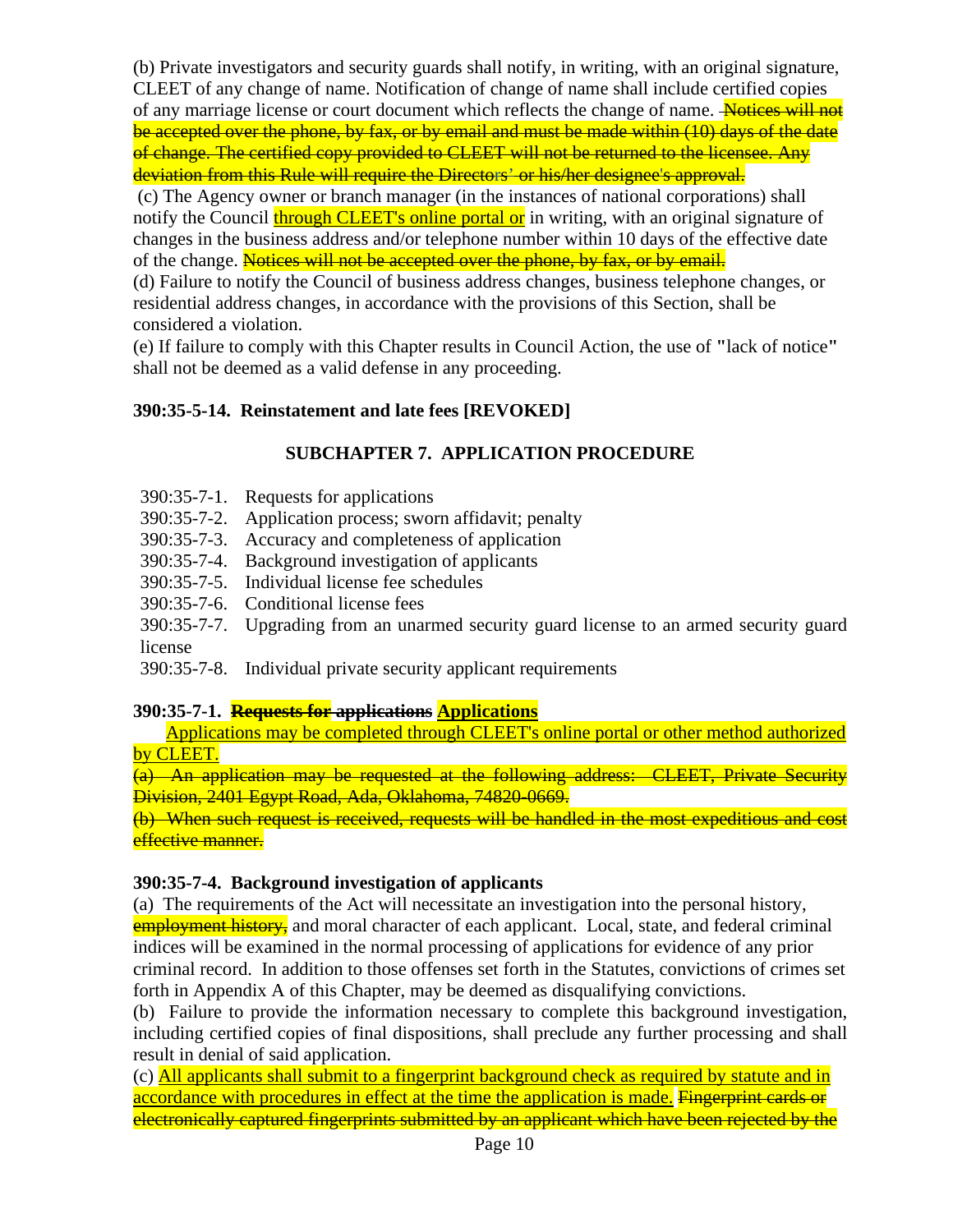(b) Private investigators and security guards shall notify, in writing, with an original signature, CLEET of any change of name. Notification of change of name shall include certified copies of any marriage license or court document which reflects the change of name. - Notices will not be accepted over the phone, by fax, or by email and must be made within (10) days of the date of change. The certified copy provided to CLEET will not be returned to the licensee. Any deviation from this Rule will require the Directors' or his/her designee's approval.

(c) The Agency owner or branch manager (in the instances of national corporations) shall notify the Council through CLEET's online portal or in writing, with an original signature of changes in the business address and/or telephone number within 10 days of the effective date of the change. Notices will not be accepted over the phone, by fax, or by email.

(d) Failure to notify the Council of business address changes, business telephone changes, or residential address changes, in accordance with the provisions of this Section, shall be considered a violation.

(e) If failure to comply with this Chapter results in Council Action, the use of **"**lack of notice**"**  shall not be deemed as a valid defense in any proceeding.

# **390:35-5-14. Reinstatement and late fees [REVOKED]**

# **SUBCHAPTER 7. APPLICATION PROCEDURE**

- 390:35-7-1. Requests for applications
- 390:35-7-2. Application process; sworn affidavit; penalty
- 390:35-7-3. Accuracy and completeness of application
- 390:35-7-4. Background investigation of applicants
- 390:35-7-5. Individual license fee schedules
- 390:35-7-6. Conditional license fees

390:35-7-7. Upgrading from an unarmed security guard license to an armed security guard license

390:35-7-8. Individual private security applicant requirements

## **390:35-7-1. Requests for applications Applications**

Applications may be completed through CLEET's online portal or other method authorized by CLEET.

(a) An application may be requested at the following address: CLEET, Private Security Division, 2401 Egypt Road, Ada, Oklahoma, 74820-0669.

(b) When such request is received, requests will be handled in the most expeditious and cost effective manner.

## **390:35-7-4. Background investigation of applicants**

(a) The requirements of the Act will necessitate an investigation into the personal history, employment history, and moral character of each applicant. Local, state, and federal criminal indices will be examined in the normal processing of applications for evidence of any prior criminal record. In addition to those offenses set forth in the Statutes, convictions of crimes set forth in Appendix A of this Chapter, may be deemed as disqualifying convictions.

(b) Failure to provide the information necessary to complete this background investigation, including certified copies of final dispositions, shall preclude any further processing and shall result in denial of said application.

(c) All applicants shall submit to a fingerprint background check as required by statute and in accordance with procedures in effect at the time the application is made. Fingerprint cards or electronically captured fingerprints submitted by an applicant which have been rejected by the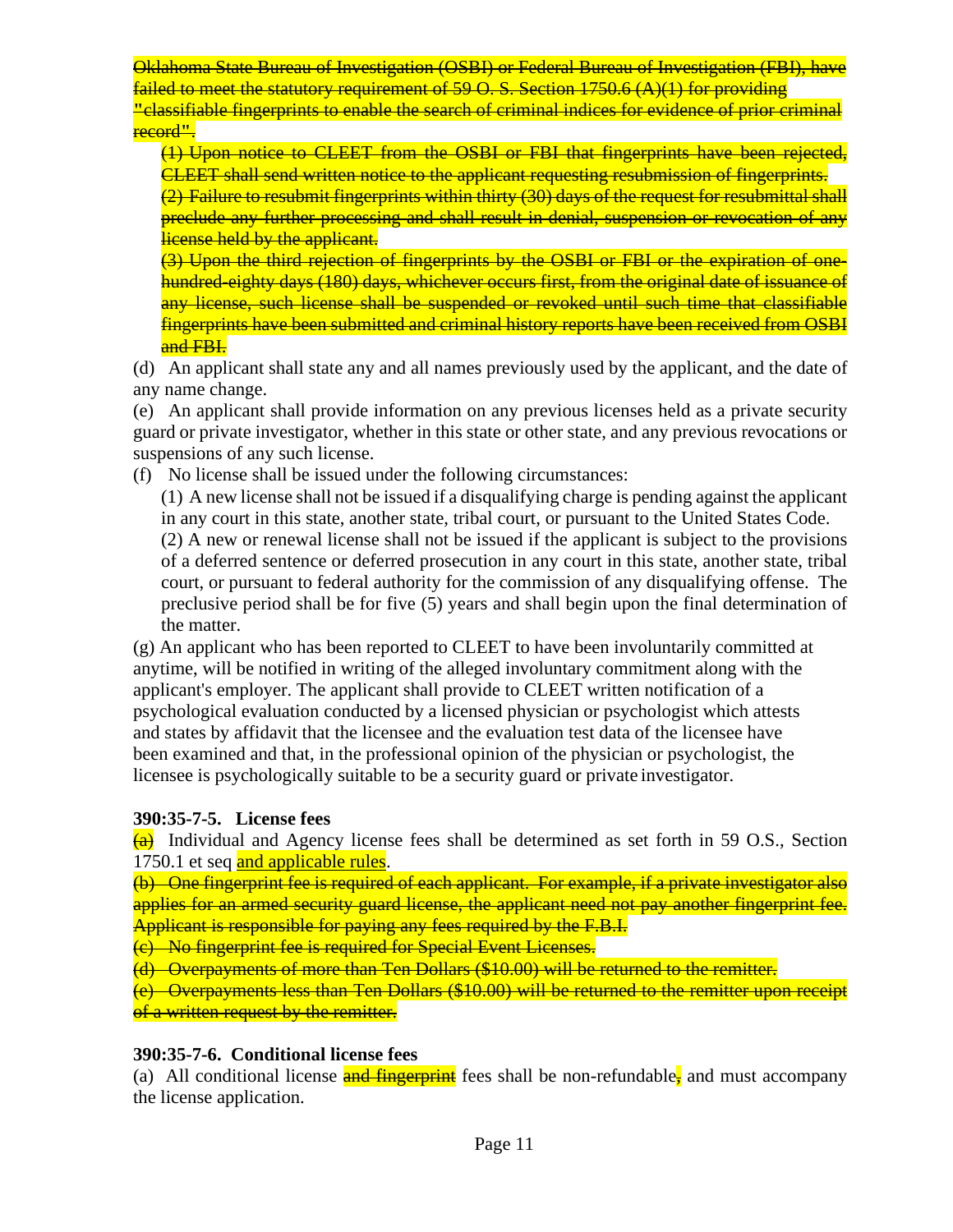Oklahoma State Bureau of Investigation (OSBI) or Federal Bureau of Investigation (FBI), have failed to meet the statutory requirement of 59 O. S. Section 1750.6 (A)(1) for providing **"**classifiable fingerprints to enable the search of criminal indices for evidence of prior criminal record**"**.

(1) Upon notice to CLEET from the OSBI or FBI that fingerprints have been rejected, CLEET shall send written notice to the applicant requesting resubmission of fingerprints.

(2) Failure to resubmit fingerprints within thirty (30) days of the request for resubmittal shall preclude any further processing and shall result in denial, suspension or revocation of any license held by the applicant.

(3) Upon the third rejection of fingerprints by the OSBI or FBI or the expiration of onehundred-eighty days (180) days, whichever occurs first, from the original date of issuance of any license, such license shall be suspended or revoked until such time that classifiable fingerprints have been submitted and criminal history reports have been received from OSBI and FBI.

(d) An applicant shall state any and all names previously used by the applicant, and the date of any name change.

(e) An applicant shall provide information on any previous licenses held as a private security guard or private investigator, whether in this state or other state, and any previous revocations or suspensions of any such license.

(f) No license shall be issued under the following circumstances:

(1) A new license shall not be issued if a disqualifying charge is pending against the applicant in any court in this state, another state, tribal court, or pursuant to the United States Code. (2) A new or renewal license shall not be issued if the applicant is subject to the provisions of a deferred sentence or deferred prosecution in any court in this state, another state, tribal court, or pursuant to federal authority for the commission of any disqualifying offense. The preclusive period shall be for five (5) years and shall begin upon the final determination of the matter.

(g) An applicant who has been reported to CLEET to have been involuntarily committed at anytime, will be notified in writing of the alleged involuntary commitment along with the applicant's employer. The applicant shall provide to CLEET written notification of a psychological evaluation conducted by a licensed physician or psychologist which attests and states by affidavit that the licensee and the evaluation test data of the licensee have been examined and that, in the professional opinion of the physician or psychologist, the licensee is psychologically suitable to be a security guard or private investigator.

# **390:35-7-5. License fees**

 $\overline{a}$  Individual and Agency license fees shall be determined as set forth in 59 O.S., Section 1750.1 et seq and applicable rules.

(b) One fingerprint fee is required of each applicant. For example, if a private investigator also applies for an armed security guard license, the applicant need not pay another fingerprint fee. Applicant is responsible for paying any fees required by the F.B.I.

(c) No fingerprint fee is required for Special Event Licenses.

(d) Overpayments of more than Ten Dollars (\$10.00) will be returned to the remitter.

(e) Overpayments less than Ten Dollars (\$10.00) will be returned to the remitter upon receipt of a written request by the remitter.

## **390:35-7-6. Conditional license fees**

(a) All conditional license and fingerprint fees shall be non-refundable, and must accompany the license application.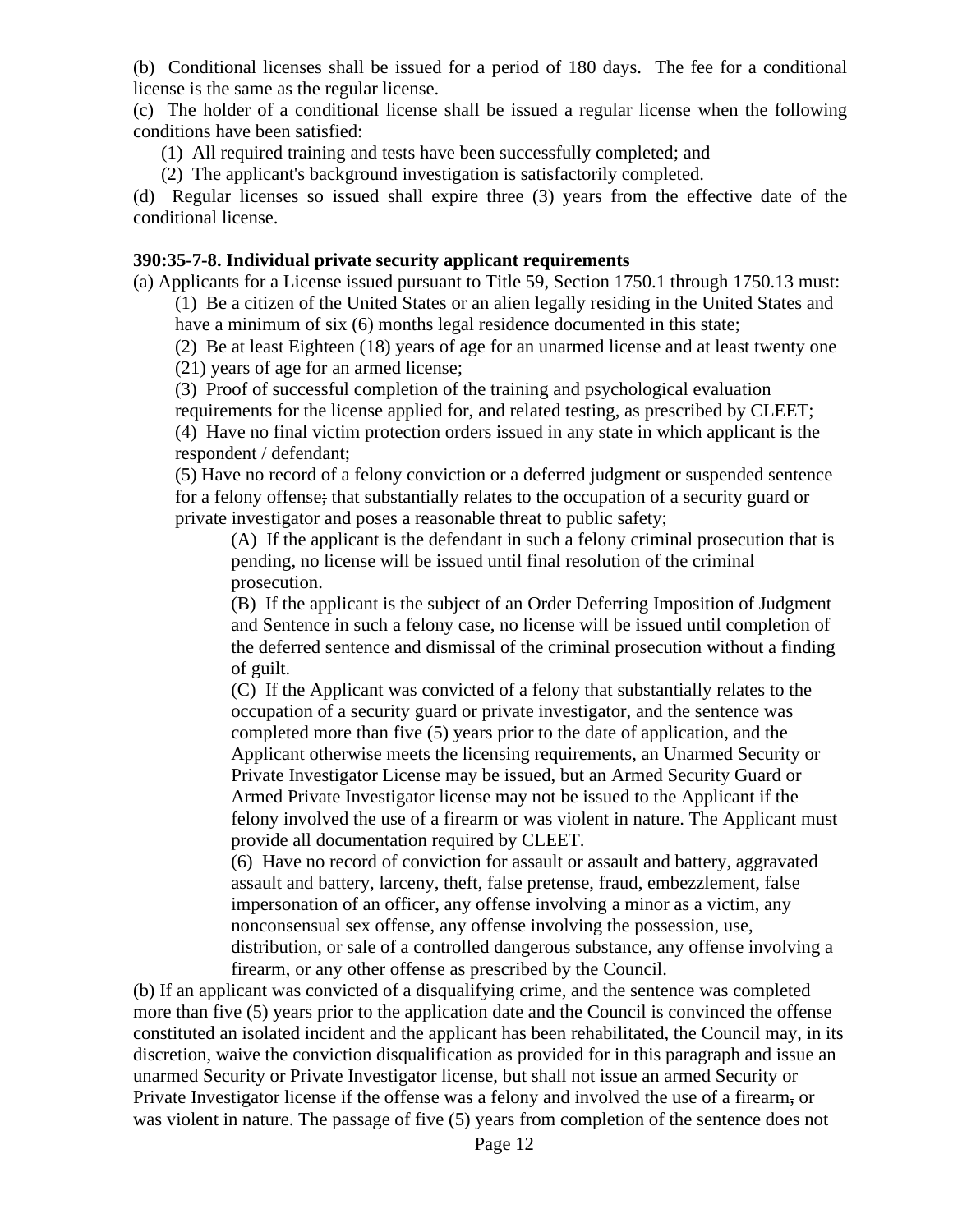(b) Conditional licenses shall be issued for a period of 180 days. The fee for a conditional license is the same as the regular license.

(c) The holder of a conditional license shall be issued a regular license when the following conditions have been satisfied:

(1) All required training and tests have been successfully completed; and

(2) The applicant's background investigation is satisfactorily completed.

(d) Regular licenses so issued shall expire three (3) years from the effective date of the conditional license.

## **390:35-7-8. Individual private security applicant requirements**

(a) Applicants for a License issued pursuant to Title 59, Section 1750.1 through 1750.13 must: (1) Be a citizen of the United States or an alien legally residing in the United States and have a minimum of six (6) months legal residence documented in this state;

(2) Be at least Eighteen (18) years of age for an unarmed license and at least twenty one

(21) years of age for an armed license;

(3) Proof of successful completion of the training and psychological evaluation

requirements for the license applied for, and related testing, as prescribed by CLEET; (4) Have no final victim protection orders issued in any state in which applicant is the respondent / defendant;

(5) Have no record of a felony conviction or a deferred judgment or suspended sentence for a felony offense; that substantially relates to the occupation of a security guard or private investigator and poses a reasonable threat to public safety;

(A) If the applicant is the defendant in such a felony criminal prosecution that is pending, no license will be issued until final resolution of the criminal prosecution.

(B) If the applicant is the subject of an Order Deferring Imposition of Judgment and Sentence in such a felony case, no license will be issued until completion of the deferred sentence and dismissal of the criminal prosecution without a finding of guilt.

(C) If the Applicant was convicted of a felony that substantially relates to the occupation of a security guard or private investigator, and the sentence was completed more than five (5) years prior to the date of application, and the Applicant otherwise meets the licensing requirements, an Unarmed Security or Private Investigator License may be issued, but an Armed Security Guard or Armed Private Investigator license may not be issued to the Applicant if the felony involved the use of a firearm or was violent in nature. The Applicant must provide all documentation required by CLEET.

(6) Have no record of conviction for assault or assault and battery, aggravated assault and battery, larceny, theft, false pretense, fraud, embezzlement, false impersonation of an officer, any offense involving a minor as a victim, any nonconsensual sex offense, any offense involving the possession, use, distribution, or sale of a controlled dangerous substance, any offense involving a firearm, or any other offense as prescribed by the Council.

(b) If an applicant was convicted of a disqualifying crime, and the sentence was completed more than five (5) years prior to the application date and the Council is convinced the offense constituted an isolated incident and the applicant has been rehabilitated, the Council may, in its discretion, waive the conviction disqualification as provided for in this paragraph and issue an unarmed Security or Private Investigator license, but shall not issue an armed Security or Private Investigator license if the offense was a felony and involved the use of a firearm, or was violent in nature. The passage of five (5) years from completion of the sentence does not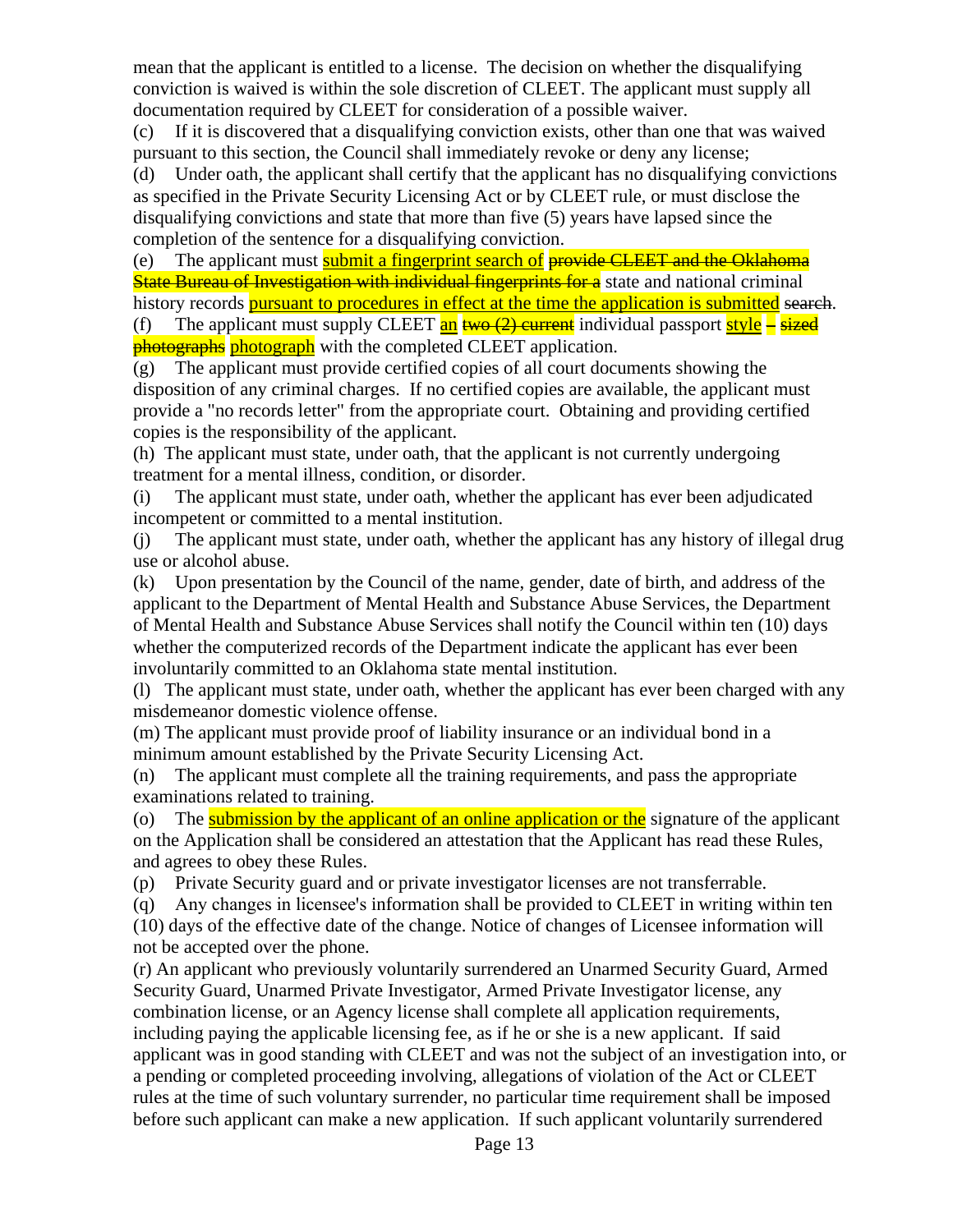mean that the applicant is entitled to a license. The decision on whether the disqualifying conviction is waived is within the sole discretion of CLEET. The applicant must supply all documentation required by CLEET for consideration of a possible waiver.

(c) If it is discovered that a disqualifying conviction exists, other than one that was waived pursuant to this section, the Council shall immediately revoke or deny any license;

(d) Under oath, the applicant shall certify that the applicant has no disqualifying convictions as specified in the Private Security Licensing Act or by CLEET rule, or must disclose the disqualifying convictions and state that more than five (5) years have lapsed since the completion of the sentence for a disqualifying conviction.

(e) The applicant must submit a fingerprint search of provide CLEET and the Oklahoma State Bureau of Investigation with individual fingerprints for a state and national criminal history records **pursuant to procedures in effect at the time the application is submitted search**.

(f) The applicant must supply CLEET  $\frac{\text{an}}{\text{two}}(2)$  current individual passport style – sized **photographs** photograph with the completed CLEET application.

(g) The applicant must provide certified copies of all court documents showing the disposition of any criminal charges. If no certified copies are available, the applicant must provide a "no records letter" from the appropriate court. Obtaining and providing certified copies is the responsibility of the applicant.

(h) The applicant must state, under oath, that the applicant is not currently undergoing treatment for a mental illness, condition, or disorder.

(i) The applicant must state, under oath, whether the applicant has ever been adjudicated incompetent or committed to a mental institution.

(j) The applicant must state, under oath, whether the applicant has any history of illegal drug use or alcohol abuse.

(k) Upon presentation by the Council of the name, gender, date of birth, and address of the applicant to the Department of Mental Health and Substance Abuse Services, the Department of Mental Health and Substance Abuse Services shall notify the Council within ten (10) days whether the computerized records of the Department indicate the applicant has ever been involuntarily committed to an Oklahoma state mental institution.

(l) The applicant must state, under oath, whether the applicant has ever been charged with any misdemeanor domestic violence offense.

(m) The applicant must provide proof of liability insurance or an individual bond in a minimum amount established by the Private Security Licensing Act.

(n) The applicant must complete all the training requirements, and pass the appropriate examinations related to training.

(o) The submission by the applicant of an online application or the signature of the applicant on the Application shall be considered an attestation that the Applicant has read these Rules, and agrees to obey these Rules.

(p) Private Security guard and or private investigator licenses are not transferrable.

(q) Any changes in licensee's information shall be provided to CLEET in writing within ten (10) days of the effective date of the change. Notice of changes of Licensee information will not be accepted over the phone.

(r) An applicant who previously voluntarily surrendered an Unarmed Security Guard, Armed Security Guard, Unarmed Private Investigator, Armed Private Investigator license, any combination license, or an Agency license shall complete all application requirements, including paying the applicable licensing fee, as if he or she is a new applicant. If said applicant was in good standing with CLEET and was not the subject of an investigation into, or a pending or completed proceeding involving, allegations of violation of the Act or CLEET rules at the time of such voluntary surrender, no particular time requirement shall be imposed before such applicant can make a new application. If such applicant voluntarily surrendered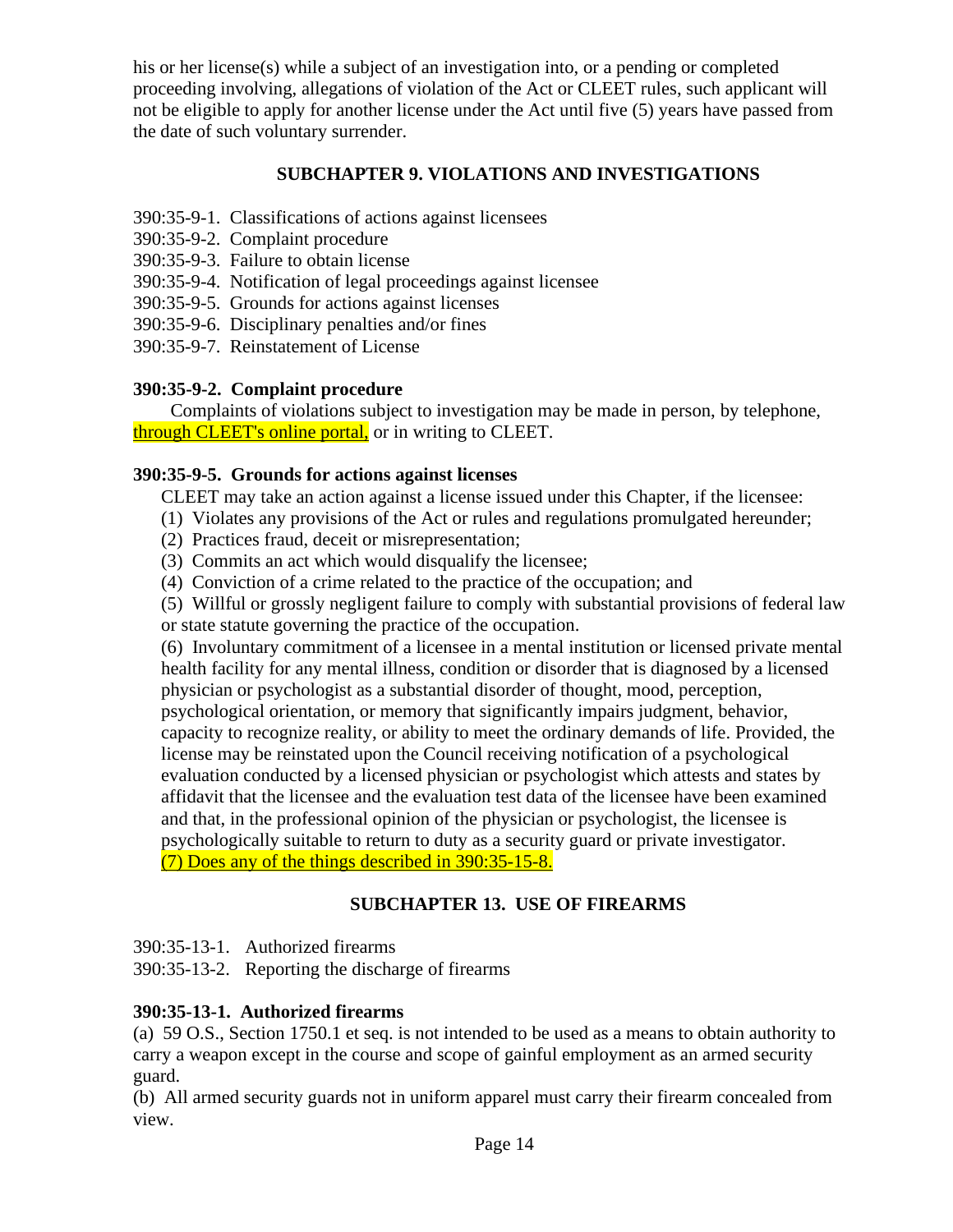his or her license(s) while a subject of an investigation into, or a pending or completed proceeding involving, allegations of violation of the Act or CLEET rules, such applicant will not be eligible to apply for another license under the Act until five (5) years have passed from the date of such voluntary surrender.

# **SUBCHAPTER 9. VIOLATIONS AND INVESTIGATIONS**

- 390:35-9-1. Classifications of actions against licensees
- 390:35-9-2. Complaint procedure
- 390:35-9-3. Failure to obtain license
- 390:35-9-4. Notification of legal proceedings against licensee
- 390:35-9-5. Grounds for actions against licenses
- 390:35-9-6. Disciplinary penalties and/or fines
- 390:35-9-7. Reinstatement of License

### **390:35-9-2. Complaint procedure**

 Complaints of violations subject to investigation may be made in person, by telephone, through CLEET's online portal, or in writing to CLEET.

### **390:35-9-5. Grounds for actions against licenses**

CLEET may take an action against a license issued under this Chapter, if the licensee:

- (1) Violates any provisions of the Act or rules and regulations promulgated hereunder;
- (2) Practices fraud, deceit or misrepresentation;
- (3) Commits an act which would disqualify the licensee;
- (4) Conviction of a crime related to the practice of the occupation; and

(5) Willful or grossly negligent failure to comply with substantial provisions of federal law or state statute governing the practice of the occupation.

(6) Involuntary commitment of a licensee in a mental institution or licensed private mental health facility for any mental illness, condition or disorder that is diagnosed by a licensed physician or psychologist as a substantial disorder of thought, mood, perception, psychological orientation, or memory that significantly impairs judgment, behavior, capacity to recognize reality, or ability to meet the ordinary demands of life. Provided, the license may be reinstated upon the Council receiving notification of a psychological evaluation conducted by a licensed physician or psychologist which attests and states by affidavit that the licensee and the evaluation test data of the licensee have been examined and that, in the professional opinion of the physician or psychologist, the licensee is psychologically suitable to return to duty as a security guard or private investigator. (7) Does any of the things described in 390:35-15-8.

# **SUBCHAPTER 13. USE OF FIREARMS**

390:35-13-1. Authorized firearms

390:35-13-2. Reporting the discharge of firearms

## **390:35-13-1. Authorized firearms**

(a) 59 O.S., Section 1750.1 et seq. is not intended to be used as a means to obtain authority to carry a weapon except in the course and scope of gainful employment as an armed security guard.

(b) All armed security guards not in uniform apparel must carry their firearm concealed from view.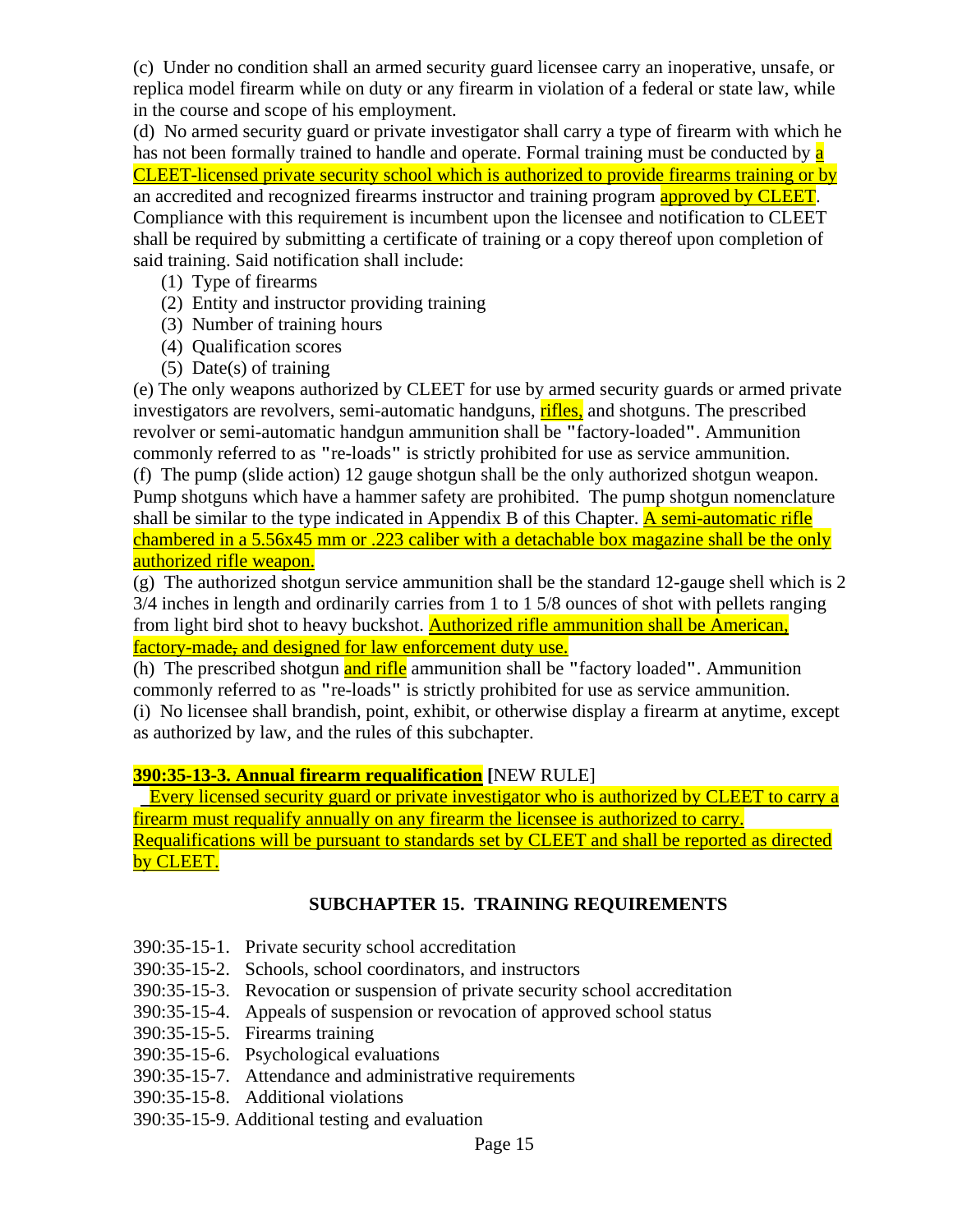(c) Under no condition shall an armed security guard licensee carry an inoperative, unsafe, or replica model firearm while on duty or any firearm in violation of a federal or state law, while in the course and scope of his employment.

(d) No armed security guard or private investigator shall carry a type of firearm with which he has not been formally trained to handle and operate. Formal training must be conducted by **a** CLEET-licensed private security school which is authorized to provide firearms training or by an accredited and recognized firearms instructor and training program approved by CLEET. Compliance with this requirement is incumbent upon the licensee and notification to CLEET shall be required by submitting a certificate of training or a copy thereof upon completion of said training. Said notification shall include:

- (1) Type of firearms
- (2) Entity and instructor providing training
- (3) Number of training hours
- (4) Qualification scores
- (5) Date(s) of training

(e) The only weapons authorized by CLEET for use by armed security guards or armed private investigators are revolvers, semi-automatic handguns, rifles, and shotguns. The prescribed revolver or semi-automatic handgun ammunition shall be **"**factory-loaded**"**. Ammunition commonly referred to as **"**re-loads**"** is strictly prohibited for use as service ammunition. (f) The pump (slide action) 12 gauge shotgun shall be the only authorized shotgun weapon. Pump shotguns which have a hammer safety are prohibited. The pump shotgun nomenclature

shall be similar to the type indicated in Appendix B of this Chapter. A semi-automatic rifle chambered in a 5.56x45 mm or .223 caliber with a detachable box magazine shall be the only authorized rifle weapon.

(g) The authorized shotgun service ammunition shall be the standard 12-gauge shell which is 2 3/4 inches in length and ordinarily carries from 1 to 1 5/8 ounces of shot with pellets ranging from light bird shot to heavy buckshot. Authorized rifle ammunition shall be American, factory-made, and designed for law enforcement duty use.

(h) The prescribed shotgun and rifle ammunition shall be **"**factory loaded**"**. Ammunition commonly referred to as **"**re-loads**"** is strictly prohibited for use as service ammunition. (i) No licensee shall brandish, point, exhibit, or otherwise display a firearm at anytime, except as authorized by law, and the rules of this subchapter.

# **390:35-13-3. Annual firearm requalification [**NEW RULE]

 Every licensed security guard or private investigator who is authorized by CLEET to carry a firearm must requalify annually on any firearm the licensee is authorized to carry. Requalifications will be pursuant to standards set by CLEET and shall be reported as directed by CLEET.

# **SUBCHAPTER 15. TRAINING REQUIREMENTS**

- 390:35-15-1. Private security school accreditation
- 390:35-15-2. Schools, school coordinators, and instructors
- 390:35-15-3. Revocation or suspension of private security school accreditation
- 390:35-15-4. Appeals of suspension or revocation of approved school status
- 390:35-15-5. Firearms training
- 390:35-15-6. Psychological evaluations
- 390:35-15-7. Attendance and administrative requirements
- 390:35-15-8. Additional violations
- 390:35-15-9. Additional testing and evaluation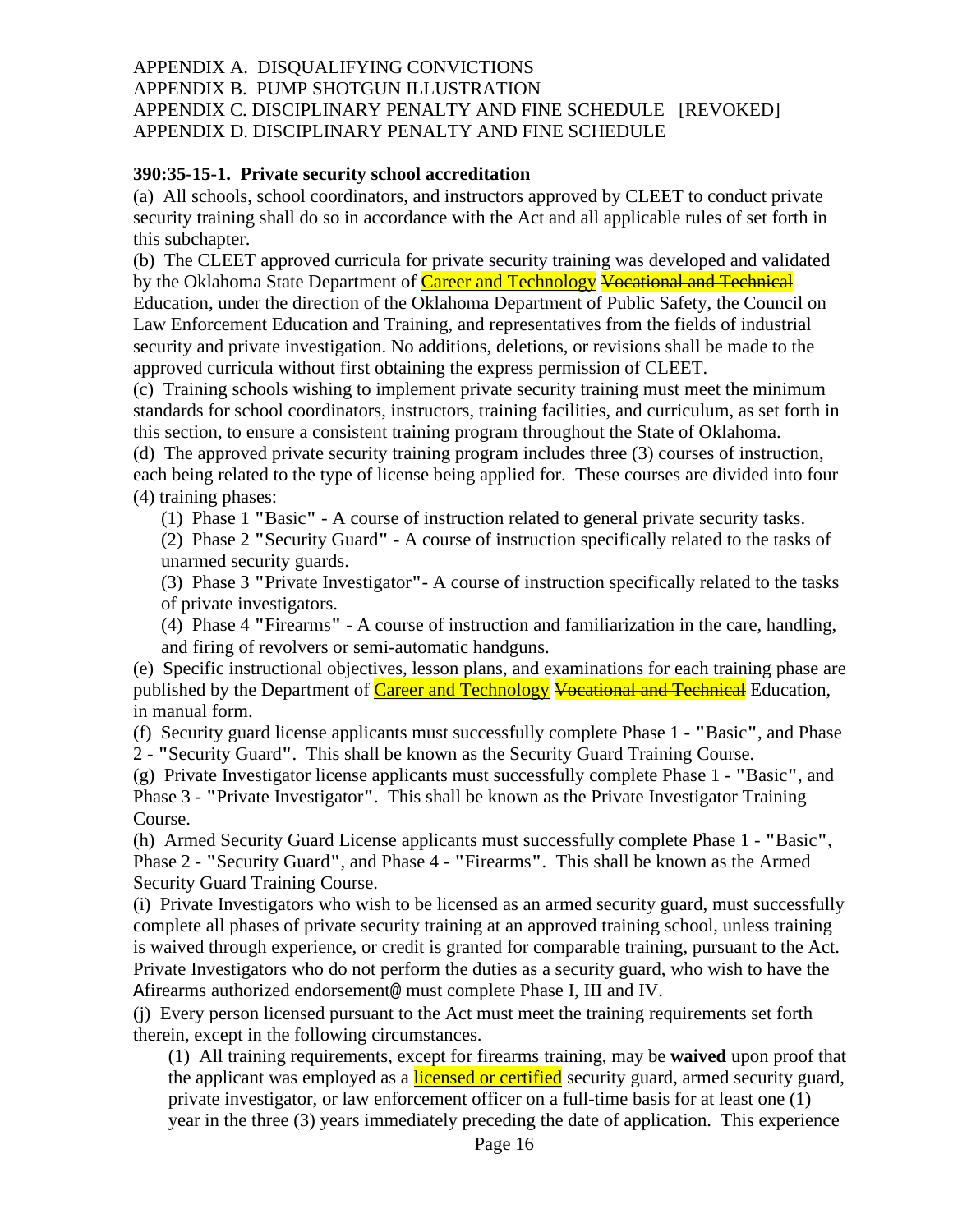## APPENDIX A. DISQUALIFYING CONVICTIONS APPENDIX B. PUMP SHOTGUN ILLUSTRATION APPENDIX C. DISCIPLINARY PENALTY AND FINE SCHEDULE [REVOKED] APPENDIX D. DISCIPLINARY PENALTY AND FINE SCHEDULE

### **390:35-15-1. Private security school accreditation**

(a) All schools, school coordinators, and instructors approved by CLEET to conduct private security training shall do so in accordance with the Act and all applicable rules of set forth in this subchapter.

(b) The CLEET approved curricula for private security training was developed and validated by the Oklahoma State Department of Career and Technology Vocational and Technical Education, under the direction of the Oklahoma Department of Public Safety, the Council on Law Enforcement Education and Training, and representatives from the fields of industrial security and private investigation. No additions, deletions, or revisions shall be made to the approved curricula without first obtaining the express permission of CLEET.

(c) Training schools wishing to implement private security training must meet the minimum standards for school coordinators, instructors, training facilities, and curriculum, as set forth in this section, to ensure a consistent training program throughout the State of Oklahoma.

(d) The approved private security training program includes three (3) courses of instruction, each being related to the type of license being applied for. These courses are divided into four (4) training phases:

(1) Phase 1 **"**Basic**"** - A course of instruction related to general private security tasks.

(2) Phase 2 **"**Security Guard**"** - A course of instruction specifically related to the tasks of unarmed security guards.

(3) Phase 3 **"**Private Investigator**"**- A course of instruction specifically related to the tasks of private investigators.

(4) Phase 4 **"**Firearms**"** - A course of instruction and familiarization in the care, handling, and firing of revolvers or semi-automatic handguns.

(e) Specific instructional objectives, lesson plans, and examinations for each training phase are published by the Department of Career and Technology Vocational and Technical Education, in manual form.

(f) Security guard license applicants must successfully complete Phase 1 - **"**Basic**"**, and Phase 2 - **"**Security Guard**"**. This shall be known as the Security Guard Training Course.

(g) Private Investigator license applicants must successfully complete Phase 1 - **"**Basic**"**, and Phase 3 - **"**Private Investigator**"**. This shall be known as the Private Investigator Training Course.

(h) Armed Security Guard License applicants must successfully complete Phase 1 - **"**Basic**"**, Phase 2 - **"**Security Guard**"**, and Phase 4 - **"**Firearms**"**. This shall be known as the Armed Security Guard Training Course.

(i) Private Investigators who wish to be licensed as an armed security guard, must successfully complete all phases of private security training at an approved training school, unless training is waived through experience, or credit is granted for comparable training, pursuant to the Act. Private Investigators who do not perform the duties as a security guard, who wish to have the Afirearms authorized endorsement@ must complete Phase I, III and IV.

(j) Every person licensed pursuant to the Act must meet the training requirements set forth therein, except in the following circumstances.

(1) All training requirements, except for firearms training, may be **waived** upon proof that the applicant was employed as a **licensed or certified** security guard, armed security guard, private investigator, or law enforcement officer on a full-time basis for at least one (1) year in the three (3) years immediately preceding the date of application. This experience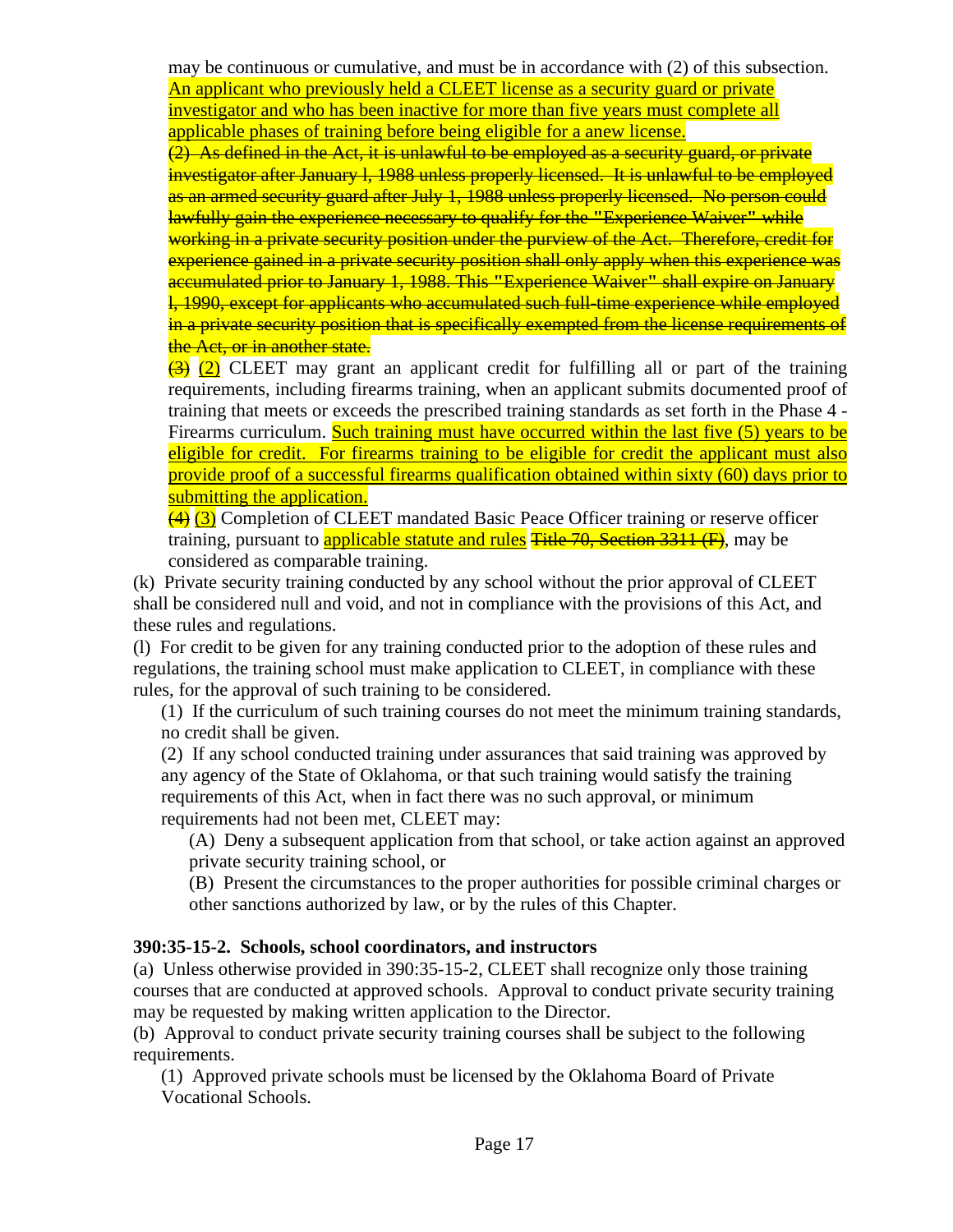may be continuous or cumulative, and must be in accordance with (2) of this subsection. An applicant who previously held a CLEET license as a security guard or private investigator and who has been inactive for more than five years must complete all applicable phases of training before being eligible for a anew license.

 $\overline{2}$ . As defined in the Act, it is unlawful to be employed as a security guard, or private investigator after January l, 1988 unless properly licensed. It is unlawful to be employed as an armed security guard after July 1, 1988 unless properly licensed. No person could lawfully gain the experience necessary to qualify for the **"**Experience Waiver**"** while working in a private security position under the purview of the Act. Therefore, credit for experience gained in a private security position shall only apply when this experience was accumulated prior to January 1, 1988. This **"**Experience Waiver**"** shall expire on January l, 1990, except for applicants who accumulated such full-time experience while employed in a private security position that is specifically exempted from the license requirements of the Act, or in another state.

 $\left(\frac{3}{2}\right)$  (2) CLEET may grant an applicant credit for fulfilling all or part of the training requirements, including firearms training, when an applicant submits documented proof of training that meets or exceeds the prescribed training standards as set forth in the Phase 4 - Firearms curriculum. Such training must have occurred within the last five (5) years to be eligible for credit. For firearms training to be eligible for credit the applicant must also provide proof of a successful firearms qualification obtained within sixty (60) days prior to submitting the application.

 $\left(\frac{4}{3}\right)$  Completion of CLEET mandated Basic Peace Officer training or reserve officer training, pursuant to **applicable statute and rules Title 70, Section 3311 (F)**, may be considered as comparable training.

(k) Private security training conducted by any school without the prior approval of CLEET shall be considered null and void, and not in compliance with the provisions of this Act, and these rules and regulations.

(l) For credit to be given for any training conducted prior to the adoption of these rules and regulations, the training school must make application to CLEET, in compliance with these rules, for the approval of such training to be considered.

(1) If the curriculum of such training courses do not meet the minimum training standards, no credit shall be given.

(2) If any school conducted training under assurances that said training was approved by any agency of the State of Oklahoma, or that such training would satisfy the training requirements of this Act, when in fact there was no such approval, or minimum requirements had not been met, CLEET may:

(A) Deny a subsequent application from that school, or take action against an approved private security training school, or

(B) Present the circumstances to the proper authorities for possible criminal charges or other sanctions authorized by law, or by the rules of this Chapter.

## **390:35-15-2. Schools, school coordinators, and instructors**

(a) Unless otherwise provided in 390:35-15-2, CLEET shall recognize only those training courses that are conducted at approved schools. Approval to conduct private security training may be requested by making written application to the Director.

(b) Approval to conduct private security training courses shall be subject to the following requirements.

(1) Approved private schools must be licensed by the Oklahoma Board of Private Vocational Schools.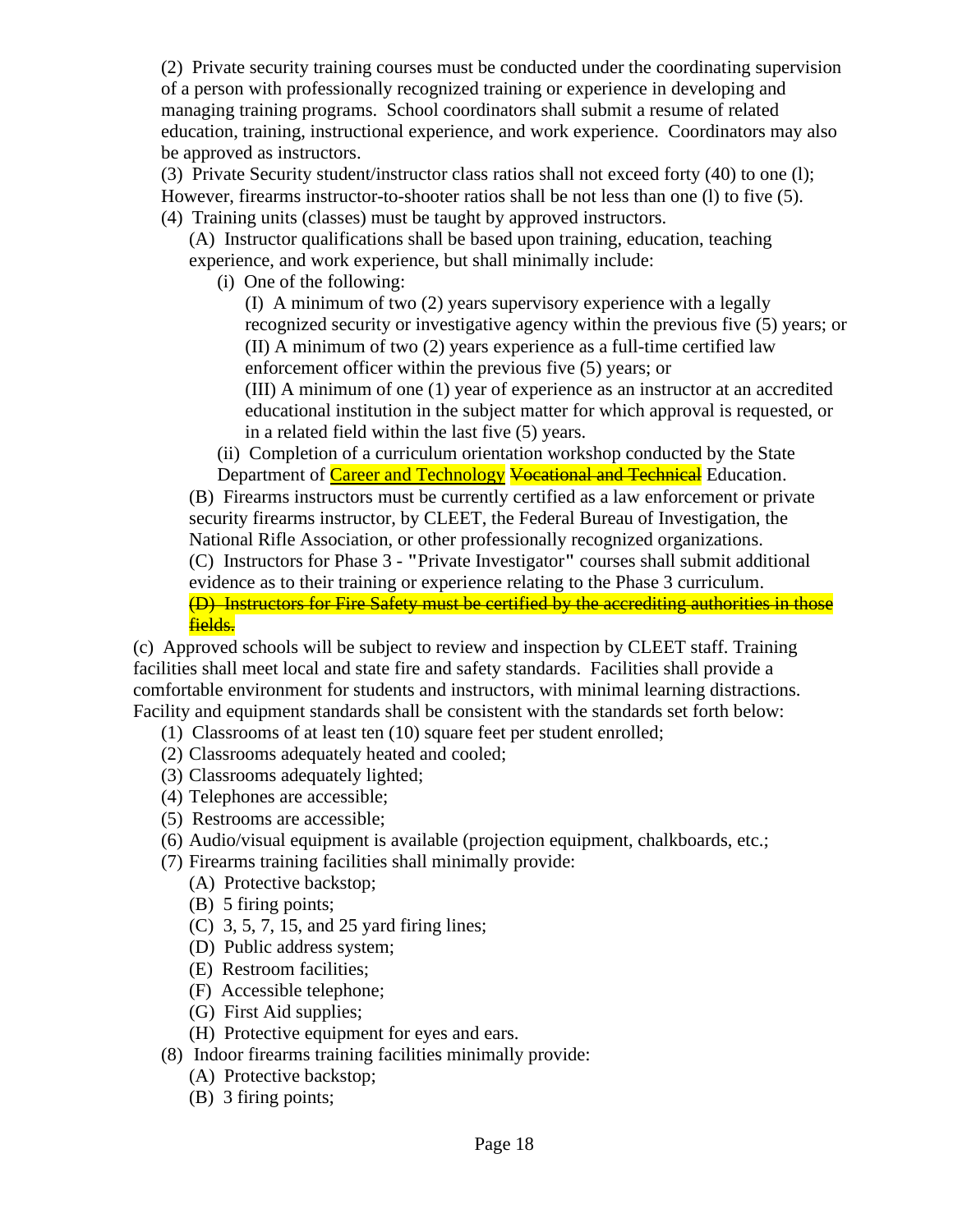(2) Private security training courses must be conducted under the coordinating supervision of a person with professionally recognized training or experience in developing and managing training programs. School coordinators shall submit a resume of related education, training, instructional experience, and work experience. Coordinators may also be approved as instructors.

(3) Private Security student/instructor class ratios shall not exceed forty (40) to one (l); However, firearms instructor-to-shooter ratios shall be not less than one (l) to five (5).

(4) Training units (classes) must be taught by approved instructors.

(A) Instructor qualifications shall be based upon training, education, teaching experience, and work experience, but shall minimally include:

(i) One of the following:

(I) A minimum of two (2) years supervisory experience with a legally recognized security or investigative agency within the previous five (5) years; or (II) A minimum of two (2) years experience as a full-time certified law enforcement officer within the previous five (5) years; or

(III) A minimum of one (1) year of experience as an instructor at an accredited educational institution in the subject matter for which approval is requested, or in a related field within the last five (5) years.

(ii) Completion of a curriculum orientation workshop conducted by the State Department of Career and Technology Vocational and Technical Education.

(B) Firearms instructors must be currently certified as a law enforcement or private security firearms instructor, by CLEET, the Federal Bureau of Investigation, the National Rifle Association, or other professionally recognized organizations. (C) Instructors for Phase 3 - **"**Private Investigator**"** courses shall submit additional evidence as to their training or experience relating to the Phase 3 curriculum. (D) Instructors for Fire Safety must be certified by the accrediting authorities in those fields.

(c) Approved schools will be subject to review and inspection by CLEET staff. Training facilities shall meet local and state fire and safety standards. Facilities shall provide a comfortable environment for students and instructors, with minimal learning distractions. Facility and equipment standards shall be consistent with the standards set forth below:

- (1) Classrooms of at least ten (10) square feet per student enrolled;
- (2) Classrooms adequately heated and cooled;
- (3) Classrooms adequately lighted;
- (4) Telephones are accessible;
- (5) Restrooms are accessible;
- (6) Audio/visual equipment is available (projection equipment, chalkboards, etc.;
- (7) Firearms training facilities shall minimally provide:
	- (A) Protective backstop;
	- (B) 5 firing points;
	- (C) 3, 5, 7, 15, and 25 yard firing lines;
	- (D) Public address system;
	- (E) Restroom facilities;
	- (F) Accessible telephone;
	- (G) First Aid supplies;
	- (H) Protective equipment for eyes and ears.
- (8) Indoor firearms training facilities minimally provide:
	- (A) Protective backstop;
	- (B) 3 firing points;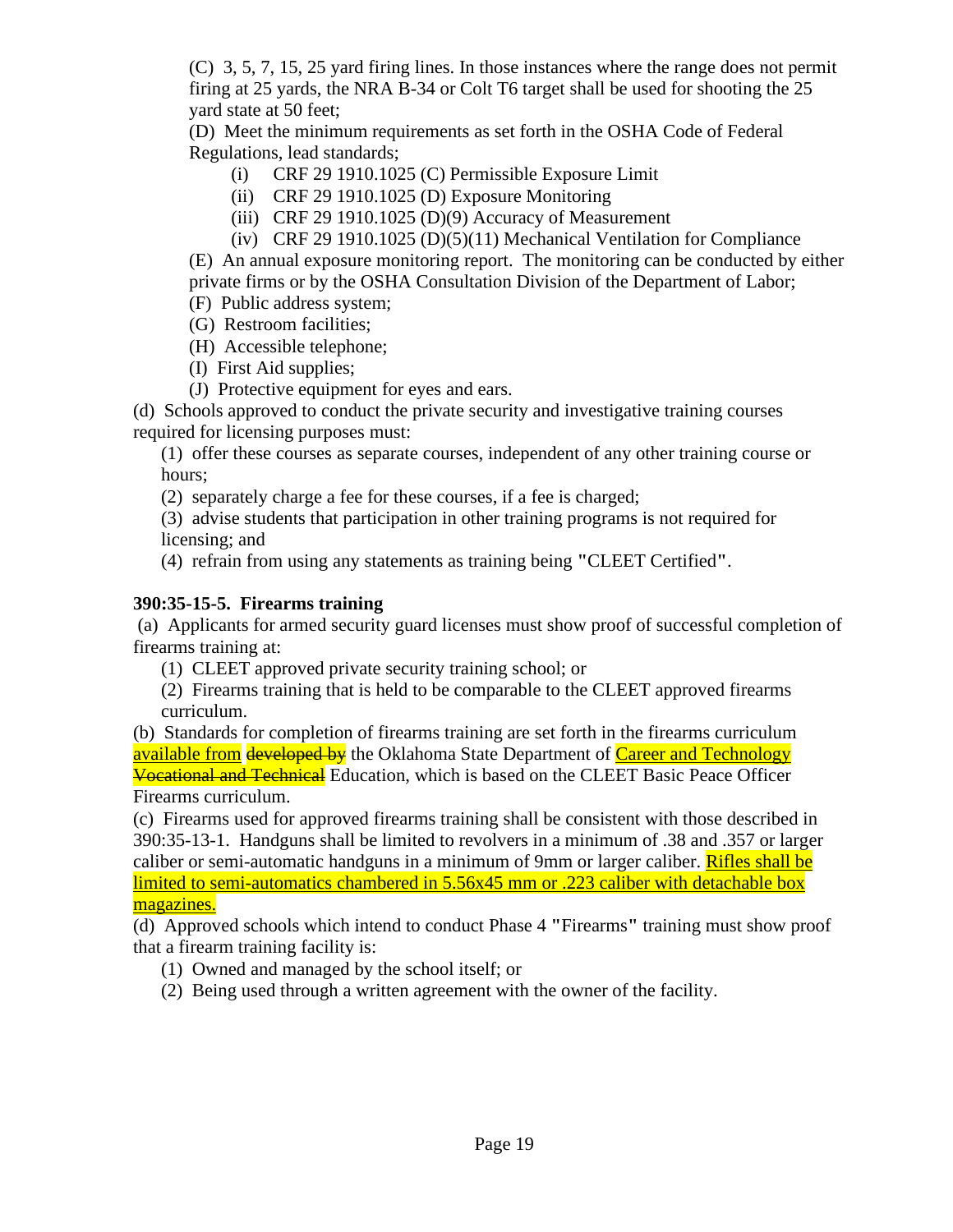(C) 3, 5, 7, 15, 25 yard firing lines. In those instances where the range does not permit firing at 25 yards, the NRA B-34 or Colt T6 target shall be used for shooting the 25 yard state at 50 feet;

(D) Meet the minimum requirements as set forth in the OSHA Code of Federal Regulations, lead standards;

- (i) CRF 29 1910.1025 (C) Permissible Exposure Limit
- (ii) CRF 29 1910.1025 (D) Exposure Monitoring
- (iii) CRF 29 1910.1025 (D)(9) Accuracy of Measurement
- (iv) CRF 29 1910.1025 (D)(5)(11) Mechanical Ventilation for Compliance

(E) An annual exposure monitoring report. The monitoring can be conducted by either private firms or by the OSHA Consultation Division of the Department of Labor;

- (F) Public address system;
- (G) Restroom facilities;
- (H) Accessible telephone;
- (I) First Aid supplies;
- (J) Protective equipment for eyes and ears.

(d) Schools approved to conduct the private security and investigative training courses required for licensing purposes must:

(1) offer these courses as separate courses, independent of any other training course or hours;

(2) separately charge a fee for these courses, if a fee is charged;

(3) advise students that participation in other training programs is not required for licensing; and

(4) refrain from using any statements as training being **"**CLEET Certified**"**.

# **390:35-15-5. Firearms training**

 (a) Applicants for armed security guard licenses must show proof of successful completion of firearms training at:

(1) CLEET approved private security training school; or

(2) Firearms training that is held to be comparable to the CLEET approved firearms curriculum.

(b) Standards for completion of firearms training are set forth in the firearms curriculum available from developed by the Oklahoma State Department of Career and Technology Vocational and Technical Education, which is based on the CLEET Basic Peace Officer Firearms curriculum.

(c) Firearms used for approved firearms training shall be consistent with those described in 390:35-13-1. Handguns shall be limited to revolvers in a minimum of .38 and .357 or larger caliber or semi-automatic handguns in a minimum of 9mm or larger caliber. Rifles shall be limited to semi-automatics chambered in 5.56x45 mm or .223 caliber with detachable box magazines.

(d) Approved schools which intend to conduct Phase 4 **"**Firearms**"** training must show proof that a firearm training facility is:

- (1) Owned and managed by the school itself; or
- (2) Being used through a written agreement with the owner of the facility.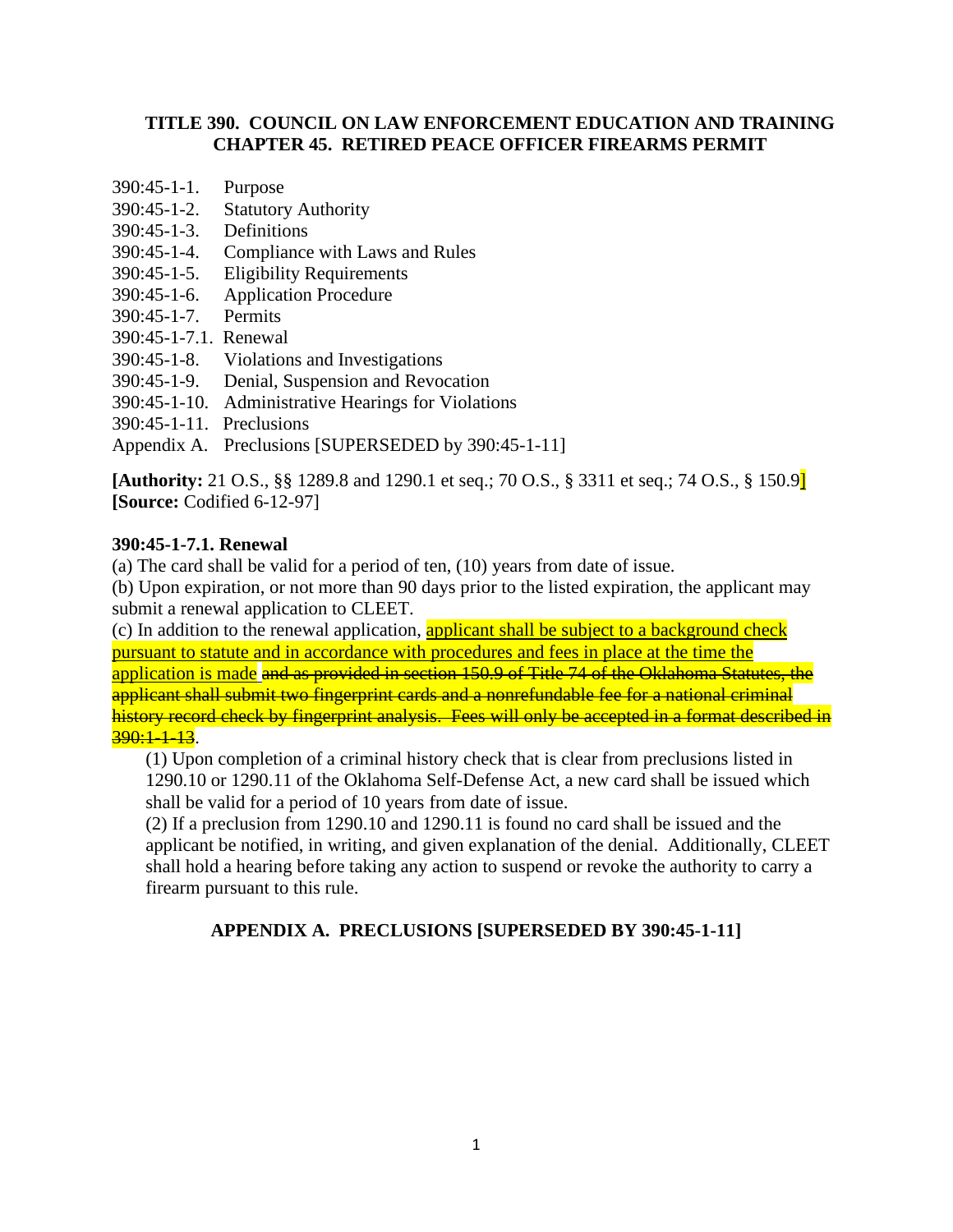### **TITLE 390. COUNCIL ON LAW ENFORCEMENT EDUCATION AND TRAINING CHAPTER 45. RETIRED PEACE OFFICER FIREARMS PERMIT**

- 390:45-1-1. Purpose
- 390:45-1-2. Statutory Authority
- 390:45-1-3. Definitions
- 390:45-1-4. Compliance with Laws and Rules
- 390:45-1-5. Eligibility Requirements<br>390:45-1-6. Application Procedure
- Application Procedure<br>Permits
- $390:45-1-7$ .
- 390:45-1-7.1. Renewal
- 390:45-1-8. Violations and Investigations
- 390:45-1-9. Denial, Suspension and Revocation
- 390:45-1-10. Administrative Hearings for Violations
- 390:45-1-11. Preclusions
- Appendix A. Preclusions [SUPERSEDED by 390:45-1-11]

**[Authority:** 21 O.S., §§ 1289.8 and 1290.1 et seq.; 70 O.S., § 3311 et seq.; 74 O.S., § 150.9] **[Source:** Codified 6-12-97]

### **390:45-1-7.1. Renewal**

(a) The card shall be valid for a period of ten, (10) years from date of issue.

(b) Upon expiration, or not more than 90 days prior to the listed expiration, the applicant may submit a renewal application to CLEET.

(c) In addition to the renewal application, applicant shall be subject to a background check pursuant to statute and in accordance with procedures and fees in place at the time the application is made and as provided in section 150.9 of Title 74 of the Oklahoma Statutes, the applicant shall submit two fingerprint cards and a nonrefundable fee for a national criminal history record check by fingerprint analysis. Fees will only be accepted in a format described in  $390:1-1-13$ .

(1) Upon completion of a criminal history check that is clear from preclusions listed in 1290.10 or 1290.11 of the Oklahoma Self-Defense Act, a new card shall be issued which shall be valid for a period of 10 years from date of issue.

(2) If a preclusion from 1290.10 and 1290.11 is found no card shall be issued and the applicant be notified, in writing, and given explanation of the denial. Additionally, CLEET shall hold a hearing before taking any action to suspend or revoke the authority to carry a firearm pursuant to this rule.

### **APPENDIX A. PRECLUSIONS [SUPERSEDED BY 390:45-1-11]**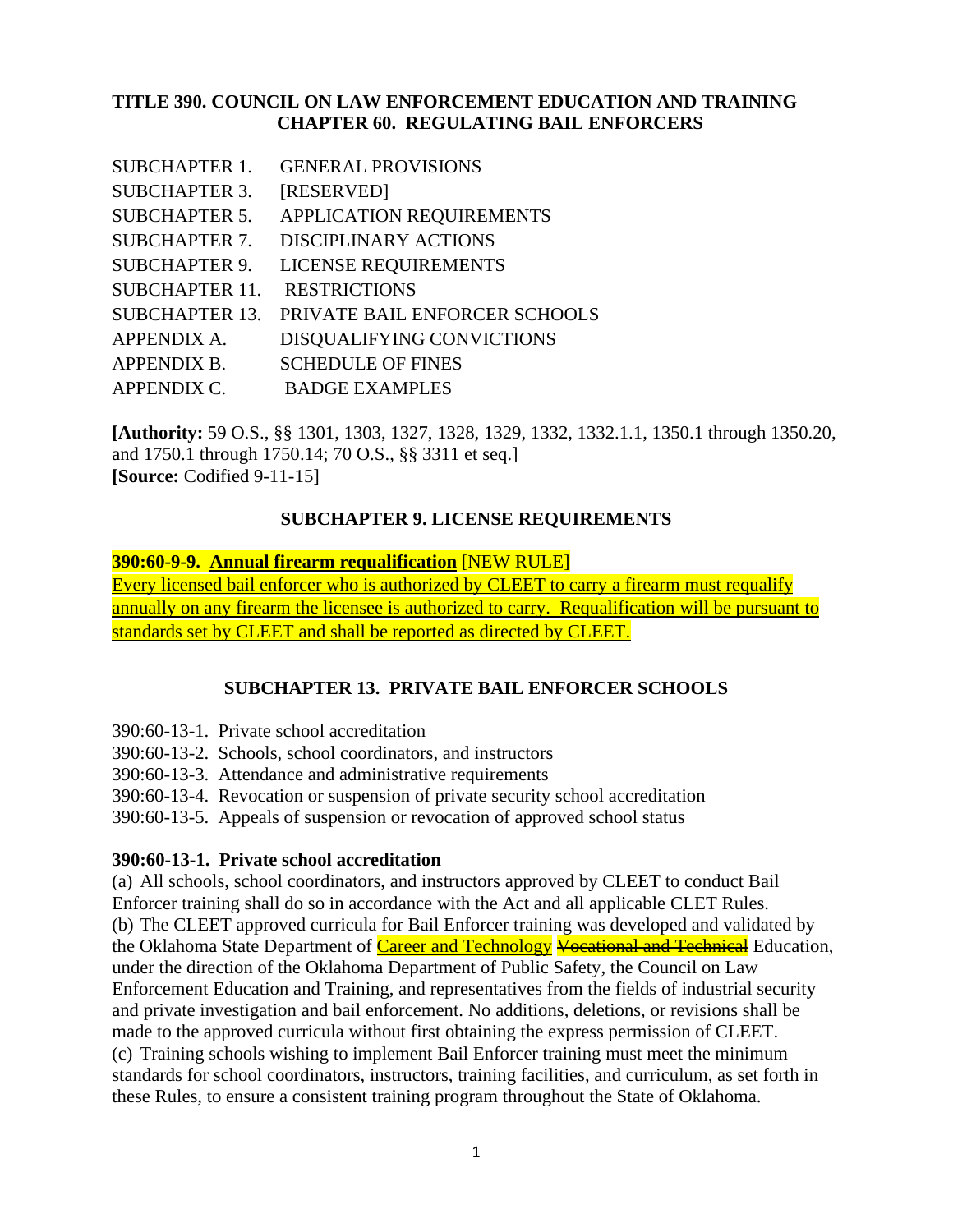## **TITLE 390. COUNCIL ON LAW ENFORCEMENT EDUCATION AND TRAINING CHAPTER 60. REGULATING BAIL ENFORCERS**

SUBCHAPTER 1. GENERAL PROVISIONS SUBCHAPTER 3. [RESERVED] SUBCHAPTER 5. APPLICATION REQUIREMENTS SUBCHAPTER 7. DISCIPLINARY ACTIONS SUBCHAPTER 9. LICENSE REQUIREMENTS SUBCHAPTER 11. RESTRICTIONS SUBCHAPTER 13. PRIVATE BAIL ENFORCER SCHOOLS APPENDIX A. DISQUALIFYING CONVICTIONS APPENDIX B. SCHEDULE OF FINES APPENDIX C. BADGE EXAMPLES

**[Authority:** 59 O.S., §§ 1301, 1303, 1327, 1328, 1329, 1332, 1332.1.1, 1350.1 through 1350.20, and 1750.1 through 1750.14; 70 O.S., §§ 3311 et seq.] **[Source:** Codified 9-11-15]

### **SUBCHAPTER 9. LICENSE REQUIREMENTS**

**390:60-9-9. Annual firearm requalification** [NEW RULE] Every licensed bail enforcer who is authorized by CLEET to carry a firearm must requalify annually on any firearm the licensee is authorized to carry. Requalification will be pursuant to standards set by CLEET and shall be reported as directed by CLEET.

## **SUBCHAPTER 13. PRIVATE BAIL ENFORCER SCHOOLS**

- 390:60-13-1. Private school accreditation
- 390:60-13-2. Schools, school coordinators, and instructors
- 390:60-13-3. Attendance and administrative requirements
- 390:60-13-4. Revocation or suspension of private security school accreditation
- 390:60-13-5. Appeals of suspension or revocation of approved school status

## **390:60-13-1. Private school accreditation**

(a) All schools, school coordinators, and instructors approved by CLEET to conduct Bail Enforcer training shall do so in accordance with the Act and all applicable CLET Rules. (b) The CLEET approved curricula for Bail Enforcer training was developed and validated by the Oklahoma State Department of Career and Technology Vocational and Technical Education, under the direction of the Oklahoma Department of Public Safety, the Council on Law Enforcement Education and Training, and representatives from the fields of industrial security and private investigation and bail enforcement. No additions, deletions, or revisions shall be made to the approved curricula without first obtaining the express permission of CLEET. (c) Training schools wishing to implement Bail Enforcer training must meet the minimum standards for school coordinators, instructors, training facilities, and curriculum, as set forth in these Rules, to ensure a consistent training program throughout the State of Oklahoma.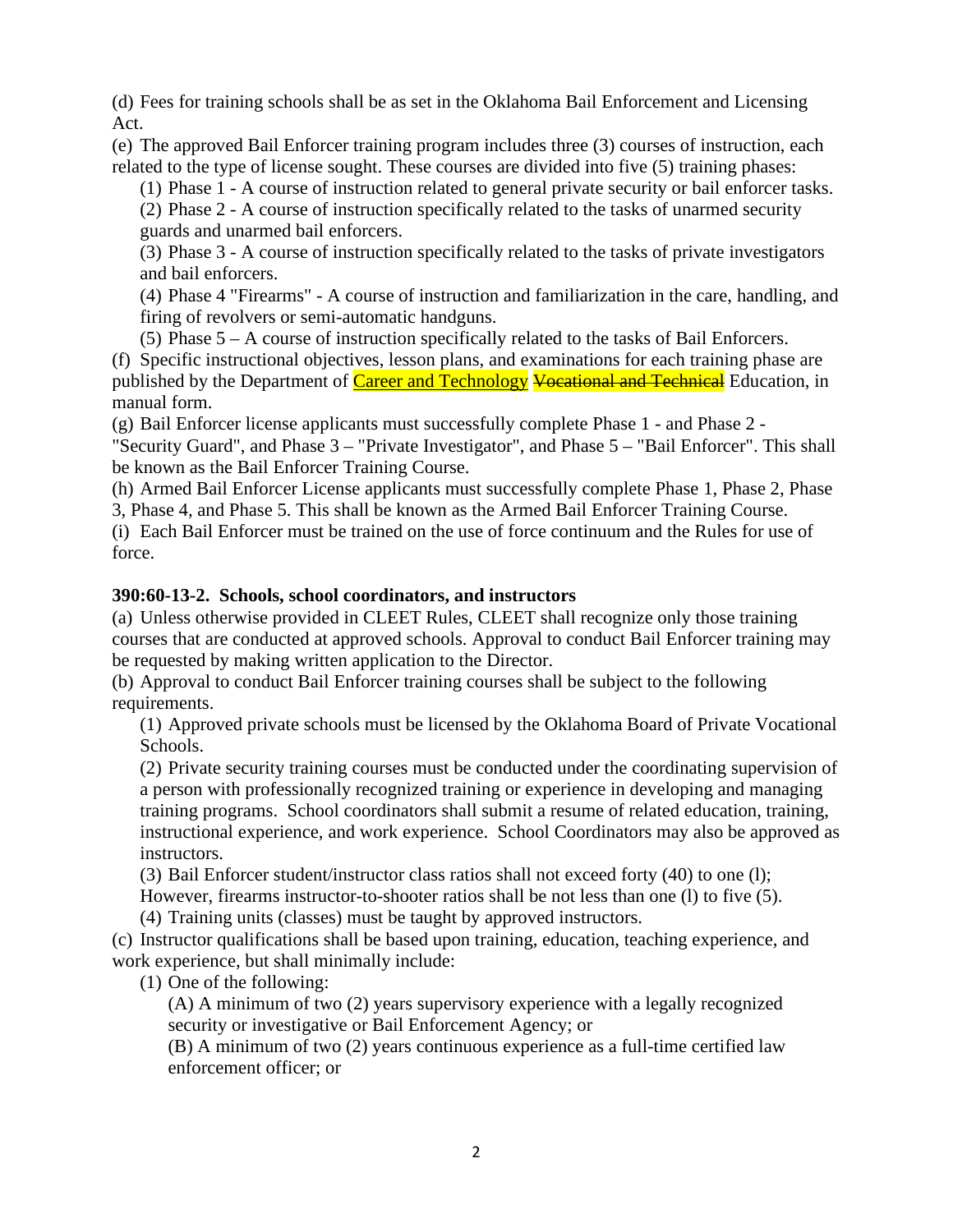(d) Fees for training schools shall be as set in the Oklahoma Bail Enforcement and Licensing Act.

(e) The approved Bail Enforcer training program includes three (3) courses of instruction, each related to the type of license sought. These courses are divided into five (5) training phases:

(1) Phase 1 - A course of instruction related to general private security or bail enforcer tasks. (2) Phase 2 - A course of instruction specifically related to the tasks of unarmed security guards and unarmed bail enforcers.

(3) Phase 3 - A course of instruction specifically related to the tasks of private investigators and bail enforcers.

(4) Phase 4 "Firearms" - A course of instruction and familiarization in the care, handling, and firing of revolvers or semi-automatic handguns.

(5) Phase 5 – A course of instruction specifically related to the tasks of Bail Enforcers.

(f) Specific instructional objectives, lesson plans, and examinations for each training phase are published by the Department of Career and Technology Vocational and Technical Education, in manual form.

(g) Bail Enforcer license applicants must successfully complete Phase 1 - and Phase 2 -

"Security Guard", and Phase 3 – "Private Investigator", and Phase 5 – "Bail Enforcer". This shall be known as the Bail Enforcer Training Course.

(h) Armed Bail Enforcer License applicants must successfully complete Phase 1, Phase 2, Phase 3, Phase 4, and Phase 5. This shall be known as the Armed Bail Enforcer Training Course.

(i) Each Bail Enforcer must be trained on the use of force continuum and the Rules for use of force.

## **390:60-13-2. Schools, school coordinators, and instructors**

(a) Unless otherwise provided in CLEET Rules, CLEET shall recognize only those training courses that are conducted at approved schools. Approval to conduct Bail Enforcer training may be requested by making written application to the Director.

(b) Approval to conduct Bail Enforcer training courses shall be subject to the following requirements.

(1) Approved private schools must be licensed by the Oklahoma Board of Private Vocational Schools.

(2) Private security training courses must be conducted under the coordinating supervision of a person with professionally recognized training or experience in developing and managing training programs. School coordinators shall submit a resume of related education, training, instructional experience, and work experience. School Coordinators may also be approved as instructors.

(3) Bail Enforcer student/instructor class ratios shall not exceed forty (40) to one (l);

However, firearms instructor-to-shooter ratios shall be not less than one (l) to five (5).

(4) Training units (classes) must be taught by approved instructors.

(c) Instructor qualifications shall be based upon training, education, teaching experience, and work experience, but shall minimally include:

(1) One of the following:

(A) A minimum of two (2) years supervisory experience with a legally recognized security or investigative or Bail Enforcement Agency; or

(B) A minimum of two (2) years continuous experience as a full-time certified law enforcement officer; or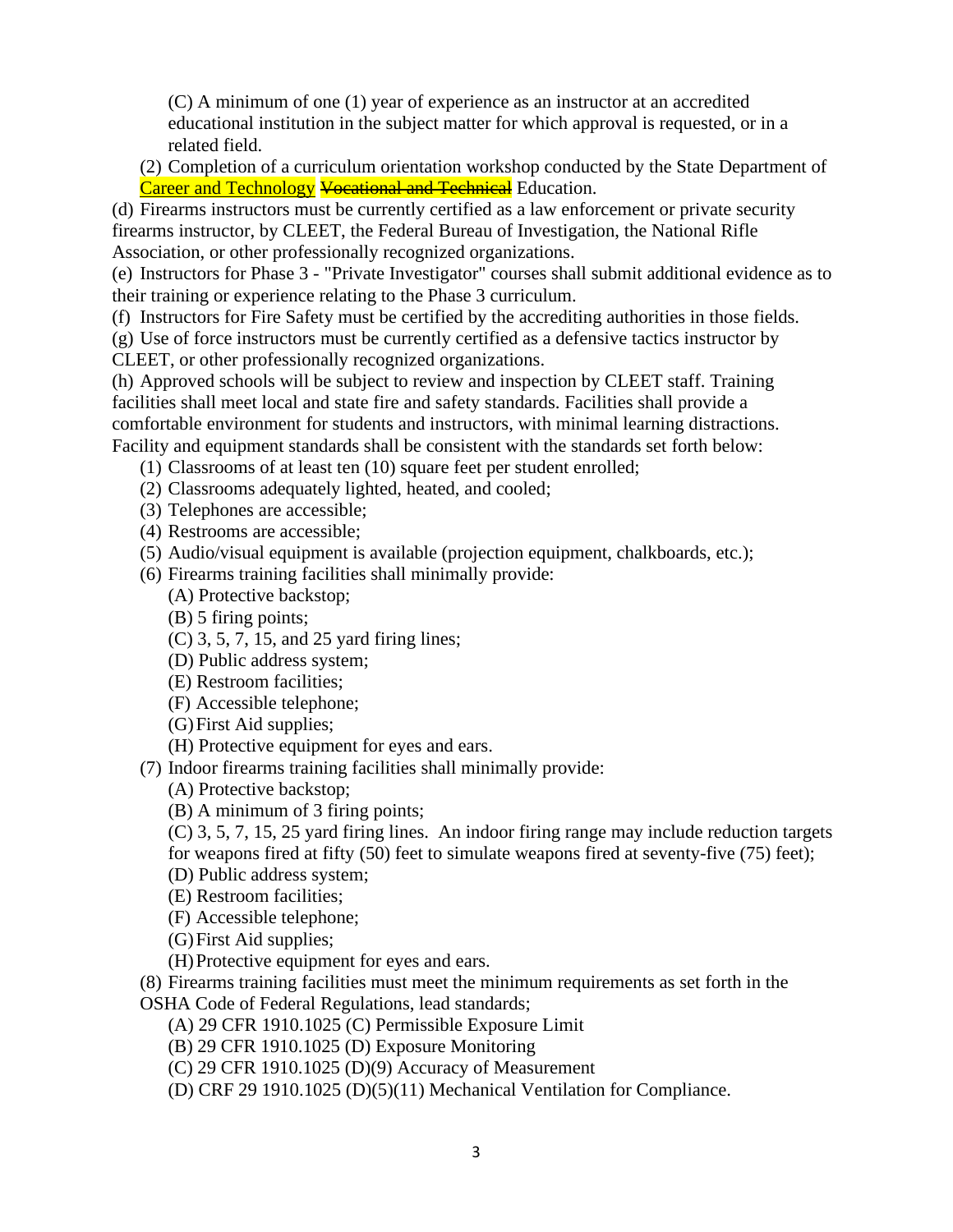(C) A minimum of one (1) year of experience as an instructor at an accredited educational institution in the subject matter for which approval is requested, or in a related field.

(2) Completion of a curriculum orientation workshop conducted by the State Department of Career and Technology Vocational and Technical Education.

(d) Firearms instructors must be currently certified as a law enforcement or private security firearms instructor, by CLEET, the Federal Bureau of Investigation, the National Rifle Association, or other professionally recognized organizations.

(e) Instructors for Phase 3 - "Private Investigator" courses shall submit additional evidence as to their training or experience relating to the Phase 3 curriculum.

(f) Instructors for Fire Safety must be certified by the accrediting authorities in those fields.

(g) Use of force instructors must be currently certified as a defensive tactics instructor by CLEET, or other professionally recognized organizations.

(h) Approved schools will be subject to review and inspection by CLEET staff. Training facilities shall meet local and state fire and safety standards. Facilities shall provide a comfortable environment for students and instructors, with minimal learning distractions. Facility and equipment standards shall be consistent with the standards set forth below:

(1) Classrooms of at least ten (10) square feet per student enrolled;

(2) Classrooms adequately lighted, heated, and cooled;

- (3) Telephones are accessible;
- (4) Restrooms are accessible;
- (5) Audio/visual equipment is available (projection equipment, chalkboards, etc.);

(6) Firearms training facilities shall minimally provide:

- (A) Protective backstop;
- (B) 5 firing points;
- (C) 3, 5, 7, 15, and 25 yard firing lines;

(D) Public address system;

- (E) Restroom facilities;
- (F) Accessible telephone;
- (G)First Aid supplies;

(H) Protective equipment for eyes and ears.

(7) Indoor firearms training facilities shall minimally provide:

(A) Protective backstop;

(B) A minimum of 3 firing points;

(C) 3, 5, 7, 15, 25 yard firing lines. An indoor firing range may include reduction targets for weapons fired at fifty (50) feet to simulate weapons fired at seventy-five (75) feet);

- (D) Public address system;
- (E) Restroom facilities;

(F) Accessible telephone;

(G)First Aid supplies;

(H)Protective equipment for eyes and ears.

(8) Firearms training facilities must meet the minimum requirements as set forth in the OSHA Code of Federal Regulations, lead standards;

- (A) 29 CFR 1910.1025 (C) Permissible Exposure Limit
- (B) 29 CFR 1910.1025 (D) Exposure Monitoring
- (C) 29 CFR 1910.1025 (D)(9) Accuracy of Measurement
- (D) CRF 29 1910.1025 (D)(5)(11) Mechanical Ventilation for Compliance.